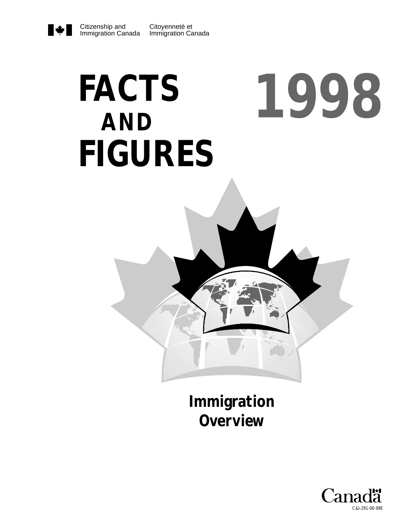# Citizenship and Immigration Canada

# **FACTS AND FIGURES 1998**



**Immigration Overview**

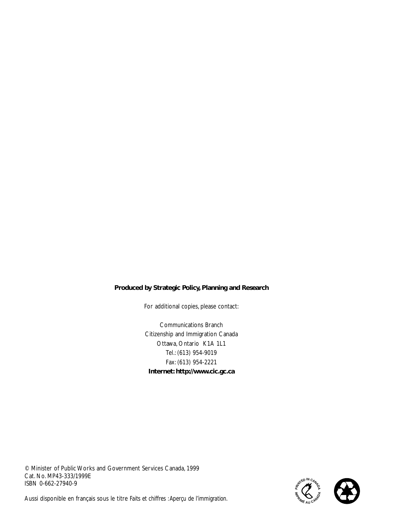#### **Produced by Strategic Policy, Planning and Research**

For additional copies, please contact:

Communications Branch Citizenship and Immigration Canada Ottawa, Ontario K1A 1L1 Tel.: (613) 954-9019 Fax: (613) 954-2221 **Internet: http://www.cic.gc.ca**

© Minister of Public Works and Government Services Canada, 1999 Cat. No. MP43-333/1999E ISBN 0-662-27940-9



Aussi disponible en français sous le titre *Faits et chiffres :Aperçu de l'immigration.*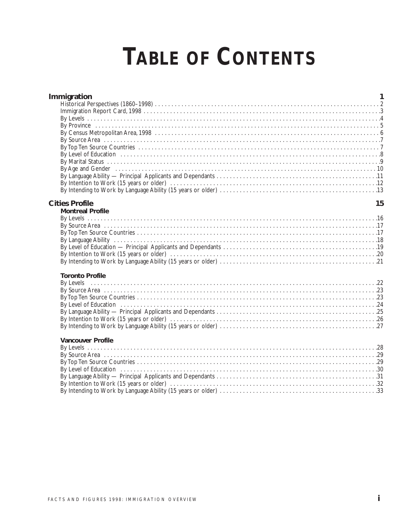# **TABLE OF CONTENTS**

| Immigration              | 1  |
|--------------------------|----|
| <b>Cities Profile</b>    | 15 |
| <b>Montreal Profile</b>  |    |
| <b>Toronto Profile</b>   |    |
| <b>Vancouver Profile</b> |    |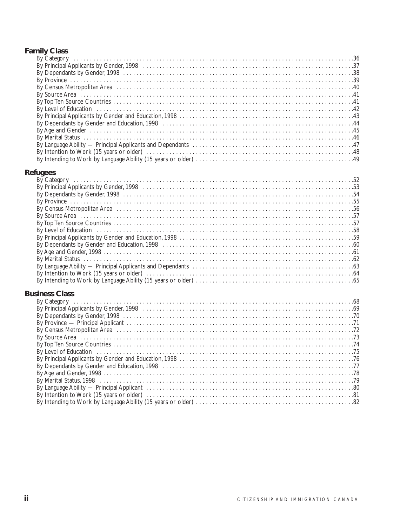# **Family Class**

| By Category (all alternative control and the control of the control of the control of the control of the control of the control of the control of the control of the control of the control of the control of the control of t |  |
|--------------------------------------------------------------------------------------------------------------------------------------------------------------------------------------------------------------------------------|--|
|                                                                                                                                                                                                                                |  |
|                                                                                                                                                                                                                                |  |
|                                                                                                                                                                                                                                |  |
|                                                                                                                                                                                                                                |  |
|                                                                                                                                                                                                                                |  |
|                                                                                                                                                                                                                                |  |
|                                                                                                                                                                                                                                |  |
|                                                                                                                                                                                                                                |  |
|                                                                                                                                                                                                                                |  |
|                                                                                                                                                                                                                                |  |
|                                                                                                                                                                                                                                |  |
|                                                                                                                                                                                                                                |  |
|                                                                                                                                                                                                                                |  |
|                                                                                                                                                                                                                                |  |
|                                                                                                                                                                                                                                |  |
| <b>Refugees</b>                                                                                                                                                                                                                |  |
| By Category (and the continuum of the control of the category of the control of the control of the control of the control of the control of the control of the control of the control of the control of the control of the con |  |
|                                                                                                                                                                                                                                |  |
|                                                                                                                                                                                                                                |  |
|                                                                                                                                                                                                                                |  |
| By Census Metropolitan Area (also contract and also contract and also contract and also contract and also contract and $56$                                                                                                    |  |
|                                                                                                                                                                                                                                |  |
|                                                                                                                                                                                                                                |  |
|                                                                                                                                                                                                                                |  |
|                                                                                                                                                                                                                                |  |
|                                                                                                                                                                                                                                |  |
|                                                                                                                                                                                                                                |  |
|                                                                                                                                                                                                                                |  |
|                                                                                                                                                                                                                                |  |
|                                                                                                                                                                                                                                |  |
|                                                                                                                                                                                                                                |  |
|                                                                                                                                                                                                                                |  |
| <b>Business Class</b>                                                                                                                                                                                                          |  |
| By Category (and the continuum of the control of the control of the control of the control of the control of the control of the control of the control of the control of the control of the control of the control of the cont |  |
|                                                                                                                                                                                                                                |  |

| By Census Metropolitan Area (all contacts) and the contact of the contact of the contact of the contact of the |  |
|----------------------------------------------------------------------------------------------------------------|--|
|                                                                                                                |  |
|                                                                                                                |  |
|                                                                                                                |  |
|                                                                                                                |  |
|                                                                                                                |  |
|                                                                                                                |  |
|                                                                                                                |  |
|                                                                                                                |  |
|                                                                                                                |  |
|                                                                                                                |  |
|                                                                                                                |  |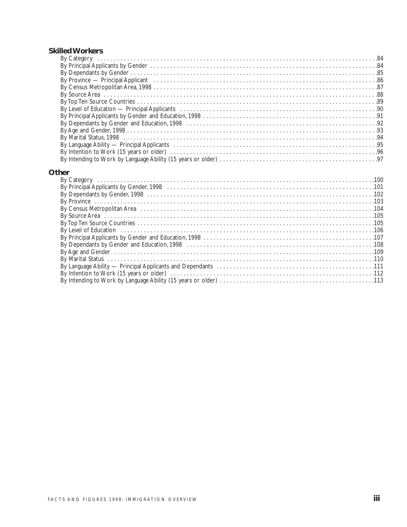#### **Skilled Workers**

| By Category (all also continued as a set of the case of the case of the case of the case of the case of the case of the case of the case of the case of the case of the case of the case of the case of the case of the case o |  |
|--------------------------------------------------------------------------------------------------------------------------------------------------------------------------------------------------------------------------------|--|
|                                                                                                                                                                                                                                |  |
|                                                                                                                                                                                                                                |  |
|                                                                                                                                                                                                                                |  |
|                                                                                                                                                                                                                                |  |
|                                                                                                                                                                                                                                |  |
| By Census Metropolitan Area, 1998<br>By Source Area<br>By Top Ten Source Countries                                                                                                                                             |  |
|                                                                                                                                                                                                                                |  |
|                                                                                                                                                                                                                                |  |
|                                                                                                                                                                                                                                |  |
|                                                                                                                                                                                                                                |  |
|                                                                                                                                                                                                                                |  |
| By Language Ability — Principal Applicants (and all contracts of the contracts of the Principal Applicants (and contracts of the contracts of the contracts of the contracts of the contracts of the contracts of the contract |  |
|                                                                                                                                                                                                                                |  |
|                                                                                                                                                                                                                                |  |
|                                                                                                                                                                                                                                |  |

#### **Other**

| By Level of Education (a) and the control of Education (b) and the control of the control of Education (c) and $106$ |  |
|----------------------------------------------------------------------------------------------------------------------|--|
|                                                                                                                      |  |
|                                                                                                                      |  |
|                                                                                                                      |  |
|                                                                                                                      |  |
|                                                                                                                      |  |
|                                                                                                                      |  |
|                                                                                                                      |  |
|                                                                                                                      |  |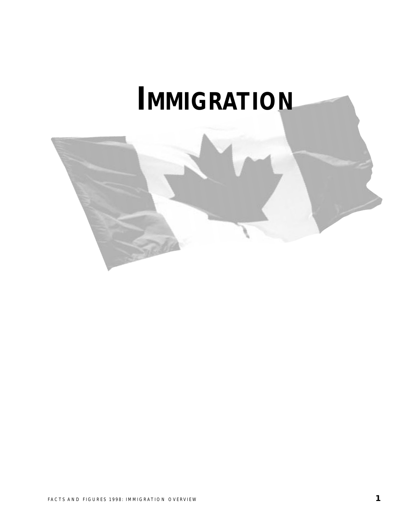# **IMMIGRATION**

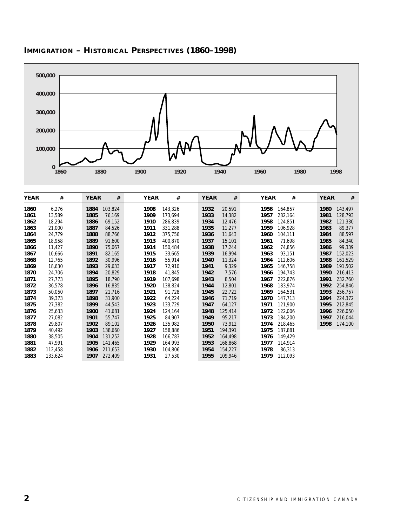

# **IMMIGRATION – HISTORICAL PERSPECTIVES (1860–1998)**

| <b>YEAR</b> | #       | <b>YEAR</b> | #       | <b>YEAR</b> | #       | <b>YEAR</b> | #       | <b>YEAR</b> | #       | <b>YEAR</b> | #       |
|-------------|---------|-------------|---------|-------------|---------|-------------|---------|-------------|---------|-------------|---------|
| 1860        | 6,276   | 1884        | 103,824 | 1908        | 143,326 | 1932        | 20,591  | 1956        | 164,857 | 1980        | 143,497 |
| 1861        | 13,589  | 1885        | 76,169  | 1909        | 173,694 | 1933        | 14,382  | 1957        | 282,164 | 1981        | 128,793 |
| 1862        | 18,294  | 1886        | 69,152  | 1910        | 286,839 | 1934        | 12,476  | 1958        | 124,851 | 1982        | 121,330 |
| 1863        | 21,000  | 1887        | 84,526  | 1911        | 331,288 | 1935        | 11,277  | 1959        | 106,928 | 1983        | 89,377  |
| 1864        | 24,779  | 1888        | 88,766  | 1912        | 375,756 | 1936        | 11,643  | 1960        | 104,111 | 1984        | 88,597  |
| 1865        | 18,958  | 1889        | 91,600  | 1913        | 400,870 | 1937        | 15,101  | 1961        | 71,698  | 1985        | 84,340  |
| 1866        | 11,427  | 1890        | 75,067  | 1914        | 150,484 | 1938        | 17,244  | 1962        | 74,856  | 1986        | 99,339  |
| 1867        | 10,666  | 1891        | 82,165  | 1915        | 33,665  | 1939        | 16,994  | 1963        | 93,151  | 1987        | 152,023 |
| 1868        | 12,765  | 1892        | 30,996  | 1916        | 55,914  | 1940        | 11,324  | 1964        | 112,606 | 1988        | 161,529 |
| 1869        | 18,630  | 1893        | 29,633  | 1917        | 72,910  | 1941        | 9,329   | 1965        | 146,758 | 1989        | 191,502 |
| 1870        | 24,706  | 1894        | 20,829  | 1918        | 41,845  | 1942        | 7,576   | 1966        | 194,743 | 1990        | 216,413 |
| 1871        | 27,773  | 1895        | 18,790  | 1919        | 107,698 | 1943        | 8,504   | 1967        | 222,876 | 1991        | 232,760 |
| 1872        | 36,578  | 1896        | 16,835  | 1920        | 138,824 | 1944        | 12,801  | 1968        | 183,974 | 1992        | 254,846 |
| 1873        | 50,050  | 1897        | 21,716  | 1921        | 91,728  | 1945        | 22,722  | 1969        | 164,531 | 1993        | 256,757 |
| 1874        | 39,373  | 1898        | 31,900  | 1922        | 64,224  | 1946        | 71,719  | 1970        | 147,713 | 1994        | 224,372 |
| 1875        | 27,382  | 1899        | 44,543  | 1923        | 133,729 | 1947        | 64,127  | 1971        | 121,900 | 1995        | 212,845 |
| 1876        | 25,633  | 1900        | 41,681  | 1924        | 124,164 | 1948        | 125,414 | 1972        | 122,006 | 1996        | 226,050 |
| 1877        | 27,082  | 1901        | 55,747  | 1925        | 84,907  | 1949        | 95,217  | 1973        | 184,200 | 1997        | 216,044 |
| 1878        | 29,807  | 1902        | 89,102  | 1926        | 135,982 | 1950        | 73,912  | 1974        | 218,465 | 1998        | 174,100 |
| 1879        | 40,492  | 1903        | 138,660 | 1927        | 158,886 | 1951        | 194,391 | 1975        | 187,881 |             |         |
| 1880        | 38,505  | 1904        | 131,252 | 1928        | 166,783 | 1952        | 164,498 | 1976        | 149,429 |             |         |
| 1881        | 47,991  | 1905        | 141,465 | 1929        | 164,993 | 1953        | 168,868 | 1977        | 114,914 |             |         |
| 1882        | 112,458 | 1906        | 211,653 | 1930        | 104,806 | 1954        | 154,227 | 1978        | 86,313  |             |         |
| 1883        | 133,624 | 1907        | 272,409 | 1931        | 27,530  | 1955        | 109,946 | 1979        | 112,093 |             |         |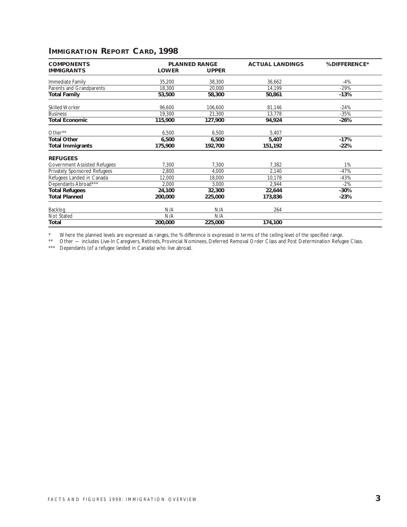# **IMMIGRATION REPORT CARD, 1998**

| <b>COMPONENTS</b>                   |              | <b>PLANNED RANGE</b> | <b>ACTUAL LANDINGS</b> | % DIFFERENCE* |
|-------------------------------------|--------------|----------------------|------------------------|---------------|
| <b>IMMIGRANTS</b>                   | <b>LOWER</b> | <b>UPPER</b>         |                        |               |
| Immediate Family                    | 35,200       | 38,300               | 36,662                 | -4%           |
| Parents and Grandparents            | 18,300       | 20,000               | 14,199                 | $-29%$        |
| <b>Total Family</b>                 | 53,500       | 58,300               | 50,861                 | $-13%$        |
| <b>Skilled Worker</b>               | 96,600       | 106,600              | 81,146                 | $-24%$        |
| <b>Business</b>                     | 19,300       | 21,300               | 13,778                 | $-35%$        |
| <b>Total Economic</b>               | 115,900      | 127,900              | 94,924                 | $-26%$        |
| Other**                             | 6,500        | 6,500                | 5,407                  |               |
| <b>Total Other</b>                  | 6,500        | 6,500                | 5,407                  | $-17%$        |
| <b>Total Immigrants</b>             | 175,900      | 192,700              | 151,192                | $-22%$        |
| <b>REFUGEES</b>                     |              |                      |                        |               |
| <b>Government Assisted Refugees</b> | 7,300        | 7,300                | 7,382                  | 1%            |
| Privately Sponsored Refugees        | 2,800        | 4,000                | 2,140                  | $-47%$        |
| Refugees Landed in Canada           | 12,000       | 18,000               | 10,178                 | $-43%$        |
| Dependants Abroad***                | 2,000        | 3,000                | 2,944                  | $-2%$         |
| <b>Total Refugees</b>               | 24,100       | 32,300               | 22,644                 | $-30%$        |
| <b>Total Planned</b>                | 200,000      | 225,000              | 173,836                | $-23%$        |
| Backlog                             | N/A          | N/A                  | 264                    |               |
| Not Stated                          | N/A          | N/A                  |                        |               |
| Total                               | 200,000      | 225,000              | 174,100                |               |

\* Where the planned levels are expressed as ranges, the % difference is expressed in terms of the ceiling level of the specified range.

\*\* Other — includes Live-In Caregivers, Retireds, Provincial Nominees, Deferred Removal Order Class and Post Determination Refugee Class.

\*\*\* Dependants (of a refugee landed in Canada) who live abroad.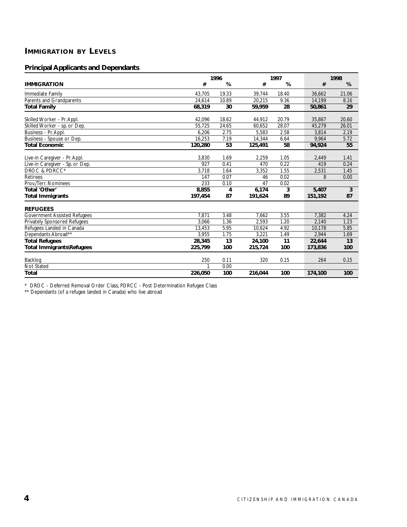# **IMMIGRATION BY LEVELS**

# **Principal Applicants and Dependants**

|                                     |         | 1996  |         | 1997  |         | 1998  |  |  |
|-------------------------------------|---------|-------|---------|-------|---------|-------|--|--|
| <b>IMMIGRATION</b>                  | #       | %     | #       | %     | #       | %     |  |  |
| Immediate Family                    | 43,705  | 19.33 | 39,744  | 18.40 | 36.662  | 21.06 |  |  |
| Parents and Grandparents            | 24.614  | 10.89 | 20.215  | 9.36  | 14,199  | 8.16  |  |  |
| <b>Total Family</b>                 | 68,319  | 30    | 59,959  | 28    | 50,861  | 29    |  |  |
| Skilled Worker - Pr. Appl.          | 42.096  | 18.62 | 44.912  | 20.79 | 35.867  | 20.60 |  |  |
| Skilled Worker - sp. or Dep.        | 55.725  | 24.65 | 60.652  | 28.07 | 45,279  | 26.01 |  |  |
| Business - Pr. Appl.                | 6,206   | 2.75  | 5,583   | 2.58  | 3,814   | 2.19  |  |  |
| Business - Spouse or Dep.           | 16,253  | 7.19  | 14,344  | 6.64  | 9,964   | 5.72  |  |  |
| <b>Total Economic</b>               | 120,280 | 53    | 125,491 | 58    | 94,924  | 55    |  |  |
| Live-in Caregiver - Pr. Appl.       | 3,830   | 1.69  | 2,259   | 1.05  | 2,449   | 1.41  |  |  |
| Live-in Caregiver - Sp. or Dep.     | 927     | 0.41  | 470     | 0.22  | 419     | 0.24  |  |  |
| DROC & PDRCC*                       | 3.718   | 1.64  | 3,352   | 1.55  | 2,531   | 1.45  |  |  |
| <b>Retirees</b>                     | 147     | 0.07  | 46      | 0.02  | 8       | 0.00  |  |  |
| Prov./Terr. Nominees                | 233     | 0.10  | 47      | 0.02  |         |       |  |  |
| Total 'Other'                       | 8,855   | 4     | 6,174   | 3     | 5,407   | 3     |  |  |
| <b>Total Immigrants</b>             | 197,454 | 87    | 191,624 | 89    | 151,192 | 87    |  |  |
| <b>REFUGEES</b>                     |         |       |         |       |         |       |  |  |
| <b>Government Assisted Refugees</b> | 7,871   | 3.48  | 7,662   | 3.55  | 7,382   | 4.24  |  |  |
| <b>Privately Sponsored Refugees</b> | 3,066   | 1.36  | 2,593   | 1.20  | 2,140   | 1.23  |  |  |
| Refugees Landed in Canada           | 13,453  | 5.95  | 10,624  | 4.92  | 10.178  | 5.85  |  |  |
| Dependants Abroad**                 | 3.955   | 1.75  | 3.221   | 1.49  | 2.944   | 1.69  |  |  |
| <b>Total Refugees</b>               | 28,345  | 13    | 24,100  | 11    | 22,644  | 13    |  |  |
| Total Immigrants\Refugees           | 225,799 | 100   | 215,724 | 100   | 173,836 | 100   |  |  |
| Backlog                             | 250     | 0.11  | 320     | 0.15  | 264     | 0.15  |  |  |
| <b>Not Stated</b>                   |         | 0.00  |         |       |         |       |  |  |
| <b>Total</b>                        | 226,050 | 100   | 216,044 | 100   | 174,100 | 100   |  |  |

\* DROC - Deferred Removal Order Class, PDRCC - Post Determination Refugee Class

\*\* Dependants (of a refugee landed in Canada) who live abroad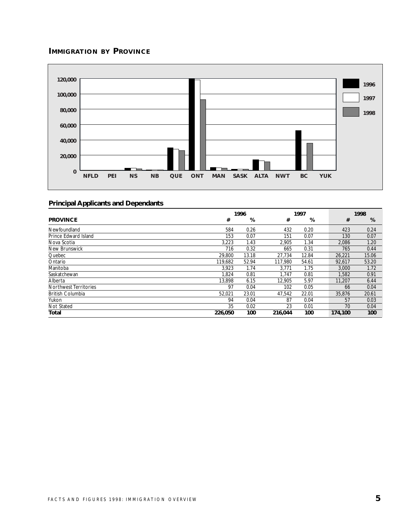# **IMMIGRATION BY PROVINCE**



|                         |         | 1996  |         | 1997  |         | 1998  |  |  |
|-------------------------|---------|-------|---------|-------|---------|-------|--|--|
| <b>PROVINCE</b>         | #       | %     | #       | %     | #       | %     |  |  |
| Newfoundland            | 584     | 0.26  | 432     | 0.20  | 423     | 0.24  |  |  |
| Prince Edward Island    | 153     | 0.07  | 151     | 0.07  | 130     | 0.07  |  |  |
| Nova Scotia             | 3,223   | 1.43  | 2,905   | 1.34  | 2,086   | 1.20  |  |  |
| New Brunswick           | 716     | 0.32  | 665     | 0.31  | 765     | 0.44  |  |  |
| Quebec                  | 29,800  | 13.18 | 27.734  | 12.84 | 26,221  | 15.06 |  |  |
| Ontario                 | 119.682 | 52.94 | 117.980 | 54.61 | 92,617  | 53.20 |  |  |
| Manitoba                | 3,923   | 1.74  | 3,771   | 1.75  | 3,000   | 1.72  |  |  |
| Saskatchewan            | 1.824   | 0.81  | 1.747   | 0.81  | 1,582   | 0.91  |  |  |
| Alberta                 | 13,898  | 6.15  | 12,905  | 5.97  | 11,207  | 6.44  |  |  |
| Northwest Territories   | 97      | 0.04  | 102     | 0.05  | 66      | 0.04  |  |  |
| <b>British Columbia</b> | 52.021  | 23.01 | 47,542  | 22.01 | 35,876  | 20.61 |  |  |
| Yukon                   | 94      | 0.04  | 87      | 0.04  | 57      | 0.03  |  |  |
| Not Stated              | 35      | 0.02  | 23      | 0.01  | 70      | 0.04  |  |  |
| Total                   | 226,050 | 100   | 216.044 | 100   | 174.100 | 100   |  |  |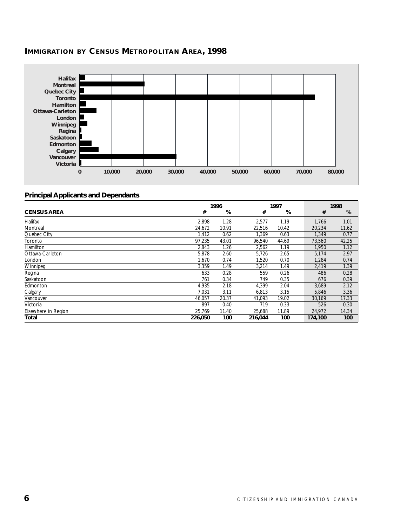

# **IMMIGRATION BY CENSUS METROPOLITAN AREA, 1998**

|                     | 1996    |       |         | 1997  |         | 1998  |  |  |
|---------------------|---------|-------|---------|-------|---------|-------|--|--|
| <b>CENSUS AREA</b>  | #       | %     | #       | %     | #       | %     |  |  |
| Halifax             | 2,898   | 1.28  | 2,577   | 1.19  | 1.766   | 1.01  |  |  |
| Montreal            | 24.672  | 10.91 | 22.516  | 10.42 | 20.234  | 11.62 |  |  |
| Quebec City         | 1,412   | 0.62  | 1.369   | 0.63  | 1,349   | 0.77  |  |  |
| Toronto             | 97.235  | 43.01 | 96.540  | 44.69 | 73,560  | 42.25 |  |  |
| Hamilton            | 2,843   | 1.26  | 2,562   | 1.19  | 1,950   | 1.12  |  |  |
| Ottawa-Carleton     | 5,878   | 2.60  | 5,726   | 2.65  | 5,174   | 2.97  |  |  |
| London              | 1.670   | 0.74  | 1.520   | 0.70  | 1.284   | 0.74  |  |  |
| Winnipeg            | 3,359   | 1.49  | 3,214   | 1.49  | 2,419   | 1.39  |  |  |
| Regina              | 633     | 0.28  | 559     | 0.26  | 486     | 0.28  |  |  |
| Saskatoon           | 761     | 0.34  | 749     | 0.35  | 676     | 0.39  |  |  |
| Edmonton            | 4,935   | 2.18  | 4,399   | 2.04  | 3,689   | 2.12  |  |  |
| Calgary             | 7.031   | 3.11  | 6.813   | 3.15  | 5.846   | 3.36  |  |  |
| Vancouver           | 46.057  | 20.37 | 41.093  | 19.02 | 30.169  | 17.33 |  |  |
| Victoria            | 897     | 0.40  | 719     | 0.33  | 526     | 0.30  |  |  |
| Elsewhere in Region | 25.769  | 11.40 | 25,688  | 11.89 | 24,972  | 14.34 |  |  |
| Total               | 226,050 | 100   | 216,044 | 100   | 174,100 | 100   |  |  |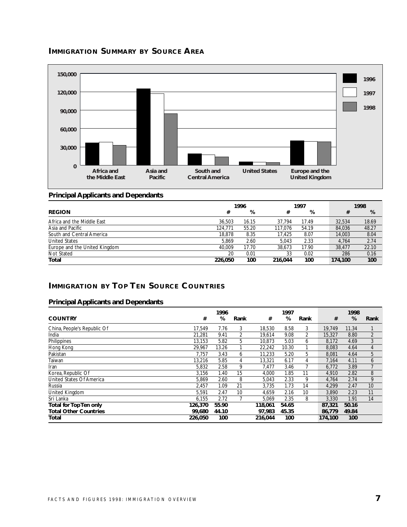# **IMMIGRATION SUMMARY BY SOURCE AREA**



# **Principal Applicants and Dependants**

|                               | 1996    |       | 1997    |       | 1998    |       |  |
|-------------------------------|---------|-------|---------|-------|---------|-------|--|
| <b>REGION</b>                 | #       | %     | #       | %     | #       | %     |  |
| Africa and the Middle East    | 36.503  | 16.15 | 37.794  | 17.49 | 32,534  | 18.69 |  |
| Asia and Pacific              | 124.771 | 55.20 | 117.076 | 54.19 | 84,036  | 48.27 |  |
| South and Central America     | 18,878  | 8.35  | 17.425  | 8.07  | 14,003  | 8.04  |  |
| <b>United States</b>          | 5.869   | 2.60  | 5.043   | 2.33  | 4.764   | 2.74  |  |
| Europe and the United Kingdom | 40.009  | 17.70 | 38.673  | 17.90 | 38.477  | 22.10 |  |
| Not Stated                    | 20      | 0.01  | 33      | 0.02  | 286     | 0.16  |  |
| Total                         | 226.050 | 100   | 216.044 | 100   | 174.100 | 100   |  |

#### **IMMIGRATION BY TOP TEN SOURCE COUNTRIES**

|                                 |         | 1996  |      |         | 1997  |                |         | 1998  |                |
|---------------------------------|---------|-------|------|---------|-------|----------------|---------|-------|----------------|
| <b>COUNTRY</b>                  | #       | %     | Rank | #       | %     | Rank           | #       | %     | Rank           |
| China, People's Republic Of     | 17.549  | 7.76  | 3    | 18,530  | 8.58  | 3              | 19.749  | 11.34 |                |
| India                           | 21,281  | 9.41  | 2    | 19.614  | 9.08  | $\overline{2}$ | 15,327  | 8.80  | $\overline{2}$ |
| Philippines                     | 13.153  | 5.82  | 5    | 10.873  | 5.03  | 6              | 8.172   | 4.69  | 3              |
| Hong Kong                       | 29.967  | 13.26 |      | 22,242  | 10.30 |                | 8.083   | 4.64  | 4              |
| Pakistan                        | 7.757   | 3.43  | 6    | 11,233  | 5.20  | 5              | 8.081   | 4.64  | 5              |
| Taiwan                          | 13.216  | 5.85  | 4    | 13,321  | 6.17  | 4              | 7,164   | 4.11  | 6              |
| Iran                            | 5,832   | 2.58  | 9    | 7.477   | 3.46  |                | 6.772   | 3.89  | 7              |
| Korea, Republic Of              | 3,156   | 1.40  | 15   | 4,000   | 1.85  | 11             | 4.910   | 2.82  | 8              |
| <b>United States Of America</b> | 5.869   | 2.60  | 8    | 5,043   | 2.33  | 9              | 4.764   | 2.74  | 9              |
| Russia                          | 2,457   | 1.09  | 21   | 3,735   | 1.73  | 14             | 4,299   | 2.47  | 10             |
| United Kingdom                  | 5,591   | 2.47  | 10   | 4,659   | 2.16  | 10             | 3,890   | 2.23  | 11             |
| Sri Lanka                       | 6.155   | 2.72  |      | 5,069   | 2.35  | 8              | 3,330   | 1.91  | 14             |
| <b>Total for Top Ten only</b>   | 126,370 | 55.90 |      | 118,061 | 54.65 |                | 87,321  | 50.16 |                |
| <b>Total Other Countries</b>    | 99.680  | 44.10 |      | 97.983  | 45.35 |                | 86.779  | 49.84 |                |
| Total                           | 226.050 | 100   |      | 216.044 | 100   |                | 174.100 | 100   |                |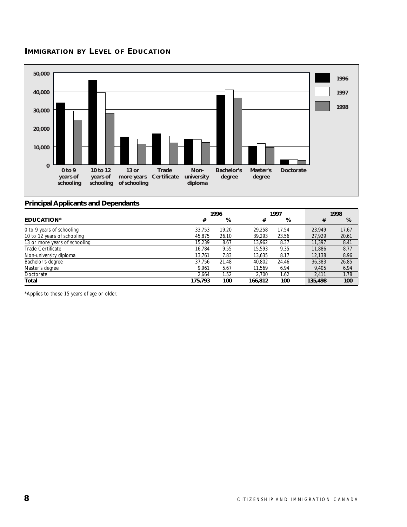# **IMMIGRATION BY LEVEL OF EDUCATION**



#### **Principal Applicants and Dependants**

|                               |         | 1996  |         | 1997  |         | 1998  |
|-------------------------------|---------|-------|---------|-------|---------|-------|
| <b>EDUCATION*</b>             | #       | %     | #       | %     | #       | %     |
| 0 to 9 years of schooling     | 33,753  | 19.20 | 29.258  | 17.54 | 23.949  | 17.67 |
| 10 to 12 years of schooling   | 45,875  | 26.10 | 39,293  | 23.56 | 27,929  | 20.61 |
| 13 or more years of schooling | 15.239  | 8.67  | 13,962  | 8.37  | 11,397  | 8.41  |
| Trade Certificate             | 16.784  | 9.55  | 15.593  | 9.35  | 11,886  | 8.77  |
| Non-university diploma        | 13.761  | 7.83  | 13.635  | 8.17  | 12,138  | 8.96  |
| Bachelor's degree             | 37.756  | 21.48 | 40.802  | 24.46 | 36,383  | 26.85 |
| Master's degree               | 9.961   | 5.67  | 11.569  | 6.94  | 9.405   | 6.94  |
| Doctorate                     | 2.664   | 1.52  | 2.700   | 1.62  | 2.411   | 1.78  |
| Total                         | 175,793 | 100   | 166,812 | 100   | 135,498 | 100   |

\*Applies to those 15 years of age or older.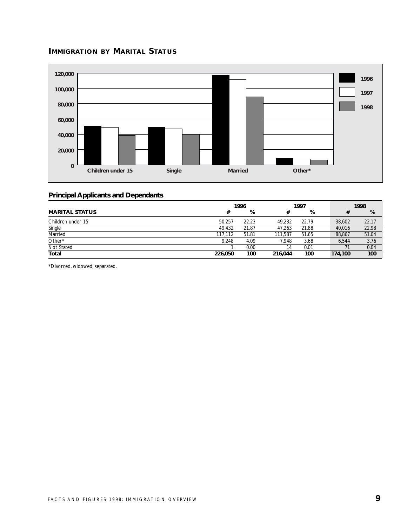# **IMMIGRATION BY MARITAL STATUS**



# **Principal Applicants and Dependants**

|                       | 1996    |       | 1997    |       | 1998    |       |
|-----------------------|---------|-------|---------|-------|---------|-------|
| <b>MARITAL STATUS</b> | #       | %     | #       | %     |         | %     |
| Children under 15     | 50.257  | 22.23 | 49.232  | 22.79 | 38.602  | 22.17 |
| Single                | 49.432  | 21.87 | 47.263  | 21.88 | 40,016  | 22.98 |
| Married               | 117.112 | 51.81 | 111.587 | 51.65 | 88,867  | 51.04 |
| Other*                | 9.248   | 4.09  | 7.948   | 3.68  | 6,544   | 3.76  |
| Not Stated            |         | 0.00  | 14      | 0.01  |         | 0.04  |
| Total                 | 226,050 | 100   | 216,044 | 100   | 174,100 | 100   |

\*Divorced, widowed, separated.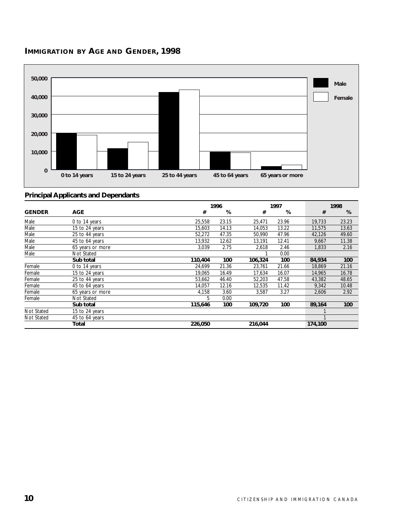



|               |                  |         | 1996  |         | 1997  |         | 1998  |  |  |
|---------------|------------------|---------|-------|---------|-------|---------|-------|--|--|
| <b>GENDER</b> | <b>AGE</b>       | #       | %     | #       | %     | #       | %     |  |  |
| Male          | 0 to 14 years    | 25,558  | 23.15 | 25,471  | 23.96 | 19,733  | 23.23 |  |  |
| Male          | 15 to 24 years   | 15,603  | 14.13 | 14,053  | 13.22 | 11,575  | 13.63 |  |  |
| Male          | 25 to 44 years   | 52,272  | 47.35 | 50,990  | 47.96 | 42,126  | 49.60 |  |  |
| Male          | 45 to 64 years   | 13,932  | 12.62 | 13,191  | 12.41 | 9,667   | 11.38 |  |  |
| Male          | 65 years or more | 3,039   | 2.75  | 2,618   | 2.46  | 1,833   | 2.16  |  |  |
| Male          | Not Stated       |         |       |         | 0.00  |         |       |  |  |
|               | Sub total        | 110,404 | 100   | 106,324 | 100   | 84,934  | 100   |  |  |
| Female        | 0 to 14 years    | 24,699  | 21.36 | 23,761  | 21.66 | 18,869  | 21.16 |  |  |
| Female        | 15 to 24 years   | 19,065  | 16.49 | 17,634  | 16.07 | 14,965  | 16.78 |  |  |
| Female        | 25 to 44 years   | 53,662  | 46.40 | 52,203  | 47.58 | 43,382  | 48.65 |  |  |
| Female        | 45 to 64 years   | 14,057  | 12.16 | 12,535  | 11.42 | 9,342   | 10.48 |  |  |
| Female        | 65 years or more | 4,158   | 3.60  | 3.587   | 3.27  | 2,606   | 2.92  |  |  |
| Female        | Not Stated       | 5       | 0.00  |         |       |         |       |  |  |
|               | Sub total        | 115,646 | 100   | 109,720 | 100   | 89,164  | 100   |  |  |
| Not Stated    | 15 to 24 years   |         |       |         |       |         |       |  |  |
| Not Stated    | 45 to 64 years   |         |       |         |       |         |       |  |  |
|               | Total            | 226,050 |       | 216,044 |       | 174,100 |       |  |  |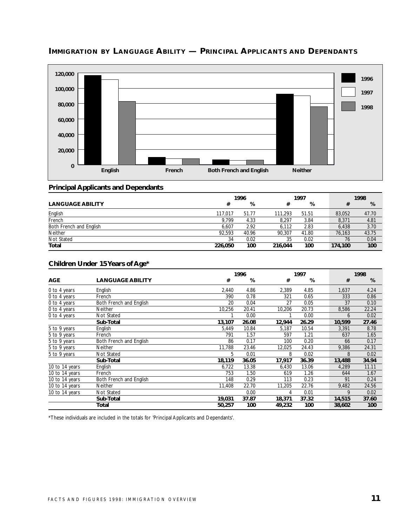

# **IMMIGRATION BY LANGUAGE ABILITY — PRINCIPAL APPLICANTS AND DEPENDANTS**

# **Principal Applicants and Dependants**

|                         | 1996    |       | 1997    |       | 1998    |       |
|-------------------------|---------|-------|---------|-------|---------|-------|
| <b>LANGUAGE ABILITY</b> | #       | %     | #       | %     |         | %     |
| English                 | 117.017 | 51.77 | 111.293 | 51.51 | 83,052  | 47.70 |
| French                  | 9.799   | 4.33  | 8.297   | 3.84  | 8,371   | 4.81  |
| Both French and English | 6.607   | 2.92  | 6.112   | 2.83  | 6.438   | 3.70  |
| <b>Neither</b>          | 92.593  | 40.96 | 90.307  | 41.80 | 76.163  | 43.75 |
| Not Stated              | 34      | 0.02  | 35      | 0.02  | 76      | 0.04  |
| Total                   | 226.050 | 100   | 216.044 | 100   | 174,100 | 100   |

#### **Children Under 15 Years of Age\***

|                |                         |        | 1996  |        | 1997  |        | 1998  |  |
|----------------|-------------------------|--------|-------|--------|-------|--------|-------|--|
| <b>AGE</b>     | <b>LANGUAGE ABILITY</b> | #      | %     | #      | %     | #      | %     |  |
| 0 to 4 years   | English                 | 2,440  | 4.86  | 2,389  | 4.85  | 1,637  | 4.24  |  |
| 0 to 4 years   | French                  | 390    | 0.78  | 321    | 0.65  | 333    | 0.86  |  |
| 0 to 4 years   | Both French and English | 20     | 0.04  | 27     | 0.05  | 37     | 0.10  |  |
| 0 to 4 years   | Neither                 | 10,256 | 20.41 | 10,206 | 20.73 | 8,586  | 22.24 |  |
| 0 to 4 years   | <b>Not Stated</b>       |        | 0.00  |        | 0.00  | 6      | 0.02  |  |
|                | Sub-Total               | 13,107 | 26.08 | 12,944 | 26.29 | 10,599 | 27.46 |  |
| 5 to 9 years   | English                 | 5.449  | 10.84 | 5,187  | 10.54 | 3,391  | 8.78  |  |
| 5 to 9 years   | French                  | 791    | 1.57  | 597    | 1.21  | 637    | 1.65  |  |
| 5 to 9 years   | Both French and English | 86     | 0.17  | 100    | 0.20  | 66     | 0.17  |  |
| 5 to 9 years   | Neither                 | 11,788 | 23.46 | 12,025 | 24.43 | 9,386  | 24.31 |  |
| 5 to 9 years   | Not Stated              | 5      | 0.01  | 8      | 0.02  | 8      | 0.02  |  |
|                | Sub-Total               | 18,119 | 36.05 | 17,917 | 36.39 | 13,488 | 34.94 |  |
| 10 to 14 years | English                 | 6,722  | 13.38 | 6,430  | 13.06 | 4,289  | 11.11 |  |
| 10 to 14 years | French                  | 753    | 1.50  | 619    | 1.26  | 644    | 1.67  |  |
| 10 to 14 years | Both French and English | 148    | 0.29  | 113    | 0.23  | 91     | 0.24  |  |
| 10 to 14 years | Neither                 | 11,408 | 22.70 | 11,205 | 22.76 | 9,482  | 24.56 |  |
| 10 to 14 years | Not Stated              |        | 0.00  | 4      | 0.01  | 9      | 0.02  |  |
|                | Sub-Total               | 19,031 | 37.87 | 18,371 | 37.32 | 14,515 | 37.60 |  |
|                | Total                   | 50,257 | 100   | 49,232 | 100   | 38,602 | 100   |  |

\*These individuals are included in the totals for 'Principal Applicants and Dependants'.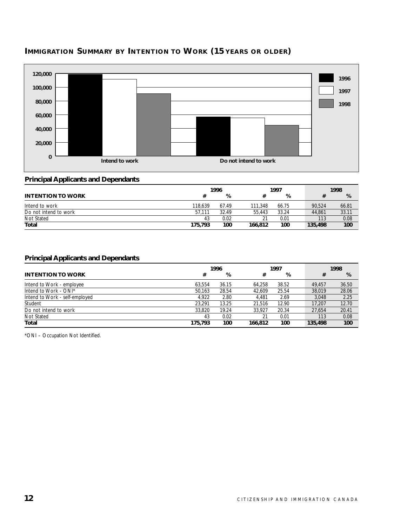# **IMMIGRATION SUMMARY BY INTENTION TO WORK (15 YEARS OR OLDER)**



# **Principal Applicants and Dependants**

|                          | 1996    |       |         | 1997  |         | 1998  |
|--------------------------|---------|-------|---------|-------|---------|-------|
| <b>INTENTION TO WORK</b> |         | %     |         | %     |         | %     |
| Intend to work           | 118.639 | 67.49 | 111.348 | 66.75 | 90.524  | 66.81 |
| Do not intend to work    | 57.111  | 32.49 | 55.443  | 33.24 | 44.861  | 33.11 |
| Not Stated               | 43      | 0.02  | 21      | 0.01  | 113     | 0.08  |
| Total                    | 175,793 | 100   | 166,812 | 100   | 135,498 | 100   |

# **Principal Applicants and Dependants**

|                                |         | 1996  |         | 1997  |         | 1998  |
|--------------------------------|---------|-------|---------|-------|---------|-------|
| <b>INTENTION TO WORK</b>       | #       | %     | #       | %     | #       | %     |
| Intend to Work - employee      | 63.554  | 36.15 | 64.258  | 38.52 | 49.457  | 36.50 |
| Intend to Work - ONI*          | 50.163  | 28.54 | 42.609  | 25.54 | 38,019  | 28.06 |
| Intend to Work - self-employed | 4.922   | 2.80  | 4.481   | 2.69  | 3.048   | 2.25  |
| Student                        | 23.291  | 13.25 | 21.516  | 12.90 | 17.207  | 12.70 |
| Do not intend to work          | 33,820  | 19.24 | 33.927  | 20.34 | 27,654  | 20.41 |
| Not Stated                     | 43      | 0.02  | 21      | 0.01  | 113     | 0.08  |
| Total                          | 175,793 | 100   | 166,812 | 100   | 135,498 | 100   |

\*ONI – Occupation Not Identified.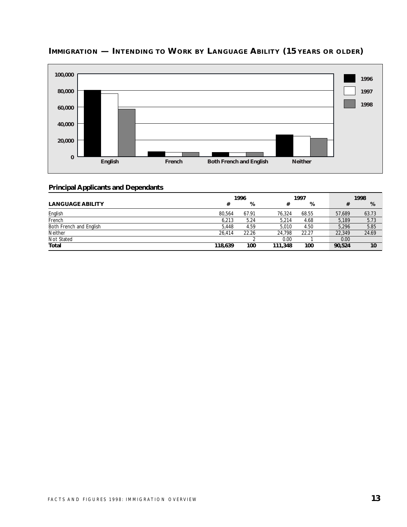

# **IMMIGRATION — INTENDING TO WORK BY LANGUAGE ABILITY (15 YEARS OR OLDER)**

|                         | 1996    |       | 1997    |       | 1998   |       |  |
|-------------------------|---------|-------|---------|-------|--------|-------|--|
| <b>LANGUAGE ABILITY</b> | #       | %     |         | %     |        | %     |  |
| English                 | 80.564  | 67.91 | 76.324  | 68.55 | 57.689 | 63.73 |  |
| French                  | 6,213   | 5.24  | 5.214   | 4.68  | 5.189  | 5.73  |  |
| Both French and English | 5.448   | 4.59  | 5.010   | 4.50  | 5.296  | 5.85  |  |
| <b>Neither</b>          | 26.414  | 22.26 | 24.798  | 22.27 | 22,349 | 24.69 |  |
| Not Stated              |         |       | 0.00    |       | 0.00   |       |  |
| Total                   | 118,639 | 100   | 111,348 | 100   | 90,524 | 10    |  |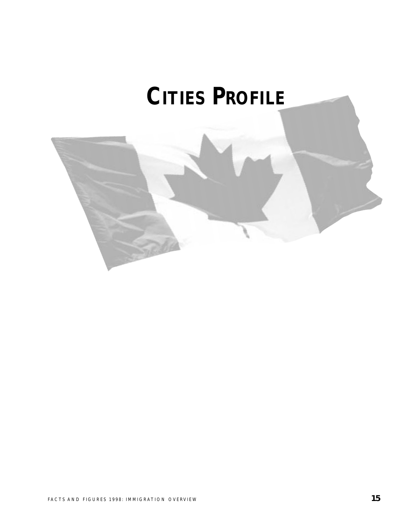# **CITIES PROFILE**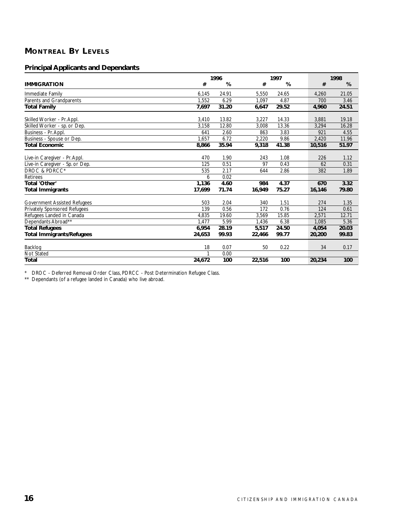# **MONTREAL BY LEVELS**

# **Principal Applicants and Dependants**

|                                     | 1996   |       |        | 1997  |        | 1998  |  |  |
|-------------------------------------|--------|-------|--------|-------|--------|-------|--|--|
| <b>IMMIGRATION</b>                  | #      | %     | #      | %     | #      | %     |  |  |
| Immediate Family                    | 6,145  | 24.91 | 5,550  | 24.65 | 4,260  | 21.05 |  |  |
| Parents and Grandparents            | 1,552  | 6.29  | 1.097  | 4.87  | 700    | 3.46  |  |  |
| <b>Total Family</b>                 | 7.697  | 31.20 | 6,647  | 29.52 | 4,960  | 24.51 |  |  |
| Skilled Worker - Pr. Appl.          | 3,410  | 13.82 | 3,227  | 14.33 | 3,881  | 19.18 |  |  |
| Skilled Worker - sp. or Dep.        | 3.158  | 12.80 | 3,008  | 13.36 | 3.294  | 16.28 |  |  |
| Business - Pr. Appl.                | 641    | 2.60  | 863    | 3.83  | 921    | 4.55  |  |  |
| Business - Spouse or Dep.           | 1,657  | 6.72  | 2.220  | 9.86  | 2,420  | 11.96 |  |  |
| <b>Total Economic</b>               | 8,866  | 35.94 | 9,318  | 41.38 | 10,516 | 51.97 |  |  |
| Live-in Caregiver - Pr. Appl.       | 470    | 1.90  | 243    | 1.08  | 226    | 1.12  |  |  |
| Live-in Caregiver - Sp. or Dep.     | 125    | 0.51  | 97     | 0.43  | 62     | 0.31  |  |  |
| DROC & PDRCC*                       | 535    | 2.17  | 644    | 2.86  | 382    | 1.89  |  |  |
| Retirees                            | 6      | 0.02  |        |       |        |       |  |  |
| Total 'Other'                       | 1,136  | 4.60  | 984    | 4.37  | 670    | 3.32  |  |  |
| <b>Total Immigrants</b>             | 17.699 | 71.74 | 16,949 | 75.27 | 16,146 | 79.80 |  |  |
| <b>Government Assisted Refugees</b> | 503    | 2.04  | 340    | 1.51  | 274    | 1.35  |  |  |
| <b>Privately Sponsored Refugees</b> | 139    | 0.56  | 172    | 0.76  | 124    | 0.61  |  |  |
| Refugees Landed in Canada           | 4,835  | 19.60 | 3,569  | 15.85 | 2,571  | 12.71 |  |  |
| Dependants Abroad**                 | 1.477  | 5.99  | 1,436  | 6.38  | 1.085  | 5.36  |  |  |
| <b>Total Refugees</b>               | 6,954  | 28.19 | 5,517  | 24.50 | 4,054  | 20.03 |  |  |
| <b>Total Immigrants/Refugees</b>    | 24,653 | 99.93 | 22,466 | 99.77 | 20,200 | 99.83 |  |  |
| Backlog                             | 18     | 0.07  | 50     | 0.22  | 34     | 0.17  |  |  |
| Not Stated                          |        | 0.00  |        |       |        |       |  |  |
| <b>Total</b>                        | 24,672 | 100   | 22,516 | 100   | 20,234 | 100   |  |  |

\* DROC - Deferred Removal Order Class, PDRCC - Post Determination Refugee Class.

\*\* Dependants (of a refugee landed in Canada) who live abroad.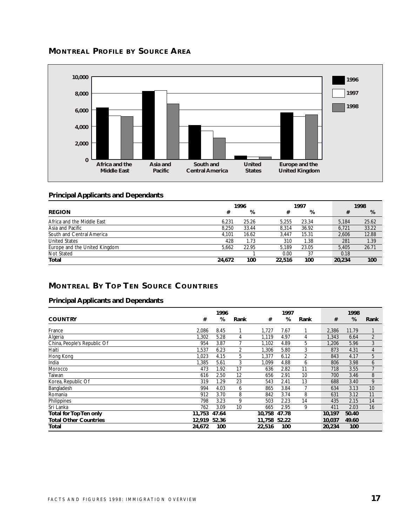



# **Principal Applicants and Dependants**

|                               | 1996   |       |        | 1997  |  |        | 1998  |  |  |
|-------------------------------|--------|-------|--------|-------|--|--------|-------|--|--|
| <b>REGION</b>                 | #      | %     | #      | %     |  | #      | %     |  |  |
| Africa and the Middle East    | 6.231  | 25.26 | 5.255  | 23.34 |  | 5.184  | 25.62 |  |  |
| Asia and Pacific              | 8.250  | 33.44 | 8.314  | 36.92 |  | 6.721  | 33.22 |  |  |
| South and Central America     | 4.101  | 16.62 | 3.447  | 15.31 |  | 2.606  | 12.88 |  |  |
| <b>United States</b>          | 428    | 1.73  | 310    | 1.38  |  | 281    | 1.39  |  |  |
| Europe and the United Kingdom | 5.662  | 22.95 | 5.189  | 23.05 |  | 5.405  | 26.71 |  |  |
| Not Stated                    |        |       | 0.00   | 37    |  | 0.18   |       |  |  |
| Total                         | 24.672 | 100   | 22,516 | 100   |  | 20,234 | 100   |  |  |

# **MONTREAL BY TOP TEN SOURCE COUNTRIES**

|                              |        | 1996  |      |        | 1997  |      |        | 1998  |                |
|------------------------------|--------|-------|------|--------|-------|------|--------|-------|----------------|
| <b>COUNTRY</b>               | #      | %     | Rank | #      | %     | Rank | #      | %     | Rank           |
| France                       | 2,086  | 8.45  |      | 1.727  | 7.67  |      | 2,386  | 11.79 |                |
| Algeria                      | 1,302  | 5.28  | 4    | 1,119  | 4.97  | 4    | 1,343  | 6.64  | $\overline{2}$ |
| China, People's Republic Of  | 954    | 3.87  |      | 1,102  | 4.89  | 5    | 1.206  | 5.96  | 3              |
| Haiti                        | 1,537  | 6.23  | 2    | 1,306  | 5.80  | 3    | 873    | 4.31  | $\overline{4}$ |
| Hong Kong                    | 1,023  | 4.15  | 5    | 1,377  | 6.12  | 2    | 843    | 4.17  | 5              |
| India                        | 1,385  | 5.61  | 3    | 1,099  | 4.88  | 6    | 806    | 3.98  | 6              |
| Morocco                      | 473    | 1.92  | 17   | 636    | 2.82  | 11   | 718    | 3.55  | $\overline{7}$ |
| Taiwan                       | 616    | 2.50  | 12   | 656    | 2.91  | 10   | 700    | 3.46  | 8              |
| Korea, Republic Of           | 319    | 1.29  | 23   | 543    | 2.41  | 13   | 688    | 3.40  | 9              |
| Bangladesh                   | 994    | 4.03  | 6    | 865    | 3.84  | 7    | 634    | 3.13  | 10             |
| Romania                      | 912    | 3.70  | 8    | 842    | 3.74  | 8    | 631    | 3.12  | 11             |
| Philippines                  | 798    | 3.23  | 9    | 503    | 2.23  | 14   | 435    | 2.15  | 14             |
| Sri Lanka                    | 762    | 3.09  | 10   | 665    | 2.95  | 9    | 411    | 2.03  | 16             |
| Total for Top Ten only       | 11.753 | 47.64 |      | 10.758 | 47.78 |      | 10.197 | 50.40 |                |
| <b>Total Other Countries</b> | 12,919 | 52.36 |      | 11.758 | 52.22 |      | 10,037 | 49.60 |                |
| Total                        | 24,672 | 100   |      | 22,516 | 100   |      | 20,234 | 100   |                |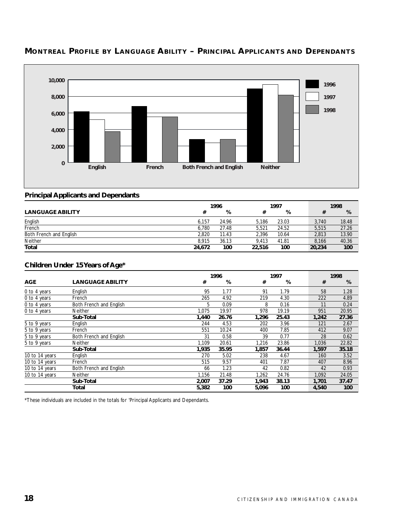

# **MONTREAL PROFILE BY LANGUAGE ABILITY – PRINCIPAL APPLICANTS AND DEPENDANTS**

#### **Principal Applicants and Dependants**

|                         |        | 1996  |        | 1997  |  |        | 1998  |  |  |
|-------------------------|--------|-------|--------|-------|--|--------|-------|--|--|
| <b>LANGUAGE ABILITY</b> | #      | %     |        | %     |  |        | %     |  |  |
| English                 | 6.157  | 24.96 | 5.186  | 23.03 |  | 3.740  | 18.48 |  |  |
| French                  | 6.780  | 27.48 | 5.521  | 24.52 |  | 5.515  | 27.26 |  |  |
| Both French and English | 2.820  | 11.43 | 2.396  | 10.64 |  | 2.813  | 13.90 |  |  |
| Neither                 | 8.915  | 36.13 | 9.413  | 41.81 |  | 8.166  | 40.36 |  |  |
| <b>Total</b>            | 24.672 | 100   | 22,516 | 100   |  | 20,234 | 100   |  |  |

# **Children Under 15 Years of Age\***

|                |                         |       | 1996  |       | 1997  |  |       | 1998  |
|----------------|-------------------------|-------|-------|-------|-------|--|-------|-------|
| <b>AGE</b>     | <b>LANGUAGE ABILITY</b> | #     | %     | #     | %     |  | #     | %     |
| 0 to 4 years   | English                 | 95    | 1.77  | 91    | 1.79  |  | 58    | 1.28  |
| 0 to 4 years   | French                  | 265   | 4.92  | 219   | 4.30  |  | 222   | 4.89  |
| 0 to 4 years   | Both French and English | 5     | 0.09  | 8     | 0.16  |  | 11    | 0.24  |
| 0 to 4 years   | Neither                 | 1.075 | 19.97 | 978   | 19.19 |  | 951   | 20.95 |
|                | Sub-Total               | 1,440 | 26.76 | 1,296 | 25.43 |  | 1,242 | 27.36 |
| 5 to 9 years   | English                 | 244   | 4.53  | 202   | 3.96  |  | 121   | 2.67  |
| 5 to 9 years   | French                  | 551   | 10.24 | 400   | 7.85  |  | 412   | 9.07  |
| 5 to 9 years   | Both French and English | 31    | 0.58  | 39    | 0.77  |  | 28    | 0.62  |
| 5 to 9 years   | <b>Neither</b>          | 1.109 | 20.61 | 1.216 | 23.86 |  | 1.036 | 22.82 |
|                | Sub-Total               | 1,935 | 35.95 | 1,857 | 36.44 |  | 1,597 | 35.18 |
| 10 to 14 years | English                 | 270   | 5.02  | 238   | 4.67  |  | 160   | 3.52  |
| 10 to 14 years | French                  | 515   | 9.57  | 401   | 7.87  |  | 407   | 8.96  |
| 10 to 14 years | Both French and English | 66    | 1.23  | 42    | 0.82  |  | 42    | 0.93  |
| 10 to 14 years | Neither                 | 1.156 | 21.48 | 1,262 | 24.76 |  | 1,092 | 24.05 |
|                | Sub-Total               | 2,007 | 37.29 | 1,943 | 38.13 |  | 1,701 | 37.47 |
|                | Total                   | 5,382 | 100   | 5,096 | 100   |  | 4,540 | 100   |

\*These individuals are included in the totals for 'Principal Applicants and Dependants.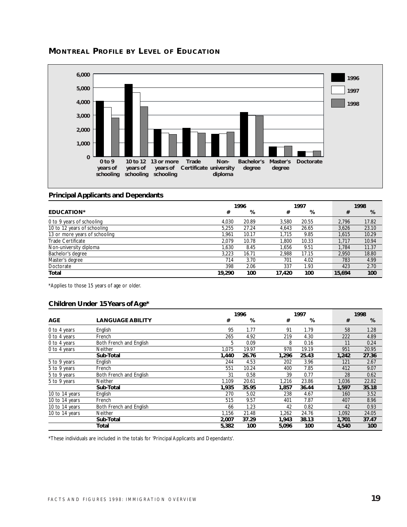



#### **Principal Applicants and Dependants**

|                               | 1996   |       |        | 1997  |  |        | 1998  |
|-------------------------------|--------|-------|--------|-------|--|--------|-------|
| <b>EDUCATION*</b>             | #      | %     | #      | %     |  | #      | %     |
| 0 to 9 years of schooling     | 4.030  | 20.89 | 3.580  | 20.55 |  | 2.796  | 17.82 |
| 10 to 12 years of schooling   | 5.255  | 27.24 | 4.643  | 26.65 |  | 3.626  | 23.10 |
| 13 or more years of schooling | 1.961  | 10.17 | 1.715  | 9.85  |  | 1.615  | 10.29 |
| Trade Certificate             | 2.079  | 10.78 | .800   | 10.33 |  | 1.717  | 10.94 |
| Non-university diploma        | 1.630  | 8.45  | 1.656  | 9.51  |  | 1.784  | 11.37 |
| Bachelor's degree             | 3.223  | 16.71 | 2.988  | 17.15 |  | 2.950  | 18.80 |
| Master's degree               | 714    | 3.70  | 701    | 4.02  |  | 783    | 4.99  |
| Doctorate                     | 398    | 2.06  | 337    | 1.93  |  | 423    | 2.70  |
| Total                         | 19,290 | 100   | 17.420 | 100   |  | 15,694 | 100   |

\*Applies to those 15 years of age or older.

#### **Children Under 15 Years of Age\***

|                |                         |       | 1996  |       |       | 1997 |       |       |
|----------------|-------------------------|-------|-------|-------|-------|------|-------|-------|
| <b>AGE</b>     | <b>LANGUAGE ABILITY</b> | #     | %     | #     | %     |      | #     | %     |
| 0 to 4 years   | English                 | 95    | 1.77  | 91    | 1.79  |      | 58    | 1.28  |
| 0 to 4 years   | French                  | 265   | 4.92  | 219   | 4.30  |      | 222   | 4.89  |
| 0 to 4 years   | Both French and English | 5     | 0.09  | 8     | 0.16  |      | 11    | 0.24  |
| 0 to 4 years   | Neither                 | 1,075 | 19.97 | 978   | 19.19 |      | 951   | 20.95 |
|                | Sub-Total               | 1,440 | 26.76 | 1,296 | 25.43 |      | 1,242 | 27.36 |
| 5 to 9 years   | English                 | 244   | 4.53  | 202   | 3.96  |      | 121   | 2.67  |
| 5 to 9 years   | French                  | 551   | 10.24 | 400   | 7.85  |      | 412   | 9.07  |
| 5 to 9 years   | Both French and English | 31    | 0.58  | 39    | 0.77  |      | 28    | 0.62  |
| 5 to 9 years   | Neither                 | 1,109 | 20.61 | 1,216 | 23.86 |      | 1,036 | 22.82 |
|                | Sub-Total               | 1,935 | 35.95 | 1,857 | 36.44 |      | 1,597 | 35.18 |
| 10 to 14 years | English                 | 270   | 5.02  | 238   | 4.67  |      | 160   | 3.52  |
| 10 to 14 years | French                  | 515   | 9.57  | 401   | 7.87  |      | 407   | 8.96  |
| 10 to 14 years | Both French and English | 66    | 1.23  | 42    | 0.82  |      | 42    | 0.93  |
| 10 to 14 years | Neither                 | 1,156 | 21.48 | 1,262 | 24.76 |      | 1,092 | 24.05 |
|                | Sub-Total               | 2,007 | 37.29 | 1,943 | 38.13 |      | 1,701 | 37.47 |
|                | Total                   | 5,382 | 100   | 5,096 | 100   |      | 4,540 | 100   |

\*These individuals are included in the totals for 'Principal Applicants and Dependants'.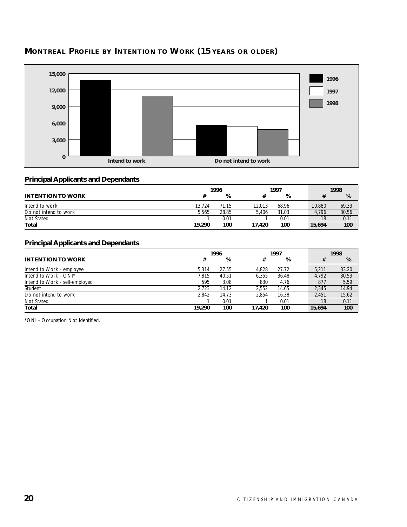

# **MONTREAL PROFILE BY INTENTION TO WORK (15 YEARS OR OLDER)**

# **Principal Applicants and Dependants**

|                          |        | 1996  |        |       |        | 1998 |       |  |
|--------------------------|--------|-------|--------|-------|--------|------|-------|--|
| <b>INTENTION TO WORK</b> |        | %     |        | %     |        |      | %     |  |
| Intend to work           | 13.724 | 71.15 | 12,013 | 68.96 | 10,880 |      | 69.33 |  |
| Do not intend to work    | 5.565  | 28.85 | 5.406  | 31.03 | 4.796  |      | 30.56 |  |
| Not Stated               |        | 0.01  |        | 0.01  |        | 18   | 0.11  |  |
| <b>Total</b>             | 19,290 | 100   | 17.420 | 100   | 15,694 |      | 100   |  |

# **Principal Applicants and Dependants**

|                                |        | 1996  | 1997   |       |  | 1998   |       |
|--------------------------------|--------|-------|--------|-------|--|--------|-------|
| <b>INTENTION TO WORK</b>       | #      | %     | #      | %     |  | #      | %     |
| Intend to Work - employee      | 5.314  | 27.55 | 4.828  | 27.72 |  | 5.211  | 33.20 |
| Intend to Work - ONI*          | 7.815  | 40.51 | 6.355  | 36.48 |  | 4.792  | 30.53 |
| Intend to Work - self-employed | 595    | 3.08  | 830    | 4.76  |  | 877    | 5.59  |
| Student                        | 2.723  | 14.12 | 2.552  | 14.65 |  | 2.345  | 14.94 |
| Do not intend to work          | 2.842  | 14.73 | 2.854  | 16.38 |  | 2.451  | 15.62 |
| Not Stated                     |        | 0.01  |        | 0.01  |  | 18     | 0.11  |
| Total                          | 19,290 | 100   | 17.420 | 100   |  | 15.694 | 100   |

\*ONI - Occupation Not Identified.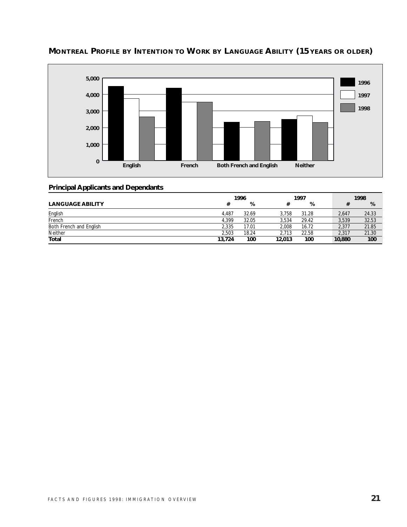

# **MONTREAL PROFILE BY INTENTION TO WORK BY LANGUAGE ABILITY (15 YEARS OR OLDER)**

|                         | 1996   |       |        | 1997  |        |       | 1998  |
|-------------------------|--------|-------|--------|-------|--------|-------|-------|
| <b>LANGUAGE ABILITY</b> |        | %     |        | %     |        |       | %     |
| English                 | 4.487  | 32.69 | 3.758  | 31.28 |        | 2.647 | 24.33 |
| French                  | 4.399  | 32.05 | 3.534  | 29.42 |        | 3,539 | 32.53 |
| Both French and English | 2.335  | 17.01 | 2.008  | 16.72 |        | 2.377 | 21.85 |
| Neither                 | 2.503  | 18.24 | 2.713  | 22.58 |        | 2.317 | 21.30 |
| Total                   | 13,724 | 100   | 12,013 | 100   | 10,880 |       | 100   |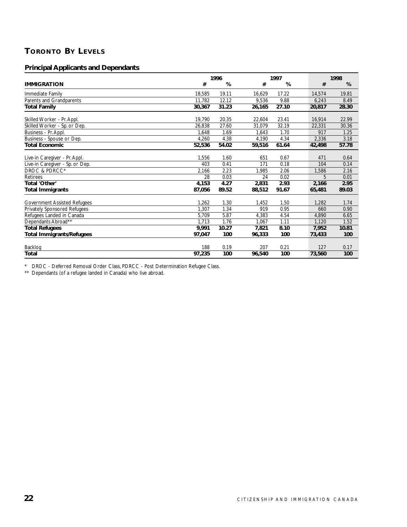# **TORONTO BY LEVELS**

# **Principal Applicants and Dependants**

|                                     | 1996   |       |        | 1997  |        | 1998  |
|-------------------------------------|--------|-------|--------|-------|--------|-------|
| <b>IMMIGRATION</b>                  | #      | %     | #      | %     | #      | %     |
| Immediate Family                    | 18,585 | 19.11 | 16,629 | 17.22 | 14,574 | 19.81 |
| Parents and Grandparents            | 11.782 | 12.12 | 9,536  | 9.88  | 6,243  | 8.49  |
| Total Family                        | 30,367 | 31.23 | 26,165 | 27.10 | 20.817 | 28.30 |
| Skilled Worker - Pr. Appl.          | 19.790 | 20.35 | 22,604 | 23.41 | 16.914 | 22.99 |
| Skilled Worker - Sp. or Dep.        | 26,838 | 27.60 | 31,079 | 32.19 | 22,331 | 30.36 |
| Business - Pr. Appl.                | 1,648  | 1.69  | 1,643  | 1.70  | 917    | 1.25  |
| Business - Spouse or Dep.           | 4,260  | 4.38  | 4,190  | 4.34  | 2,336  | 3.18  |
| Total Economic                      | 52,536 | 54.02 | 59,516 | 61.64 | 42,498 | 57.78 |
| Live-in Caregiver - Pr. Appl.       | 1,556  | 1.60  | 651    | 0.67  | 471    | 0.64  |
| Live-in Caregiver - Sp. or Dep.     | 403    | 0.41  | 171    | 0.18  | 104    | 0.14  |
| DROC & PDRCC*                       | 2,166  | 2.23  | 1.985  | 2.06  | 1,586  | 2.16  |
| <b>Retirees</b>                     | 28     | 0.03  | 24     | 0.02  | 5      | 0.01  |
| Total 'Other'                       | 4,153  | 4.27  | 2,831  | 2.93  | 2,166  | 2.95  |
| <b>Total Immigrants</b>             | 87,056 | 89.52 | 88,512 | 91.67 | 65,481 | 89.03 |
| <b>Government Assisted Refugees</b> | 1,262  | 1.30  | 1,452  | 1.50  | 1,282  | 1.74  |
| Privately Sponsored Refugees        | 1,307  | 1.34  | 919    | 0.95  | 660    | 0.90  |
| Refugees Landed in Canada           | 5,709  | 5.87  | 4,383  | 4.54  | 4,890  | 6.65  |
| Dependants Abroad**                 | 1,713  | 1.76  | 1,067  | 1.11  | 1,120  | 1.52  |
| <b>Total Refugees</b>               | 9,991  | 10.27 | 7,821  | 8.10  | 7,952  | 10.81 |
| <b>Total Immigrants/Refugees</b>    | 97,047 | 100   | 96,333 | 100   | 73,433 | 100   |
| Backlog                             | 188    | 0.19  | 207    | 0.21  | 127    | 0.17  |
| Total                               | 97,235 | 100   | 96,540 | 100   | 73,560 | 100   |

\* DROC - Deferred Removal Order Class, PDRCC - Post Determination Refugee Class.

\*\* Dependants (of a refugee landed in Canada) who live abroad.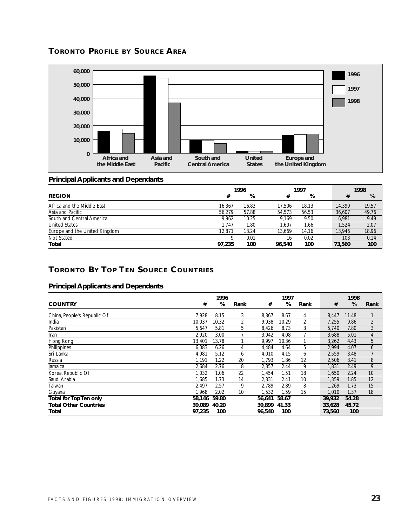



#### **Principal Applicants and Dependants**

|                               | 1996   |       |        | 1997  |  |        | 1998  |
|-------------------------------|--------|-------|--------|-------|--|--------|-------|
| <b>REGION</b>                 | #      | %     | #      | %     |  | #      | %     |
| Africa and the Middle East    | 16.367 | 16.83 | 17.506 | 18.13 |  | 14,399 | 19.57 |
| Asia and Pacific              | 56.279 | 57.88 | 54,573 | 56.53 |  | 36.607 | 49.76 |
| South and Central America     | 9.962  | 10.25 | 9.169  | 9.50  |  | 6.981  | 9.49  |
| <b>United States</b>          | 1.747  | 1.80  | 1.607  | 1.66  |  | 1.524  | 2.07  |
| Europe and the United Kingdom | 12.871 | 13.24 | 13.669 | 14.16 |  | 13.946 | 18.96 |
| Not Stated                    |        | 0.01  | 16     | 0.02  |  | 103    | 0.14  |
| Total                         | 97,235 | 100   | 96.540 | 100   |  | 73,560 | 100   |

# **TORONTO BY TOP TEN SOURCE COUNTRIES**

|                               |        | 1996  |      |        | 1997  |      |        | 1998  |                |
|-------------------------------|--------|-------|------|--------|-------|------|--------|-------|----------------|
| <b>COUNTRY</b>                | #      | %     | Rank | #      | %     | Rank | #      | %     | Rank           |
| China, People's Republic Of   | 7.928  | 8.15  | 3    | 8,367  | 8.67  | 4    | 8,447  | 11.48 |                |
| India                         | 10.037 | 10.32 | 2    | 9,938  | 10.29 | 2    | 7,255  | 9.86  | $\overline{2}$ |
| Pakistan                      | 5,647  | 5.81  | 5    | 8,426  | 8.73  | 3    | 5,740  | 7.80  | 3              |
| Iran                          | 2,920  | 3.00  |      | 3,942  | 4.08  |      | 3,688  | 5.01  | 4              |
| Hong Kong                     | 13,401 | 13.78 |      | 9,997  | 10.36 |      | 3,262  | 4.43  | 5              |
| Philippines                   | 6,083  | 6.26  | 4    | 4,484  | 4.64  | 5    | 2,994  | 4.07  | 6              |
| Sri Lanka                     | 4,981  | 5.12  | 6    | 4,010  | 4.15  | 6    | 2,559  | 3.48  | $\overline{7}$ |
| Russia                        | 1.191  | 1.22  | 20   | 1,793  | 1.86  | 12   | 2,506  | 3.41  | 8              |
| Jamaica                       | 2,684  | 2.76  | 8    | 2,357  | 2.44  | 9    | 1,831  | 2.49  | 9              |
| Korea, Republic Of            | 1,032  | 1.06  | 22   | 1,454  | 1.51  | 18   | 1,650  | 2.24  | 10             |
| Saudi Arabia                  | 1.685  | 1.73  | 14   | 2,331  | 2.41  | 10   | 1,359  | 1.85  | 12             |
| Taiwan                        | 2.497  | 2.57  | 9    | 2,789  | 2.89  | 8    | 1.269  | 1.73  | 15             |
| Guyana                        | 1.968  | 2.02  | 10   | 1,532  | 1.59  | 15   | 1.010  | 1.37  | 18             |
| <b>Total for Top Ten only</b> | 58,146 | 59.80 |      | 56,641 | 58.67 |      | 39,932 | 54.28 |                |
| <b>Total Other Countries</b>  | 39,089 | 40.20 |      | 39,899 | 41.33 |      | 33,628 | 45.72 |                |
| Total                         | 97,235 | 100   |      | 96.540 | 100   |      | 73,560 | 100   |                |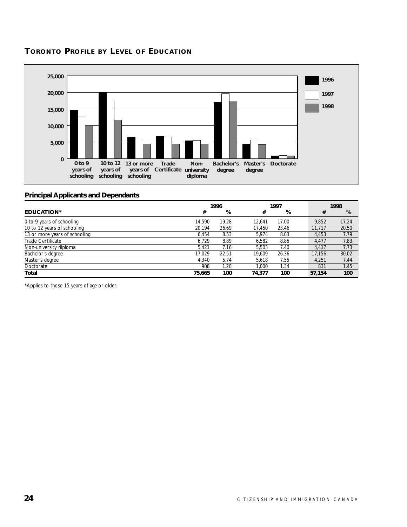# **TORONTO PROFILE BY LEVEL OF EDUCATION**



#### **Principal Applicants and Dependants**

|                               | 1996   |       | 1997   |       |  | 1998   |       |
|-------------------------------|--------|-------|--------|-------|--|--------|-------|
| <b>EDUCATION*</b>             | #      | %     | #      | %     |  | #      | %     |
| 0 to 9 years of schooling     | 14.590 | 19.28 | 12.641 | 17.00 |  | 9.852  | 17.24 |
| 10 to 12 years of schooling   | 20.194 | 26.69 | 17.450 | 23.46 |  | 11,717 | 20.50 |
| 13 or more years of schooling | 6.454  | 8.53  | 5.974  | 8.03  |  | 4.453  | 7.79  |
| Trade Certificate             | 6.729  | 8.89  | 6.582  | 8.85  |  | 4.477  | 7.83  |
| Non-university diploma        | 5.421  | 7.16  | 5.503  | 7.40  |  | 4.417  | 7.73  |
| Bachelor's degree             | 17.029 | 22.51 | 19.609 | 26.36 |  | 17,156 | 30.02 |
| Master's degree               | 4.340  | 5.74  | 5.618  | 7.55  |  | 4.251  | 7.44  |
| Doctorate                     | 908    | 1.20  | 1.000  | 1.34  |  | 831    | 1.45  |
| Total                         | 75,665 | 100   | 74,377 | 100   |  | 57,154 | 100   |

\*Applies to those 15 years of age or older.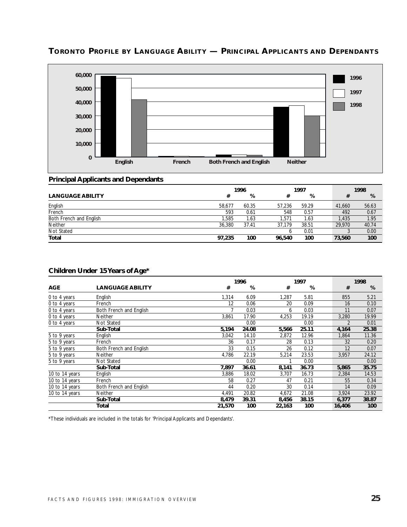

# **TORONTO PROFILE BY LANGUAGE ABILITY — PRINCIPAL APPLICANTS AND DEPENDANTS**

#### **Principal Applicants and Dependants**

|                         | 1996   |       | 1997   |       |  | 1998   |       |
|-------------------------|--------|-------|--------|-------|--|--------|-------|
| <b>LANGUAGE ABILITY</b> | #      | %     | #      | %     |  |        | %     |
| English                 | 58.677 | 60.35 | 57.236 | 59.29 |  | 41.660 | 56.63 |
| French                  | 593    | 0.61  | 548    | 0.57  |  | 492    | 0.67  |
| Both French and English | 1.585  | 1.63  | 1.571  | 1.63  |  | 1.435  | 1.95  |
| Neither                 | 36,380 | 37.41 | 37.179 | 38.51 |  | 29,970 | 40.74 |
| Not Stated              |        |       |        | 0.01  |  |        | 0.00  |
| Total                   | 97,235 | 100   | 96,540 | 100   |  | 73,560 | 100   |

#### **Children Under 15 Years of Age\***

|                |                         |        | 1996  |        |       | 1998   |       |  |
|----------------|-------------------------|--------|-------|--------|-------|--------|-------|--|
| <b>AGE</b>     | <b>LANGUAGE ABILITY</b> | #      | %     | #      | %     | #      | %     |  |
| 0 to 4 years   | English                 | 1,314  | 6.09  | 1,287  | 5.81  | 855    | 5.21  |  |
| 0 to 4 years   | French                  | 12     | 0.06  | 20     | 0.09  | 16     | 0.10  |  |
| 0 to 4 years   | Both French and English |        | 0.03  | 6      | 0.03  | 11     | 0.07  |  |
| 0 to 4 years   | <b>Neither</b>          | 3,861  | 17.90 | 4,253  | 19.19 | 3,280  | 19.99 |  |
| 0 to 4 years   | Not Stated              |        | 0.00  |        | 0.00  |        | 0.01  |  |
|                | Sub-Total               | 5,194  | 24.08 | 5,566  | 25.11 | 4,164  | 25.38 |  |
| 5 to 9 years   | English                 | 3,042  | 14.10 | 2,872  | 12.96 | 1,864  | 11.36 |  |
| 5 to 9 years   | French                  | 36     | 0.17  | 28     | 0.13  | 32     | 0.20  |  |
| 5 to 9 years   | Both French and English | 33     | 0.15  | 26     | 0.12  | 12     | 0.07  |  |
| 5 to 9 years   | Neither                 | 4,786  | 22.19 | 5,214  | 23.53 | 3,957  | 24.12 |  |
| 5 to 9 years   | Not Stated              |        | 0.00  |        | 0.00  |        | 0.00  |  |
|                | Sub-Total               | 7,897  | 36.61 | 8,141  | 36.73 | 5,865  | 35.75 |  |
| 10 to 14 years | English                 | 3,886  | 18.02 | 3,707  | 16.73 | 2,384  | 14.53 |  |
| 10 to 14 years | French                  | 58     | 0.27  | 47     | 0.21  | 55     | 0.34  |  |
| 10 to 14 years | Both French and English | 44     | 0.20  | 30     | 0.14  | 14     | 0.09  |  |
| 10 to 14 years | <b>Neither</b>          | 4,491  | 20.82 | 4,672  | 21.08 | 3,924  | 23.92 |  |
|                | Sub-Total               | 8,479  | 39.31 | 8,456  | 38.15 | 6,377  | 38.87 |  |
|                | Total                   | 21,570 | 100   | 22,163 | 100   | 16,406 | 100   |  |

\*These individuals are included in the totals for 'Principal Applicants and Dependants'.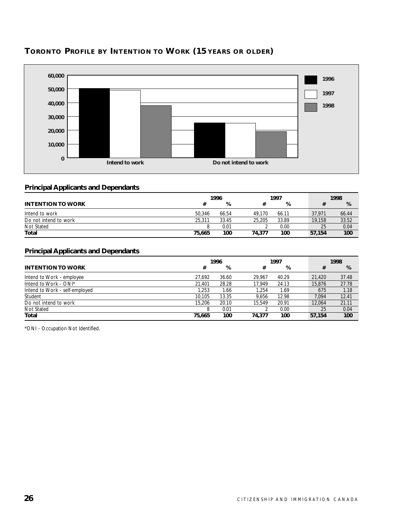

# **TORONTO PROFILE BY INTENTION TO WORK (15 YEARS OR OLDER)**

# **Principal Applicants and Dependants**

|                          | 1996   |       | 1997   |       | 1998   |            |  |
|--------------------------|--------|-------|--------|-------|--------|------------|--|
| <b>INTENTION TO WORK</b> |        | %     |        | %     |        | %          |  |
| Intend to work           | 50.346 | 66.54 | 49.170 | 66.11 | 37.971 | 66.44      |  |
| Do not intend to work    | 25.311 | 33.45 | 25.205 | 33.89 | 19.158 | 33.52      |  |
| Not Stated               |        | 0.01  |        | 0.00  |        | 0.04<br>25 |  |
| Total                    | 75.665 | 100   | 74.377 | 100   | 57.154 | 100        |  |

# **Principal Applicants and Dependants**

|                                | 1996   |       |        | 1997  |  |        | 1998  |
|--------------------------------|--------|-------|--------|-------|--|--------|-------|
| <b>INTENTION TO WORK</b>       | #      | %     | #      | %     |  | #      | %     |
| Intend to Work - employee      | 27.692 | 36.60 | 29.967 | 40.29 |  | 21,420 | 37.48 |
| Intend to Work - ONI*          | 21.401 | 28.28 | 17.949 | 24.13 |  | 15.876 | 27.78 |
| Intend to Work - self-employed | 1.253  | 1.66  | 1.254  | 1.69  |  | 675    | 1.18  |
| Student                        | 10.105 | 13.35 | 9.656  | 12.98 |  | 7.094  | 12.41 |
| Do not intend to work          | 15.206 | 20.10 | 15.549 | 20.91 |  | 12,064 | 21.11 |
| Not Stated                     | 8      | 0.01  |        | 0.00  |  | 25     | 0.04  |
| Total                          | 75,665 | 100   | 74.377 | 100   |  | 57.154 | 100   |

\*ONI - Occupation Not Identified.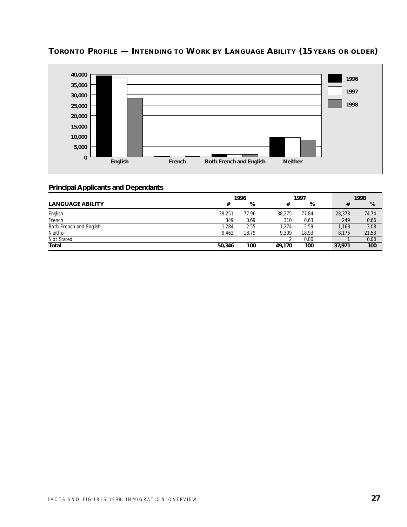

# **TORONTO PROFILE — INTENDING TO WORK BY LANGUAGE ABILITY (15 YEARS OR OLDER)**

|                         | 1996   |       |        | 1997  |  |        | 1998  |  |  |
|-------------------------|--------|-------|--------|-------|--|--------|-------|--|--|
| <b>LANGUAGE ABILITY</b> | #      | %     | #      | %     |  |        | %     |  |  |
| English                 | 39.251 | 77.96 | 38,275 | 77.84 |  | 28,378 | 74.74 |  |  |
| French                  | 349    | 0.69  | 310    | 0.63  |  | 249    | 0.66  |  |  |
| Both French and English | .284   | 2.55  | .274   | 2.59  |  | 1.168  | 3.08  |  |  |
| Neither                 | 9.462  | 18.79 | 9.309  | 18.93 |  | 8.175  | 21.53 |  |  |
| Not Stated              |        |       |        | 0.00  |  |        | 0.00  |  |  |
| Total                   | 50,346 | 100   | 49.170 | 100   |  | 37,971 | 100   |  |  |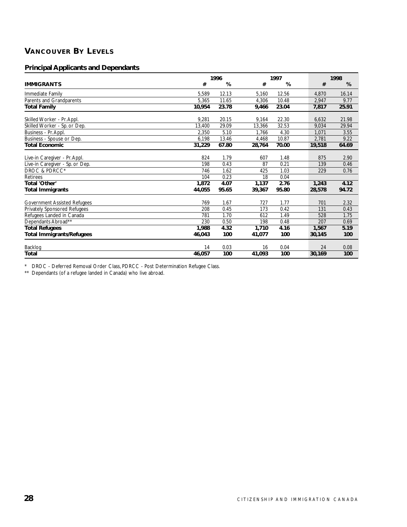# **VANCOUVER BY LEVELS**

# **Principal Applicants and Dependants**

|                                     |        | 1996  |        | 1997  |        | 1998  |  |  |
|-------------------------------------|--------|-------|--------|-------|--------|-------|--|--|
| <b>IMMIGRANTS</b>                   | #      | %     | #      | %     | #      | %     |  |  |
| Immediate Family                    | 5,589  | 12.13 | 5,160  | 12.56 | 4,870  | 16.14 |  |  |
| Parents and Grandparents            | 5,365  | 11.65 | 4,306  | 10.48 | 2,947  | 9.77  |  |  |
| <b>Total Family</b>                 | 10,954 | 23.78 | 9,466  | 23.04 | 7,817  | 25.91 |  |  |
| Skilled Worker - Pr. Appl.          | 9,281  | 20.15 | 9,164  | 22.30 | 6,632  | 21.98 |  |  |
| Skilled Worker - Sp. or Dep.        | 13,400 | 29.09 | 13,366 | 32.53 | 9.034  | 29.94 |  |  |
| Business - Pr. Appl.                | 2,350  | 5.10  | 1.766  | 4.30  | 1.071  | 3.55  |  |  |
| Business - Spouse or Dep.           | 6,198  | 13.46 | 4,468  | 10.87 | 2,781  | 9.22  |  |  |
| <b>Total Economic</b>               | 31,229 | 67.80 | 28,764 | 70.00 | 19,518 | 64.69 |  |  |
| Live-in Caregiver - Pr. Appl.       | 824    | 1.79  | 607    | 1.48  | 875    | 2.90  |  |  |
| Live-in Caregiver - Sp. or Dep.     | 198    | 0.43  | 87     | 0.21  | 139    | 0.46  |  |  |
| DROC & PDRCC*                       | 746    | 1.62  | 425    | 1.03  | 229    | 0.76  |  |  |
| <b>Retirees</b>                     | 104    | 0.23  | 18     | 0.04  |        |       |  |  |
| Total 'Other'                       | 1.872  | 4.07  | 1,137  | 2.76  | 1,243  | 4.12  |  |  |
| <b>Total Immigrants</b>             | 44,055 | 95.65 | 39,367 | 95.80 | 28,578 | 94.72 |  |  |
| <b>Government Assisted Refugees</b> | 769    | 1.67  | 727    | 1.77  | 701    | 2.32  |  |  |
| <b>Privately Sponsored Refugees</b> | 208    | 0.45  | 173    | 0.42  | 131    | 0.43  |  |  |
| Refugees Landed in Canada           | 781    | 1.70  | 612    | 1.49  | 528    | 1.75  |  |  |
| Dependants Abroad**                 | 230    | 0.50  | 198    | 0.48  | 207    | 0.69  |  |  |
| <b>Total Refugees</b>               | 1,988  | 4.32  | 1,710  | 4.16  | 1,567  | 5.19  |  |  |
| <b>Total Immigrants/Refugees</b>    | 46,043 | 100   | 41,077 | 100   | 30,145 | 100   |  |  |
| Backlog                             | 14     | 0.03  | 16     | 0.04  | 24     | 0.08  |  |  |
| <b>Total</b>                        | 46,057 | 100   | 41,093 | 100   | 30,169 | 100   |  |  |

\* DROC - Deferred Removal Order Class, PDRCC - Post Determination Refugee Class.

\*\* Dependants (of a refugee landed in Canada) who live abroad.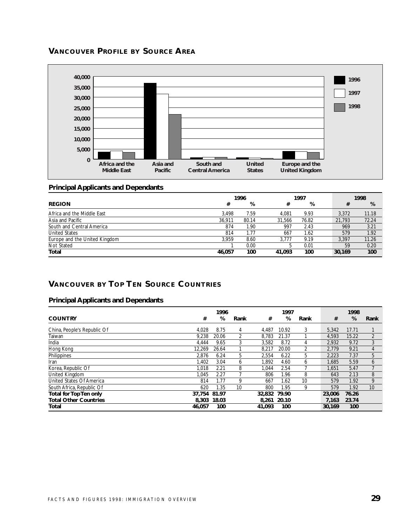# **VANCOUVER PROFILE BY SOURCE AREA**



# **Principal Applicants and Dependants**

| 1996                          |        |       |              | 1997  | 1998   |       |  |
|-------------------------------|--------|-------|--------------|-------|--------|-------|--|
| <b>REGION</b>                 | #      | %     | #            | %     | #      | %     |  |
| Africa and the Middle East    | 3.498  | 7.59  | 4.081        | 9.93  | 3.372  | 11.18 |  |
| Asia and Pacific              | 36.911 | 80.14 | 31.566       | 76.82 | 21,793 | 72.24 |  |
| South and Central America     | 874    | 1.90  | 997          | 2.43  | 969    | 3.21  |  |
| <b>United States</b>          | 814    | 1.77  | 667          | 1.62  | 579    | 1.92  |  |
| Europe and the United Kingdom | 3.959  | 8.60  | 3.777        | 9.19  | 3.397  | 11.26 |  |
| Not Stated                    |        | 0.00  | <sub>5</sub> | 0.01  | 59     | 0.20  |  |
| Total                         | 46.057 | 100   | 41.093       | 100   | 30.169 | 100   |  |

# **VANCOUVER BY TOP TEN SOURCE COUNTRIES**

|                              | 1996   |       |                |              | 1997  |                | 1998   |       |                |
|------------------------------|--------|-------|----------------|--------------|-------|----------------|--------|-------|----------------|
| <b>COUNTRY</b>               | #      | %     | Rank           | #            | %     | Rank           | #      | %     | Rank           |
| China, People's Republic Of  | 4,028  | 8.75  | 4              | 4,487        | 10.92 | 3              | 5,342  | 17.71 |                |
| Taiwan                       | 9.238  | 20.06 | $\overline{2}$ | 8.783        | 21.37 |                | 4,593  | 15.22 | $\overline{2}$ |
| India                        | 4.444  | 9.65  | 3              | 3.582        | 8.72  | 4              | 2.932  | 9.72  | 3              |
| Hong Kong                    | 12.269 | 26.64 |                | 8.217        | 20.00 | $\overline{2}$ | 2.779  | 9.21  | 4              |
| Philippines                  | 2.876  | 6.24  | 5              | 2.554        | 6.22  | 5              | 2.223  | 7.37  | 5              |
| Iran                         | 1.402  | 3.04  | 6              | 1,892        | 4.60  | 6              | 1.685  | 5.59  | 6              |
| Korea, Republic Of           | 1.018  | 2.21  | 8              | 1,044        | 2.54  |                | 1.651  | 5.47  |                |
| United Kingdom               | 1.045  | 2.27  |                | 806          | 1.96  | 8              | 643    | 2.13  | 8              |
| United States Of America     | 814    | 1.77  | 9              | 667          | 1.62  | 10             | 579    | 1.92  | 9              |
| South Africa, Republic Of    | 620    | 1.35  | 10             | 800          | 1.95  | 9              | 579    | 1.92  | 10             |
| Total for Top Ten only       | 37.754 | 81.97 |                | 32.832 79.90 |       |                | 23,006 | 76.26 |                |
| <b>Total Other Countries</b> | 8,303  | 18.03 |                | 8.261 20.10  |       |                | 7.163  | 23.74 |                |
| Total                        | 46.057 | 100   |                | 41.093       | 100   |                | 30,169 | 100   |                |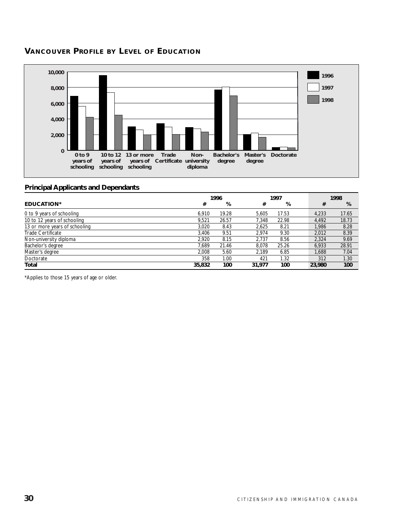# **VANCOUVER PROFILE BY LEVEL OF EDUCATION**



# **Principal Applicants and Dependants**

|                               |        | 1996  |        | 1997  |  |        | 1998  |
|-------------------------------|--------|-------|--------|-------|--|--------|-------|
| <b>EDUCATION*</b>             | #      | %     | #      | %     |  | #      | %     |
| 0 to 9 years of schooling     | 6.910  | 19.28 | 5.605  | 17.53 |  | 4,233  | 17.65 |
| 10 to 12 years of schooling   | 9.521  | 26.57 | 7.348  | 22.98 |  | 4.492  | 18.73 |
| 13 or more years of schooling | 3.020  | 8.43  | 2.625  | 8.21  |  | 1.986  | 8.28  |
| Trade Certificate             | 3.406  | 9.51  | 2.974  | 9.30  |  | 2.012  | 8.39  |
| Non-university diploma        | 2.920  | 8.15  | 2.737  | 8.56  |  | 2.324  | 9.69  |
| Bachelor's degree             | 7.689  | 21.46 | 8.078  | 25.26 |  | 6.933  | 28.91 |
| Master's degree               | 2.008  | 5.60  | 2.189  | 6.85  |  | 1,688  | 7.04  |
| Doctorate                     | 358    | 1.00  | 421    | 1.32  |  | 312    | 1.30  |
| Total                         | 35,832 | 100   | 31,977 | 100   |  | 23,980 | 100   |

\*Applies to those 15 years of age or older.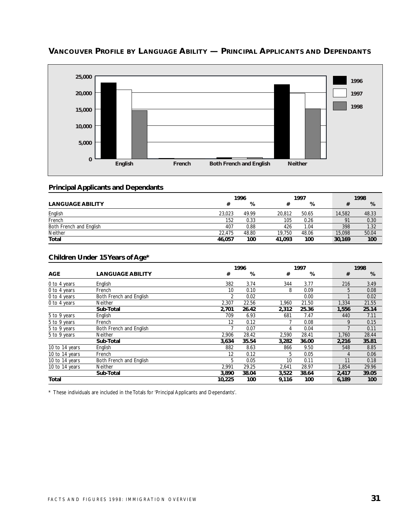

# **VANCOUVER PROFILE BY LANGUAGE ABILITY — PRINCIPAL APPLICANTS AND DEPENDANTS**

#### **Principal Applicants and Dependants**

|                         | 1996   |       | 1997   |       |  | 1998   |       |
|-------------------------|--------|-------|--------|-------|--|--------|-------|
| <b>LANGUAGE ABILITY</b> |        | %     |        | %     |  |        | %     |
| English                 | 23.023 | 49.99 | 20.812 | 50.65 |  | 14,582 | 48.33 |
| French                  | 152    | 0.33  | 105    | 0.26  |  | 91     | 0.30  |
| Both French and English | 407    | 0.88  | 426    | 1.04  |  | 398    | 1.32  |
| Neither                 | 22.475 | 48.80 | 19.750 | 48.06 |  | 15,098 | 50.04 |
| <b>Total</b>            | 46,057 | 100   | 41.093 | 100   |  | 30,169 | 100   |

#### **Children Under 15 Years of Age\***

|                |                         |        | 1996  |       | 1997  | 1998  |       |  |
|----------------|-------------------------|--------|-------|-------|-------|-------|-------|--|
| <b>AGE</b>     | <b>LANGUAGE ABILITY</b> | #      | %     | #     | %     | #     | %     |  |
| 0 to 4 years   | English                 | 382    | 3.74  | 344   | 3.77  | 216   | 3.49  |  |
| 0 to 4 years   | French                  | 10     | 0.10  | 8     | 0.09  | 5     | 0.08  |  |
| 0 to 4 years   | Both French and English | 2      | 0.02  |       | 0.00  |       | 0.02  |  |
| 0 to 4 years   | <b>Neither</b>          | 2,307  | 22.56 | 1,960 | 21.50 | 1,334 | 21.55 |  |
|                | Sub-Total               | 2,701  | 26.42 | 2,312 | 25.36 | 1,556 | 25.14 |  |
| 5 to 9 years   | English                 | 709    | 6.93  | 681   | 7.47  | 440   | 7.11  |  |
| 5 to 9 years   | French                  | 12     | 0.12  |       | 0.08  | 9     | 0.15  |  |
| 5 to 9 years   | Both French and English |        | 0.07  | 4     | 0.04  |       | 0.11  |  |
| 5 to 9 years   | <b>Neither</b>          | 2,906  | 28.42 | 2,590 | 28.41 | 1,760 | 28.44 |  |
|                | Sub-Total               | 3,634  | 35.54 | 3,282 | 36.00 | 2,216 | 35.81 |  |
| 10 to 14 years | English                 | 882    | 8.63  | 866   | 9.50  | 548   | 8.85  |  |
| 10 to 14 years | French                  | 12     | 0.12  | 5     | 0.05  | 4     | 0.06  |  |
| 10 to 14 years | Both French and English | 5      | 0.05  | 10    | 0.11  | 11    | 0.18  |  |
| 10 to 14 years | <b>Neither</b>          | 2,991  | 29.25 | 2,641 | 28.97 | 1,854 | 29.96 |  |
|                | Sub-Total               | 3,890  | 38.04 | 3,522 | 38.64 | 2,417 | 39.05 |  |
| <b>Total</b>   |                         | 10,225 | 100   | 9,116 | 100   | 6,189 | 100   |  |

\* These individuals are included in the Totals for 'Principal Applicants and Dependants'.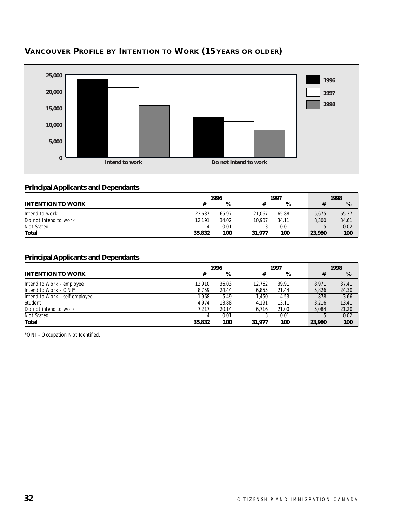

# **VANCOUVER PROFILE BY INTENTION TO WORK (15 YEARS OR OLDER)**

# **Principal Applicants and Dependants**

|                          |        | 1996  |        | 1997  |        | 1998  |
|--------------------------|--------|-------|--------|-------|--------|-------|
| <b>INTENTION TO WORK</b> |        | %     |        | %     |        | %     |
| Intend to work           | 23.637 | 65.97 | 21.067 | 65.88 | 15,675 | 65.37 |
| Do not intend to work    | 12.191 | 34.02 | 10.907 | 34.11 | 8.300  | 34.61 |
| Not Stated               |        | 0.01  |        | 0.01  |        | 0.02  |
| Total                    | 35,832 | 100   | 31,977 | 100   | 23,980 | 100   |

# **Principal Applicants and Dependants**

|                                |        | 1996  |        | 1997  |  |        | 1998  |
|--------------------------------|--------|-------|--------|-------|--|--------|-------|
| <b>INTENTION TO WORK</b>       | #      | %     | #      | %     |  | #      | %     |
| Intend to Work - employee      | 12.910 | 36.03 | 12.762 | 39.91 |  | 8.971  | 37.41 |
| Intend to Work - ONI*          | 8.759  | 24.44 | 6.855  | 21.44 |  | 5.826  | 24.30 |
| Intend to Work - self-employed | 1.968  | 5.49  | 1.450  | 4.53  |  | 878    | 3.66  |
| Student                        | 4.974  | 13.88 | 4.191  | 13.11 |  | 3.216  | 13.41 |
| Do not intend to work          | 7.217  | 20.14 | 6.716  | 21.00 |  | 5.084  | 21.20 |
| Not Stated                     |        | 0.01  |        | 0.01  |  |        | 0.02  |
| Total                          | 35,832 | 100   | 31,977 | 100   |  | 23,980 | 100   |

\*ONI - Occupation Not Identified.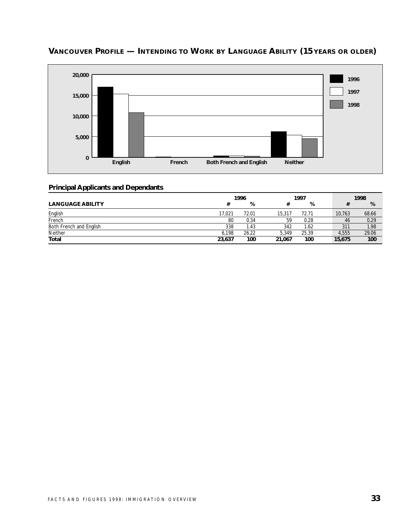

# **VANCOUVER PROFILE — INTENDING TO WORK BY LANGUAGE ABILITY (15 YEARS OR OLDER)**

|                         | 1996   |       |        | 1997  |  |        | 1998  |
|-------------------------|--------|-------|--------|-------|--|--------|-------|
| <b>LANGUAGE ABILITY</b> |        | %     |        | %     |  |        | %     |
| English                 | 17,021 | 72.01 | 15.317 | 72.71 |  | 10.763 | 68.66 |
| French                  | 80     | 0.34  | 59     | 0.28  |  | 46     | 0.29  |
| Both French and English | 338    | 1.43  | 342    | 1.62  |  | 311    | 1.98  |
| Neither                 | 6.198  | 26.22 | 5.349  | 25.39 |  | 4.555  | 29.06 |
| Total                   | 23,637 | 100   | 21.067 | 100   |  | 15,675 | 100   |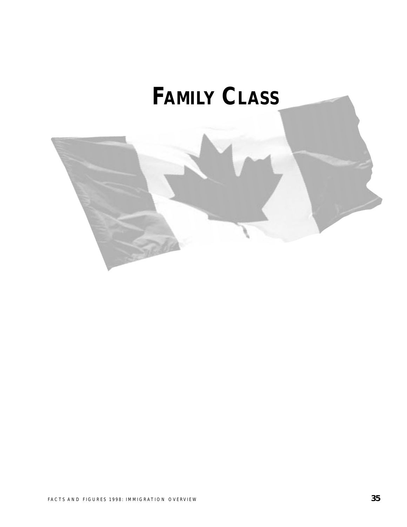# **FAMILY CLASS**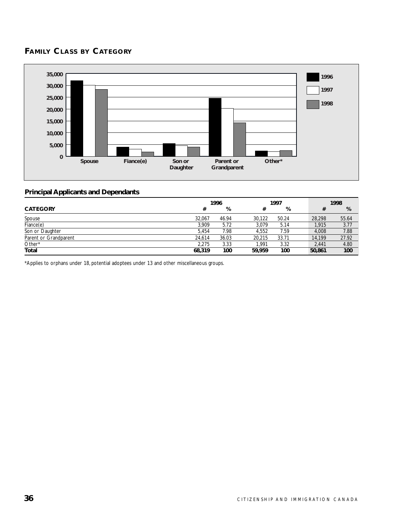# **FAMILY CLASS BY CATEGORY**



#### **Principal Applicants and Dependants**

|                       |        | 1996  |        | 1997  |  |        | 1998  |
|-----------------------|--------|-------|--------|-------|--|--------|-------|
| <b>CATEGORY</b>       | #      | %     | #      | %     |  |        | %     |
| Spouse                | 32.067 | 46.94 | 30.122 | 50.24 |  | 28,298 | 55.64 |
| Fiance(e)             | 3.909  | 5.72  | 3,079  | 5.14  |  | 1,915  | 3.77  |
| Son or Daughter       | 5.454  | 7.98  | 4.552  | 7.59  |  | 4.008  | 7.88  |
| Parent or Grandparent | 24.614 | 36.03 | 20.215 | 33.71 |  | 14,199 | 27.92 |
| Other*                | 2.275  | 3.33  | 1.991  | 3.32  |  | 2.441  | 4.80  |
| <b>Total</b>          | 68,319 | 100   | 59.959 | 100   |  | 50,861 | 100   |

\*Applies to orphans under 18, potential adoptees under 13 and other miscellaneous groups.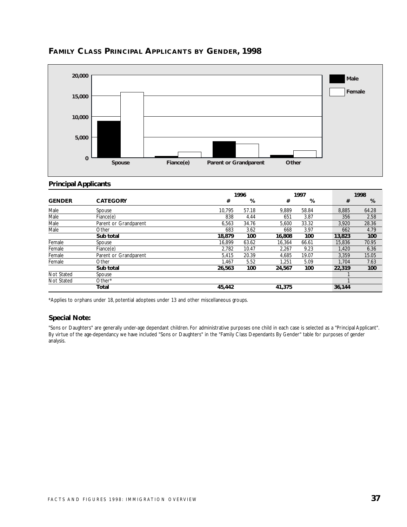

## **FAMILY CLASS PRINCIPAL APPLICANTS BY GENDER, 1998**

#### **Principal Applicants**

|               |                       |        | 1996  |        |       |        | 1998  |
|---------------|-----------------------|--------|-------|--------|-------|--------|-------|
| <b>GENDER</b> | <b>CATEGORY</b>       | #      | %     | #      | %     | #      | %     |
| Male          | Spouse                | 10.795 | 57.18 | 9.889  | 58.84 | 8,885  | 64.28 |
| Male          | Fiance(e)             | 838    | 4.44  | 651    | 3.87  | 356    | 2.58  |
| Male          | Parent or Grandparent | 6.563  | 34.76 | 5,600  | 33.32 | 3,920  | 28.36 |
| Male          | Other                 | 683    | 3.62  | 668    | 3.97  | 662    | 4.79  |
|               | Sub total             | 18,879 | 100   | 16,808 | 100   | 13,823 | 100   |
| Female        | Spouse                | 16.899 | 63.62 | 16,364 | 66.61 | 15,836 | 70.95 |
| Female        | Fiance(e)             | 2.782  | 10.47 | 2.267  | 9.23  | 1,420  | 6.36  |
| Female        | Parent or Grandparent | 5,415  | 20.39 | 4,685  | 19.07 | 3,359  | 15.05 |
| Female        | Other                 | 1.467  | 5.52  | 1.251  | 5.09  | 1.704  | 7.63  |
|               | Sub total             | 26,563 | 100   | 24,567 | 100   | 22,319 | 100   |
| Not Stated    | Spouse                |        |       |        |       |        |       |
| Not Stated    | Other*                |        |       |        |       |        |       |
|               | Total                 | 45,442 |       | 41,375 |       | 36,144 |       |

\*Applies to orphans under 18, potential adoptees under 13 and other miscellaneous groups.

#### **Special Note:**

"Sons or Daughters" are generally under-age dependant children. For administrative purposes one child in each case is selected as a "Principal Applicant". By virtue of the age-dependancy we have included "Sons or Daughters" in the "Family Class Dependants By Gender" table for purposes of gender analysis.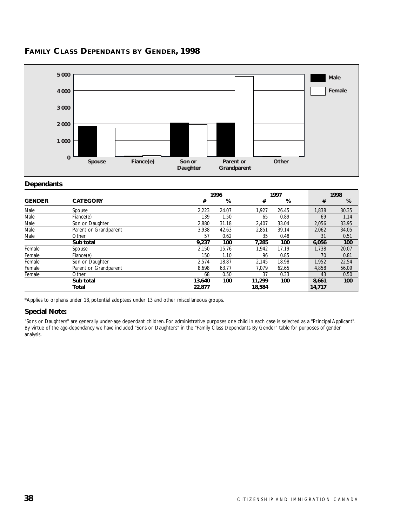

# **FAMILY CLASS DEPENDANTS BY GENDER, 1998**

#### **Dependants**

|               |                       |        | 1996  |        | 1997  |  |        | 1998  |
|---------------|-----------------------|--------|-------|--------|-------|--|--------|-------|
| <b>GENDER</b> | <b>CATEGORY</b>       | #      | %     | #      | %     |  | #      | %     |
| Male          | Spouse                | 2,223  | 24.07 | 1,927  | 26.45 |  | 1,838  | 30.35 |
| Male          | Fiance(e)             | 139    | 1.50  | 65     | 0.89  |  | 69     | 1.14  |
| Male          | Son or Daughter       | 2.880  | 31.18 | 2,407  | 33.04 |  | 2,056  | 33.95 |
| Male          | Parent or Grandparent | 3,938  | 42.63 | 2,851  | 39.14 |  | 2,062  | 34.05 |
| Male          | Other                 | 57     | 0.62  | 35     | 0.48  |  | 31     | 0.51  |
|               | Sub total             | 9,237  | 100   | 7,285  | 100   |  | 6,056  | 100   |
| Female        | Spouse                | 2,150  | 15.76 | 1.942  | 17.19 |  | 1,738  | 20.07 |
| Female        | Fiance(e)             | 150    | 1.10  | 96     | 0.85  |  | 70     | 0.81  |
| Female        | Son or Daughter       | 2,574  | 18.87 | 2,145  | 18.98 |  | 1,952  | 22.54 |
| Female        | Parent or Grandparent | 8.698  | 63.77 | 7.079  | 62.65 |  | 4,858  | 56.09 |
| Female        | Other                 | 68     | 0.50  | 37     | 0.33  |  | 43     | 0.50  |
|               | Sub total             | 13,640 | 100   | 11.299 | 100   |  | 8,661  | 100   |
|               | Total                 | 22.877 |       | 18,584 |       |  | 14,717 |       |

\*Applies to orphans under 18, potential adoptees under 13 and other miscellaneous groups.

#### **Special Note:**

"Sons or Daughters" are generally under-age dependant children. For administrative purposes one child in each case is selected as a "Principal Applicant". By virtue of the age-dependancy we have included "Sons or Daughters" in the "Family Class Dependants By Gender" table for purposes of gender analysis.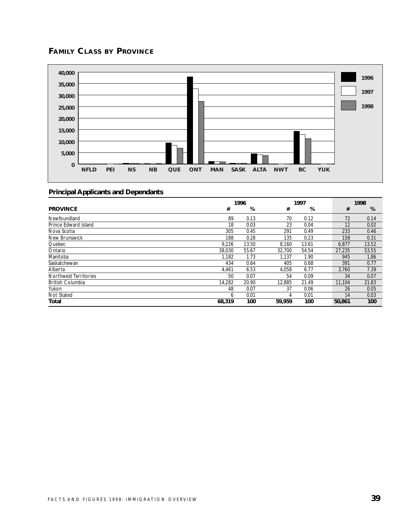# **FAMILY CLASS BY PROVINCE**



|                              |        | 1996  |        | 1997  |  |        | 1998  |
|------------------------------|--------|-------|--------|-------|--|--------|-------|
| <b>PROVINCE</b>              | #      | %     | #      | %     |  | #      | %     |
| Newfoundland                 | 89     | 0.13  | 70     | 0.12  |  | 72     | 0.14  |
| Prince Edward Island         | 18     | 0.03  | 23     | 0.04  |  | 12     | 0.02  |
| Nova Scotia                  | 305    | 0.45  | 291    | 0.49  |  | 233    | 0.46  |
| New Brunswick                | 188    | 0.28  | 135    | 0.23  |  | 158    | 0.31  |
| Quebec                       | 9,226  | 13.50 | 8,160  | 13.61 |  | 6,877  | 13.52 |
| Ontario                      | 38,030 | 55.67 | 32.700 | 54.54 |  | 27.235 | 53.55 |
| Manitoba                     | 1,182  | 1.73  | 1,137  | 1.90  |  | 945    | 1.86  |
| Saskatchewan                 | 434    | 0.64  | 405    | 0.68  |  | 391    | 0.77  |
| Alberta                      | 4,461  | 6.53  | 4,058  | 6.77  |  | 3.760  | 7.39  |
| <b>Northwest Territories</b> | 50     | 0.07  | 54     | 0.09  |  | 34     | 0.07  |
| <b>British Columbia</b>      | 14,282 | 20.90 | 12,885 | 21.49 |  | 11,104 | 21.83 |
| Yukon                        | 48     | 0.07  | 37     | 0.06  |  | 26     | 0.05  |
| Not Stated                   | 6      | 0.01  | 4      | 0.01  |  | 14     | 0.03  |
| Total                        | 68,319 | 100   | 59,959 | 100   |  | 50,861 | 100   |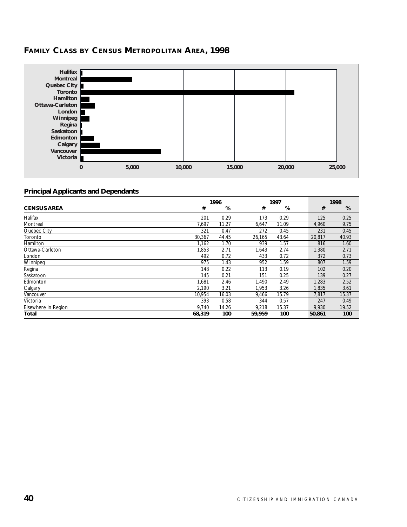# **FAMILY CLASS BY CENSUS METROPOLITAN AREA, 1998**



|                     |        | 1996  |        | 1997  |  |        | 1998  |
|---------------------|--------|-------|--------|-------|--|--------|-------|
| <b>CENSUS AREA</b>  | #      | %     | #      | %     |  | #      | %     |
| Halifax             | 201    | 0.29  | 173    | 0.29  |  | 125    | 0.25  |
| Montreal            | 7,697  | 11.27 | 6,647  | 11.09 |  | 4,960  | 9.75  |
| Quebec City         | 321    | 0.47  | 272    | 0.45  |  | 231    | 0.45  |
| Toronto             | 30,367 | 44.45 | 26,165 | 43.64 |  | 20,817 | 40.93 |
| Hamilton            | 1.162  | 1.70  | 939    | 1.57  |  | 816    | 1.60  |
| Ottawa-Carleton     | 1.853  | 2.71  | 1,643  | 2.74  |  | 1,380  | 2.71  |
| London              | 492    | 0.72  | 433    | 0.72  |  | 372    | 0.73  |
| Winnipeg            | 975    | 1.43  | 952    | 1.59  |  | 807    | 1.59  |
| Regina              | 148    | 0.22  | 113    | 0.19  |  | 102    | 0.20  |
| Saskatoon           | 145    | 0.21  | 151    | 0.25  |  | 139    | 0.27  |
| Edmonton            | 1.681  | 2.46  | 1,490  | 2.49  |  | 1,283  | 2.52  |
| Calgary             | 2,190  | 3.21  | 1,953  | 3.26  |  | 1,835  | 3.61  |
| Vancouver           | 10,954 | 16.03 | 9,466  | 15.79 |  | 7,817  | 15.37 |
| Victoria            | 393    | 0.58  | 344    | 0.57  |  | 247    | 0.49  |
| Elsewhere in Region | 9.740  | 14.26 | 9,218  | 15.37 |  | 9,930  | 19.52 |
| Total               | 68,319 | 100   | 59,959 | 100   |  | 50,861 | 100   |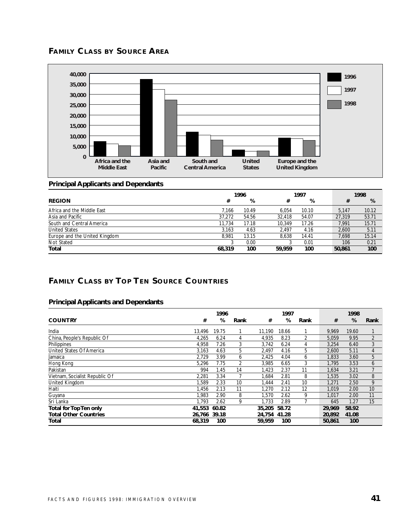



#### **Principal Applicants and Dependants**

|                               | 1996   |       |        | 1997  |  |        | 1998  |
|-------------------------------|--------|-------|--------|-------|--|--------|-------|
| <b>REGION</b>                 | #      | %     | #      | %     |  | #      | %     |
| Africa and the Middle East    | 7.166  | 10.49 | 6.054  | 10.10 |  | 5.147  | 10.12 |
| Asia and Pacific              | 37,272 | 54.56 | 32.418 | 54.07 |  | 27,319 | 53.71 |
| South and Central America     | 11.734 | 17.18 | 10.349 | 17.26 |  | 7.991  | 15.71 |
| <b>United States</b>          | 3.163  | 4.63  | 2.497  | 4.16  |  | 2.600  | 5.11  |
| Europe and the United Kingdom | 8.981  | 13.15 | 8.638  | 14.41 |  | 7,698  | 15.14 |
| Not Stated                    |        | 0.00  |        | 0.01  |  | 106    | 0.21  |
| Total                         | 68,319 | 100   | 59,959 | 100   |  | 50,861 | 100   |

# **FAMILY CLASS BY TOP TEN SOURCE COUNTRIES**

|                                |              | 1996  |      |              | 1997  |      |        | 1998  |                |
|--------------------------------|--------------|-------|------|--------------|-------|------|--------|-------|----------------|
| <b>COUNTRY</b>                 | #            | %     | Rank | #            | %     | Rank | #      | %     | Rank           |
| India                          | 13.496       | 19.75 |      | 11.190       | 18.66 |      | 9.969  | 19.60 |                |
| China, People's Republic Of    | 4,265        | 6.24  | 4    | 4,935        | 8.23  | 2    | 5,059  | 9.95  | $\overline{2}$ |
| Philippines                    | 4,958        | 7.26  | 3    | 3,742        | 6.24  | 4    | 3,254  | 6.40  | 3              |
| United States Of America       | 3.163        | 4.63  | 5    | 2.497        | 4.16  | 5    | 2.600  | 5.11  | 4              |
| Jamaica                        | 2,729        | 3.99  | 6    | 2,425        | 4.04  | 6    | 1,833  | 3.60  | 5              |
| Hong Kong                      | 5,296        | 7.75  | 2    | 3,985        | 6.65  | 3    | 1,795  | 3.53  | 6              |
| Pakistan                       | 994          | 1.45  | 14   | 1,423        | 2.37  | 11   | 1,634  | 3.21  |                |
| Vietnam, Socialist Republic Of | 2,281        | 3.34  |      | 1,684        | 2.81  | 8    | 1,535  | 3.02  | 8              |
| United Kingdom                 | 1.589        | 2.33  | 10   | 1,444        | 2.41  | 10   | 1.271  | 2.50  | 9              |
| Haiti                          | 1,456        | 2.13  | 11   | 1,270        | 2.12  | 12   | 1,019  | 2.00  | 10             |
| Guyana                         | 1.983        | 2.90  | 8    | 1.570        | 2.62  | 9    | 1.017  | 2.00  | 11             |
| Sri Lanka                      | 1.793        | 2.62  | 9    | 1.733        | 2.89  |      | 645    | 1.27  | 15             |
| Total for Top Ten only         | 41,553       | 60.82 |      | 35,205       | 58.72 |      | 29.969 | 58.92 |                |
| <b>Total Other Countries</b>   | 26.766 39.18 |       |      | 24.754 41.28 |       |      | 20,892 | 41.08 |                |
| Total                          | 68,319       | 100   |      | 59,959       | 100   |      | 50,861 | 100   |                |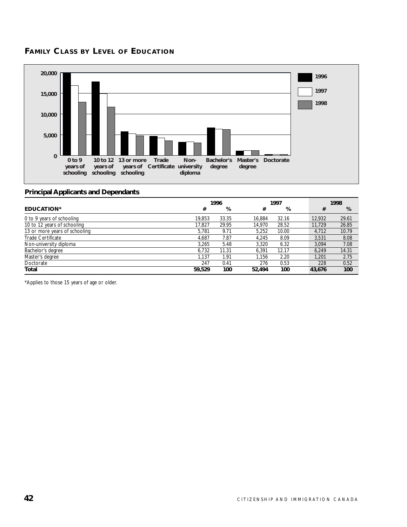## **FAMILY CLASS BY LEVEL OF EDUCATION**



#### **Principal Applicants and Dependants**

|                               |        | 1996  | 1997   |       | 1998 |        |       |
|-------------------------------|--------|-------|--------|-------|------|--------|-------|
| <b>EDUCATION*</b>             | #      | %     | #      | %     |      | #      | %     |
| 0 to 9 years of schooling     | 19.853 | 33.35 | 16.884 | 32.16 |      | 12,932 | 29.61 |
| 10 to 12 years of schooling   | 17.827 | 29.95 | 14.970 | 28.52 |      | 11.729 | 26.85 |
| 13 or more years of schooling | 5.781  | 9.71  | 5.252  | 10.00 |      | 4.712  | 10.79 |
| Trade Certificate             | 4.687  | 7.87  | 4.245  | 8.09  |      | 3.531  | 8.08  |
| Non-university diploma        | 3.265  | 5.48  | 3.320  | 6.32  |      | 3.094  | 7.08  |
| Bachelor's degree             | 6.732  | 11.31 | 6.391  | 12.17 |      | 6.249  | 14.31 |
| Master's degree               | 1.137  | 1.91  | 1,156  | 2.20  |      | 1.201  | 2.75  |
| Doctorate                     | 247    | 0.41  | 276    | 0.53  |      | 228    | 0.52  |
| Total                         | 59,529 | 100   | 52,494 | 100   |      | 43,676 | 100   |

\*Applies to those 15 years of age or older.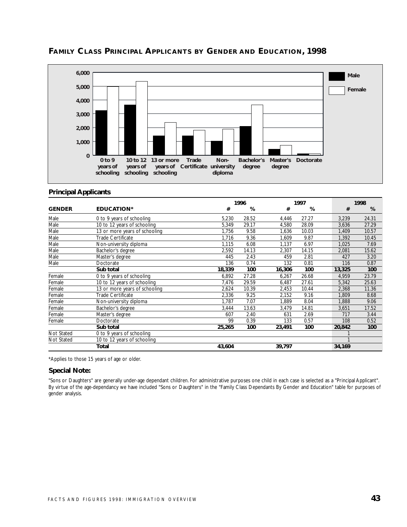

# **FAMILY CLASS PRINCIPAL APPLICANTS BY GENDER AND EDUCATION, 1998**

#### **Principal Applicants**

|                   |                               |        | 1996<br>1997 |        |       | 1998   |        |
|-------------------|-------------------------------|--------|--------------|--------|-------|--------|--------|
| <b>GENDER</b>     | <b>EDUCATION*</b>             | #      | %            | #      | %     |        | #<br>% |
| Male              | 0 to 9 years of schooling     | 5,230  | 28.52        | 4,446  | 27.27 | 3,239  | 24.31  |
| Male              | 10 to 12 years of schooling   | 5,349  | 29.17        | 4,580  | 28.09 | 3,636  | 27.29  |
| Male              | 13 or more years of schooling | 1,756  | 9.58         | 1,636  | 10.03 | 1,409  | 10.57  |
| Male              | Trade Certificate             | 1,716  | 9.36         | 1,609  | 9.87  | 1,392  | 10.45  |
| Male              | Non-university diploma        | 1,115  | 6.08         | 1,137  | 6.97  | 1,025  | 7.69   |
| Male              | Bachelor's degree             | 2,592  | 14.13        | 2,307  | 14.15 | 2,081  | 15.62  |
| Male              | Master's degree               | 445    | 2.43         | 459    | 2.81  | 427    | 3.20   |
| Male              | Doctorate                     | 136    | 0.74         | 132    | 0.81  | 116    | 0.87   |
|                   | Sub total                     | 18,339 | 100          | 16,306 | 100   | 13,325 | 100    |
| Female            | 0 to 9 years of schooling     | 6.892  | 27.28        | 6,267  | 26.68 | 4,959  | 23.79  |
| Female            | 10 to 12 years of schooling   | 7,476  | 29.59        | 6,487  | 27.61 | 5,342  | 25.63  |
| Female            | 13 or more years of schooling | 2,624  | 10.39        | 2,453  | 10.44 | 2,368  | 11.36  |
| Female            | Trade Certificate             | 2,336  | 9.25         | 2,152  | 9.16  | 1,809  | 8.68   |
| Female            | Non-university diploma        | 1,787  | 7.07         | 1,889  | 8.04  | 1,888  | 9.06   |
| Female            | Bachelor's degree             | 3,444  | 13.63        | 3,479  | 14.81 | 3,651  | 17.52  |
| Female            | Master's degree               | 607    | 2.40         | 631    | 2.69  | 717    | 3.44   |
| Female            | Doctorate                     | 99     | 0.39         | 133    | 0.57  | 108    | 0.52   |
|                   | Sub total                     | 25,265 | 100          | 23,491 | 100   | 20,842 | 100    |
| Not Stated        | 0 to 9 years of schooling     |        |              |        |       |        |        |
| <b>Not Stated</b> | 10 to 12 years of schooling   |        |              |        |       |        |        |
|                   | Total                         | 43,604 |              | 39,797 |       | 34,169 |        |

\*Applies to those 15 years of age or older.

#### **Special Note:**

"Sons or Daughters" are generally under-age dependant children. For administrative purposes one child in each case is selected as a "Principal Applicant". By virtue of the age-dependancy we have included "Sons or Daughters" in the "Family Class Dependants By Gender and Education" table for purposes of gender analysis.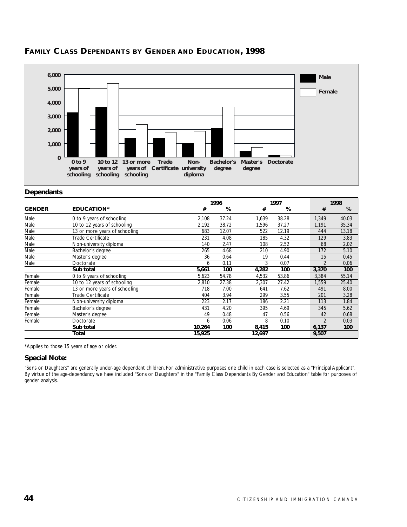

# **FAMILY CLASS DEPENDANTS BY GENDER AND EDUCATION, 1998**

#### **Dependants**

|               |                               |        | 1996  |        | 1997  |  |                | 1998  |  |
|---------------|-------------------------------|--------|-------|--------|-------|--|----------------|-------|--|
| <b>GENDER</b> | <b>EDUCATION*</b>             | #      | %     | #      | %     |  | #              | %     |  |
| Male          | 0 to 9 years of schooling     | 2,108  | 37.24 | 1,639  | 38.28 |  | 1,349          | 40.03 |  |
| Male          | 10 to 12 years of schooling   | 2,192  | 38.72 | 1,596  | 37.27 |  | 1,191          | 35.34 |  |
| Male          | 13 or more years of schooling | 683    | 12.07 | 522    | 12.19 |  | 444            | 13.18 |  |
| Male          | Trade Certificate             | 231    | 4.08  | 185    | 4.32  |  | 129            | 3.83  |  |
| Male          | Non-university diploma        | 140    | 2.47  | 108    | 2.52  |  | 68             | 2.02  |  |
| Male          | Bachelor's degree             | 265    | 4.68  | 210    | 4.90  |  | 172            | 5.10  |  |
| Male          | Master's degree               | 36     | 0.64  | 19     | 0.44  |  | 15             | 0.45  |  |
| Male          | Doctorate                     | 6      | 0.11  | 3      | 0.07  |  | $\mathfrak{D}$ | 0.06  |  |
|               | Sub total                     | 5,661  | 100   | 4,282  | 100   |  | 3,370          | 100   |  |
| Female        | 0 to 9 years of schooling     | 5,623  | 54.78 | 4,532  | 53.86 |  | 3,384          | 55.14 |  |
| Female        | 10 to 12 years of schooling   | 2,810  | 27.38 | 2,307  | 27.42 |  | 1,559          | 25.40 |  |
| Female        | 13 or more years of schooling | 718    | 7.00  | 641    | 7.62  |  | 491            | 8.00  |  |
| Female        | Trade Certificate             | 404    | 3.94  | 299    | 3.55  |  | 201            | 3.28  |  |
| Female        | Non-university diploma        | 223    | 2.17  | 186    | 2.21  |  | 113            | 1.84  |  |
| Female        | Bachelor's degree             | 431    | 4.20  | 395    | 4.69  |  | 345            | 5.62  |  |
| Female        | Master's degree               | 49     | 0.48  | 47     | 0.56  |  | 42             | 0.68  |  |
| Female        | Doctorate                     | 6      | 0.06  | 8      | 0.10  |  | $\mathfrak{p}$ | 0.03  |  |
|               | Sub total                     | 10,264 | 100   | 8,415  | 100   |  | 6,137          | 100   |  |
|               | Total                         | 15,925 |       | 12,697 |       |  | 9,507          |       |  |

\*Applies to those 15 years of age or older.

#### **Special Note:**

"Sons or Daughters" are generally under-age dependant children. For administrative purposes one child in each case is selected as a "Principal Applicant". By virtue of the age-dependancy we have included "Sons or Daughters" in the "Family Class Dependants By Gender and Education" table for purposes of gender analysis.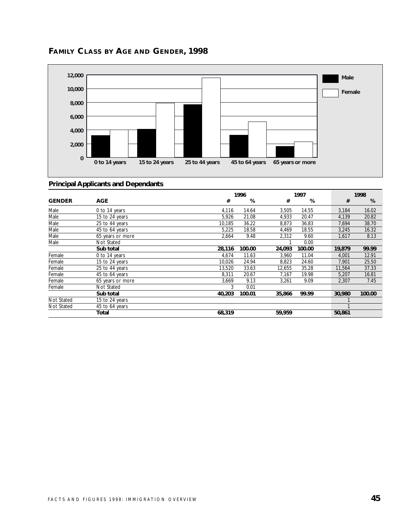

# **FAMILY CLASS BY AGE AND GENDER, 1998**

|               |                  |        | 1996<br>1997 |        | 1998   |  |        |        |
|---------------|------------------|--------|--------------|--------|--------|--|--------|--------|
| <b>GENDER</b> | <b>AGE</b>       | #      | %            | #      | %      |  | #      | %      |
| Male          | 0 to 14 years    | 4,116  | 14.64        | 3,505  | 14.55  |  | 3,184  | 16.02  |
| Male          | 15 to 24 years   | 5,926  | 21.08        | 4,933  | 20.47  |  | 4,139  | 20.82  |
| Male          | 25 to 44 years   | 10,185 | 36.22        | 8,873  | 36.83  |  | 7,694  | 38.70  |
| Male          | 45 to 64 years   | 5,225  | 18.58        | 4,469  | 18.55  |  | 3,245  | 16.32  |
| Male          | 65 years or more | 2,664  | 9.48         | 2,312  | 9.60   |  | 1,617  | 8.13   |
| Male          | Not Stated       |        |              |        | 0.00   |  |        |        |
|               | Sub total        | 28,116 | 100.00       | 24,093 | 100.00 |  | 19,879 | 99.99  |
| Female        | 0 to 14 years    | 4,674  | 11.63        | 3,960  | 11.04  |  | 4,001  | 12.91  |
| Female        | 15 to 24 years   | 10,026 | 24.94        | 8,823  | 24.60  |  | 7,901  | 25.50  |
| Female        | 25 to 44 years   | 13,520 | 33.63        | 12,655 | 35.28  |  | 11,564 | 37.33  |
| Female        | 45 to 64 years   | 8,311  | 20.67        | 7.167  | 19.98  |  | 5,207  | 16.81  |
| Female        | 65 years or more | 3.669  | 9.13         | 3.261  | 9.09   |  | 2.307  | 7.45   |
| Female        | Not Stated       | 3      | 0.01         |        |        |  |        |        |
|               | Sub total        | 40,203 | 100.01       | 35,866 | 99.99  |  | 30,980 | 100.00 |
| Not Stated    | 15 to 24 years   |        |              |        |        |  |        |        |
| Not Stated    | 45 to 64 years   |        |              |        |        |  |        |        |
|               | Total            | 68,319 |              | 59,959 |        |  | 50,861 |        |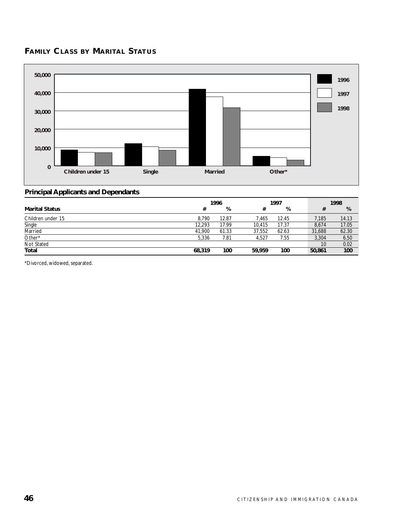# **FAMILY CLASS BY MARITAL STATUS**



# **Principal Applicants and Dependants**

|                       | 1996<br>1997 |       |        | 1998  |        |       |
|-----------------------|--------------|-------|--------|-------|--------|-------|
| <b>Marital Status</b> | #            | %     | #      | %     |        | %     |
| Children under 15     | 8.790        | 12.87 | 7.465  | 12.45 | 7,185  | 14.13 |
| Single                | 12,293       | 17.99 | 10.415 | 17.37 | 8,674  | 17.05 |
| Married               | 41.900       | 61.33 | 37.552 | 62.63 | 31,688 | 62.30 |
| Other*                | 5.336        | 7.81  | 4.527  | 7.55  | 3,304  | 6.50  |
| Not Stated            |              |       |        |       | 10     | 0.02  |
| Total                 | 68,319       | 100   | 59.959 | 100   | 50,861 | 100   |

\*Divorced, widowed, separated.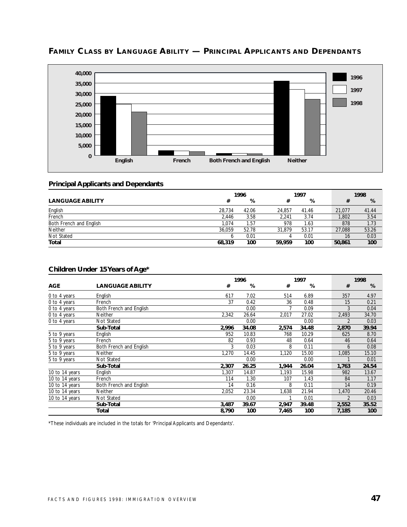

# **FAMILY CLASS BY LANGUAGE ABILITY — PRINCIPAL APPLICANTS AND DEPENDANTS**

#### **Principal Applicants and Dependants**

|                         | 1996   |       |        | 1997  |  |        | 1998  |
|-------------------------|--------|-------|--------|-------|--|--------|-------|
| <b>LANGUAGE ABILITY</b> | #      | %     |        | %     |  |        | %     |
| English                 | 28.734 | 42.06 | 24.857 | 41.46 |  | 21.077 | 41.44 |
| French                  | 2.446  | 3.58  | 2.241  | 3.74  |  | 1.802  | 3.54  |
| Both French and English | 1.074  | 1.57  | 978    | 1.63  |  | 878    | 1.73  |
| <b>Neither</b>          | 36.059 | 52.78 | 31.879 | 53.17 |  | 27.088 | 53.26 |
| Not Stated              |        | 0.01  | 4      | 0.01  |  | 16     | 0.03  |
| Total                   | 68,319 | 100   | 59.959 | 100   |  | 50,861 | 100   |

#### **Children Under 15 Years of Age\***

|                |                         |       | 1996  |       | 1997  |  |                | 1998  |  |  |
|----------------|-------------------------|-------|-------|-------|-------|--|----------------|-------|--|--|
| <b>AGE</b>     | <b>LANGUAGE ABILITY</b> | #     | %     | #     | %     |  | #              | %     |  |  |
| 0 to 4 years   | English                 | 617   | 7.02  | 514   | 6.89  |  | 357            | 4.97  |  |  |
| 0 to 4 years   | French                  | 37    | 0.42  | 36    | 0.48  |  | 15             | 0.21  |  |  |
| 0 to 4 years   | Both French and English |       | 0.00  |       | 0.09  |  | 3              | 0.04  |  |  |
| 0 to 4 years   | <b>Neither</b>          | 2,342 | 26.64 | 2,017 | 27.02 |  | 2,493          | 34.70 |  |  |
| 0 to 4 years   | Not Stated              |       | 0.00  |       | 0.00  |  | $\overline{2}$ | 0.03  |  |  |
|                | Sub-Total               | 2,996 | 34.08 | 2,574 | 34.48 |  | 2,870          | 39.94 |  |  |
| 5 to 9 years   | English                 | 952   | 10.83 | 768   | 10.29 |  | 625            | 8.70  |  |  |
| 5 to 9 years   | French                  | 82    | 0.93  | 48    | 0.64  |  | 46             | 0.64  |  |  |
| 5 to 9 years   | Both French and English | 3     | 0.03  | 8     | 0.11  |  | 6              | 0.08  |  |  |
| 5 to 9 years   | <b>Neither</b>          | 1,270 | 14.45 | 1,120 | 15.00 |  | 1,085          | 15.10 |  |  |
| 5 to 9 years   | Not Stated              |       | 0.00  |       | 0.00  |  |                | 0.01  |  |  |
|                | Sub-Total               | 2,307 | 26.25 | 1,944 | 26.04 |  | 1,763          | 24.54 |  |  |
| 10 to 14 years | English                 | 1.307 | 14.87 | 1,193 | 15.98 |  | 982            | 13.67 |  |  |
| 10 to 14 years | French                  | 114   | 1.30  | 107   | 1.43  |  | 84             | 1.17  |  |  |
| 10 to 14 years | Both French and English | 14    | 0.16  | 8     | 0.11  |  | 14             | 0.19  |  |  |
| 10 to 14 years | <b>Neither</b>          | 2,052 | 23.34 | 1,638 | 21.94 |  | 1,470          | 20.46 |  |  |
| 10 to 14 years | <b>Not Stated</b>       |       | 0.00  |       | 0.01  |  | $\overline{2}$ | 0.03  |  |  |
|                | Sub-Total               | 3,487 | 39.67 | 2,947 | 39.48 |  | 2,552          | 35.52 |  |  |
|                | Total                   | 8,790 | 100   | 7,465 | 100   |  | 7,185          | 100   |  |  |

\*These individuals are included in the totals for 'Principal Applicants and Dependants'.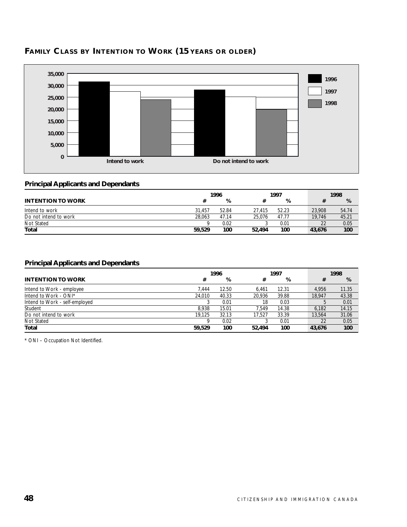

# **FAMILY CLASS BY INTENTION TO WORK (15 YEARS OR OLDER)**

#### **Principal Applicants and Dependants**

|                          |        | 1997<br>1996 |        |       | 1998   |       |  |
|--------------------------|--------|--------------|--------|-------|--------|-------|--|
| <b>INTENTION TO WORK</b> |        | %            |        | %     |        | %     |  |
| Intend to work           | 31.457 | 52.84        | 27.415 | 52.23 | 23,908 | 54.74 |  |
| Do not intend to work    | 28.063 | 47.14        | 25.076 | 47.77 | 19.746 | 45.21 |  |
| Not Stated               |        | 0.02         |        | 0.01  | 22     | 0.05  |  |
| Total                    | 59,529 | 100          | 52,494 | 100   | 43.676 | 100   |  |

#### **Principal Applicants and Dependants**

|                                | 1996<br>1997 |       | 1998   |       |  |        |       |
|--------------------------------|--------------|-------|--------|-------|--|--------|-------|
| <b>INTENTION TO WORK</b>       | #            | %     | #      | %     |  | #      | %     |
| Intend to Work - employee      | 7.444        | 12.50 | 6.461  | 12.31 |  | 4.956  | 11.35 |
| Intend to Work - ONI*          | 24.010       | 40.33 | 20.936 | 39.88 |  | 18.947 | 43.38 |
| Intend to Work - self-employed |              | 0.01  | 18     | 0.03  |  |        | 0.01  |
| Student                        | 8.938        | 15.01 | 7.549  | 14.38 |  | 6.182  | 14.15 |
| Do not intend to work          | 19.125       | 32.13 | 17.527 | 33.39 |  | 13.564 | 31.06 |
| Not Stated                     |              | 0.02  |        | 0.01  |  | 22     | 0.05  |
| Total                          | 59,529       | 100   | 52,494 | 100   |  | 43,676 | 100   |

\* ONI – Occupation Not Identified.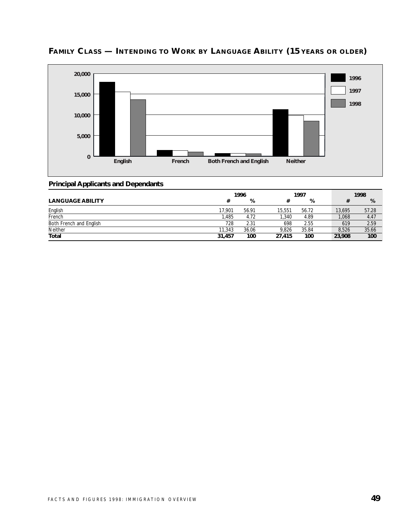

# **FAMILY CLASS — INTENDING TO WORK BY LANGUAGE ABILITY (15 YEARS OR OLDER)**

|                         | 1996   |       |        | 1997  |        | 1998  |
|-------------------------|--------|-------|--------|-------|--------|-------|
| <b>LANGUAGE ABILITY</b> | #      | %     |        | %     |        | %     |
| English                 | 17,901 | 56.91 | 15.551 | 56.72 | 13.695 | 57.28 |
| French                  | .485   | 4.72  | .340   | 4.89  | 1,068  | 4.47  |
| Both French and English | 728    | 2.31  | 698    | 2.55  | 619    | 2.59  |
| Neither                 | 11,343 | 36.06 | 9.826  | 35.84 | 8.526  | 35.66 |
| <b>Total</b>            | 31,457 | 100   | 27,415 | 100   | 23,908 | 100   |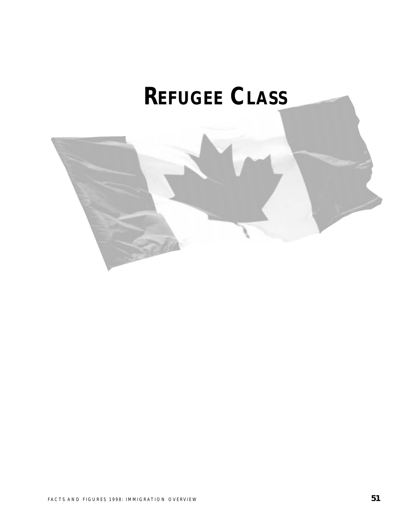# **REFUGEE CLASS**

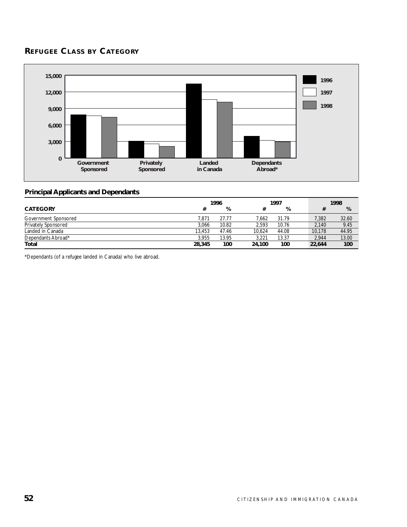# **REFUGEE CLASS BY CATEGORY**



#### **Principal Applicants and Dependants**

|                            | 1997<br>1996 |       |        | 1998  |  |        |       |
|----------------------------|--------------|-------|--------|-------|--|--------|-------|
| <b>CATEGORY</b>            | #            | %     |        | %     |  |        | %     |
| Government Sponsored       | 7.871        | 27.77 | 7.662  | 31.79 |  | 7,382  | 32.60 |
| <b>Privately Sponsored</b> | 3.066        | 10.82 | 2.593  | 10.76 |  | 2.140  | 9.45  |
| Landed in Canada           | 13.453       | 47.46 | 10.624 | 44.08 |  | 10.178 | 44.95 |
| Dependants Abroad*         | 3.955        | 13.95 | 3.221  | 13.37 |  | 2.944  | 13.00 |
| Total                      | 28,345       | 100   | 24.100 | 100   |  | 22,644 | 100   |

\*Dependants (of a refugee landed in Canada) who live abroad.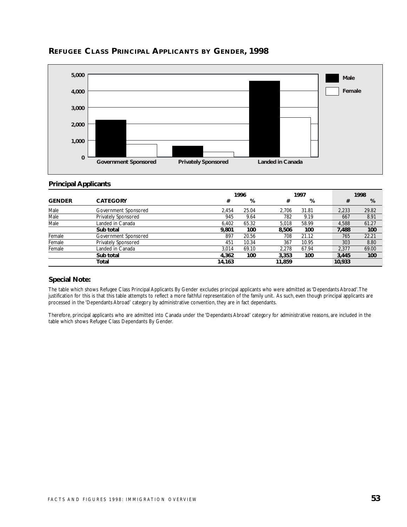

#### **REFUGEE CLASS PRINCIPAL APPLICANTS BY GENDER, 1998**

#### **Principal Applicants**

|               |                      |        | 1996  |        | 1997  |        | 1998  |
|---------------|----------------------|--------|-------|--------|-------|--------|-------|
| <b>GENDER</b> | <b>CATEGORY</b>      | #      | %     | #      | %     | #      | %     |
| Male          | Government Sponsored | 2.454  | 25.04 | 2.706  | 31.81 | 2.233  | 29.82 |
| Male          | Privately Sponsored  | 945    | 9.64  | 782    | 9.19  | 667    | 8.91  |
| Male          | Landed in Canada     | 6.402  | 65.32 | 5.018  | 58.99 | 4,588  | 61.27 |
|               | Sub total            | 9,801  | 100   | 8.506  | 100   | 7,488  | 100   |
| Female        | Government Sponsored | 897    | 20.56 | 708    | 21.12 | 765    | 22.21 |
| Female        | Privately Sponsored  | 451    | 10.34 | 367    | 10.95 | 303    | 8.80  |
| Female        | Landed in Canada     | 3.014  | 69.10 | 2.278  | 67.94 | 2,377  | 69.00 |
|               | Sub total            | 4.362  | 100   | 3.353  | 100   | 3.445  | 100   |
|               | Total                | 14,163 |       | 11,859 |       | 10,933 |       |

#### **Special Note:**

The table which shows Refugee Class Principal Applicants By Gender excludes principal applicants who were admitted as 'Dependants Abroad'.The justification for this is that this table attempts to reflect a more faithful representation of the family unit. As such, even though principal applicants are processed in the 'Dependants Abroad' category by administrative convention, they are in fact dependants.

Therefore, principal applicants who are admitted into Canada under the 'Dependants Abroad' category for administrative reasons, are included in the table which shows Refugee Class Dependants By Gender.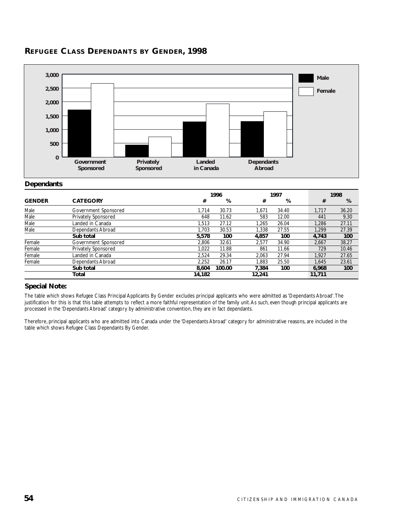

# **REFUGEE CLASS DEPENDANTS BY GENDER, 1998**

#### **Dependants**

|               |                      |        | 1996   |        | 1997  |        | 1998  |
|---------------|----------------------|--------|--------|--------|-------|--------|-------|
| <b>GENDER</b> | <b>CATEGORY</b>      | #      | %      | #      | %     | #      | %     |
| Male          | Government Sponsored | 1,714  | 30.73  | 1,671  | 34.40 | 1.717  | 36.20 |
| Male          | Privately Sponsored  | 648    | 11.62  | 583    | 12.00 | 441    | 9.30  |
| Male          | Landed in Canada     | 1,513  | 27.12  | 1.265  | 26.04 | 1.286  | 27.11 |
| Male          | Dependants Abroad    | 1.703  | 30.53  | 1.338  | 27.55 | 1.299  | 27.39 |
|               | Sub total            | 5,578  | 100    | 4,857  | 100   | 4,743  | 100   |
| Female        | Government Sponsored | 2.806  | 32.61  | 2.577  | 34.90 | 2.667  | 38.27 |
| Female        | Privately Sponsored  | 1.022  | 11.88  | 861    | 11.66 | 729    | 10.46 |
| Female        | Landed in Canada     | 2.524  | 29.34  | 2.063  | 27.94 | 1.927  | 27.65 |
| Female        | Dependants Abroad    | 2,252  | 26.17  | 1.883  | 25.50 | 1.645  | 23.61 |
|               | Sub total            | 8.604  | 100.00 | 7.384  | 100   | 6.968  | 100   |
|               | Total                | 14,182 |        | 12,241 |       | 11,711 |       |

#### **Special Note:**

The table which shows Refugee Class Principal Applicants By Gender excludes principal applicants who were admitted as 'Dependants Abroad'.The justification for this is that this table attempts to reflect a more faithful representation of the family unit.As such, even though principal applicants are processed in the 'Dependants Abroad' category by administrative convention, they are in fact dependants.

Therefore, principal applicants who are admitted into Canada under the 'Dependants Abroad' category for administrative reasons, are included in the table which shows Refugee Class Dependants By Gender.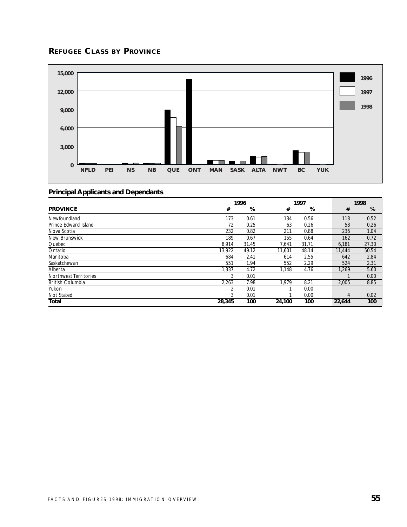# **REFUGEE CLASS BY PROVINCE**



|                              | 1996           |       | 1997   |       |  | 1998   |       |
|------------------------------|----------------|-------|--------|-------|--|--------|-------|
| <b>PROVINCE</b>              | #              | %     | #      | %     |  | #      | %     |
| Newfoundland                 | 173            | 0.61  | 134    | 0.56  |  | 118    | 0.52  |
| Prince Edward Island         | 72             | 0.25  | 63     | 0.26  |  | 58     | 0.26  |
| Nova Scotia                  | 232            | 0.82  | 211    | 0.88  |  | 236    | 1.04  |
| New Brunswick                | 189            | 0.67  | 155    | 0.64  |  | 162    | 0.72  |
| Quebec                       | 8,914          | 31.45 | 7.641  | 31.71 |  | 6,181  | 27.30 |
| Ontario                      | 13.922         | 49.12 | 11.601 | 48.14 |  | 11,444 | 50.54 |
| Manitoba                     | 684            | 2.41  | 614    | 2.55  |  | 642    | 2.84  |
| Saskatchewan                 | 551            | 1.94  | 552    | 2.29  |  | 524    | 2.31  |
| Alberta                      | 1,337          | 4.72  | 1.148  | 4.76  |  | 1.269  | 5.60  |
| <b>Northwest Territories</b> | 3              | 0.01  |        |       |  |        | 0.00  |
| <b>British Columbia</b>      | 2,263          | 7.98  | 1.979  | 8.21  |  | 2.005  | 8.85  |
| Yukon                        | $\overline{2}$ | 0.01  |        | 0.00  |  |        |       |
| Not Stated                   | 3              | 0.01  |        | 0.00  |  | 4      | 0.02  |
| Total                        | 28,345         | 100   | 24,100 | 100   |  | 22,644 | 100   |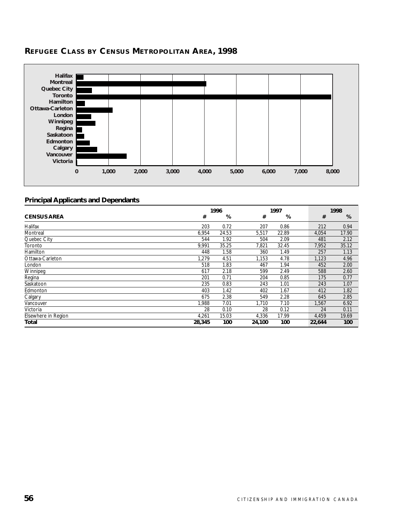

# **REFUGEE CLASS BY CENSUS METROPOLITAN AREA, 1998**

|                     | 1996   |       | 1997   |       |  | 1998   |       |
|---------------------|--------|-------|--------|-------|--|--------|-------|
| <b>CENSUS AREA</b>  | #      | %     | #      | %     |  | #      | %     |
| Halifax             | 203    | 0.72  | 207    | 0.86  |  | 212    | 0.94  |
| Montreal            | 6,954  | 24.53 | 5,517  | 22.89 |  | 4,054  | 17.90 |
| Quebec City         | 544    | 1.92  | 504    | 2.09  |  | 481    | 2.12  |
| Toronto             | 9,991  | 35.25 | 7,821  | 32.45 |  | 7,952  | 35.12 |
| Hamilton            | 448    | 1.58  | 360    | 1.49  |  | 257    | 1.13  |
| Ottawa-Carleton     | 1,279  | 4.51  | 1,153  | 4.78  |  | 1,123  | 4.96  |
| London              | 518    | 1.83  | 467    | 1.94  |  | 452    | 2.00  |
| Winnipeg            | 617    | 2.18  | 599    | 2.49  |  | 588    | 2.60  |
| Regina              | 201    | 0.71  | 204    | 0.85  |  | 175    | 0.77  |
| Saskatoon           | 235    | 0.83  | 243    | 1.01  |  | 243    | 1.07  |
| Edmonton            | 403    | 1.42  | 402    | 1.67  |  | 412    | 1.82  |
| Calgary             | 675    | 2.38  | 549    | 2.28  |  | 645    | 2.85  |
| Vancouver           | 1,988  | 7.01  | 1.710  | 7.10  |  | 1,567  | 6.92  |
| Victoria            | 28     | 0.10  | 28     | 0.12  |  | 24     | 0.11  |
| Elsewhere in Region | 4,261  | 15.03 | 4,336  | 17.99 |  | 4,459  | 19.69 |
| Total               | 28,345 | 100   | 24,100 | 100   |  | 22,644 | 100   |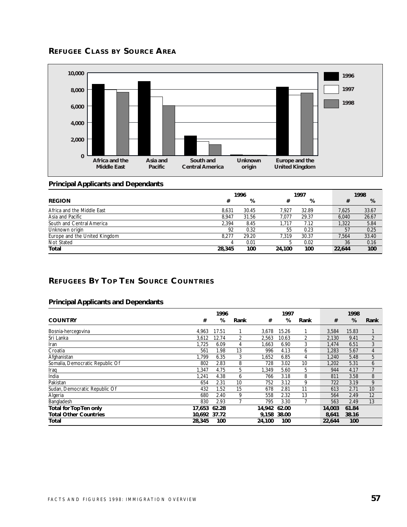# **REFUGEE CLASS BY SOURCE AREA**



#### **Principal Applicants and Dependants**

|                               | 1996   |       |        | 1997  |  |        | 1998  |
|-------------------------------|--------|-------|--------|-------|--|--------|-------|
| <b>REGION</b>                 | #      | %     | #      | %     |  | #      | %     |
| Africa and the Middle East    | 8.631  | 30.45 | 7.927  | 32.89 |  | 7.625  | 33.67 |
| Asia and Pacific              | 8.947  | 31.56 | 7.077  | 29.37 |  | 6,040  | 26.67 |
| South and Central America     | 2.394  | 8.45  | 1.717  | 7.12  |  | 1,322  | 5.84  |
| Unknown origin                | 92     | 0.32  | 55     | 0.23  |  | 57     | 0.25  |
| Europe and the United Kingdom | 8.277  | 29.20 | 7.319  | 30.37 |  | 7.564  | 33.40 |
| Not Stated                    |        | 0.01  | 5      | 0.02  |  | 36     | 0.16  |
| Total                         | 28,345 | 100   | 24,100 | 100   |  | 22,644 | 100   |

# **REFUGEES BY TOP TEN SOURCE COUNTRIES**

|                                 |              | 1996  |      |        | 1997  |      |        | 1998  |                |
|---------------------------------|--------------|-------|------|--------|-------|------|--------|-------|----------------|
| <b>COUNTRY</b>                  | #            | %     | Rank | #      | %     | Rank | #      | %     | Rank           |
| Bosnia-hercegovina              | 4,963        | 17.51 |      | 3,678  | 15.26 |      | 3,584  | 15.83 |                |
| Sri Lanka                       | 3.612        | 12.74 | 2    | 2,563  | 10.63 | 2    | 2,130  | 9.41  | $\overline{2}$ |
| Iran                            | 1.725        | 6.09  | 4    | 1,663  | 6.90  | 3    | 1,474  | 6.51  | 3              |
| Croatia                         | 561          | 1.98  | 13   | 996    | 4.13  | 6    | 1,283  | 5.67  | $\overline{4}$ |
| Afghanistan                     | .799         | 6.35  | 3    | 1,652  | 6.85  | 4    | 1.240  | 5.48  | 5              |
| Somalia, Democratic Republic Of | 802          | 2.83  | 8    | 728    | 3.02  | 10   | 1.202  | 5.31  | 6              |
| Iraq                            | 1.347        | 4.75  | 5    | 1,349  | 5.60  | 5    | 944    | 4.17  |                |
| India                           | 1.241        | 4.38  | 6    | 766    | 3.18  | 8    | 811    | 3.58  | 8              |
| Pakistan                        | 654          | 2.31  | 10   | 752    | 3.12  | 9    | 722    | 3.19  | 9              |
| Sudan, Democratic Republic Of   | 432          | 1.52  | 15   | 678    | 2.81  | 11   | 613    | 2.71  | 10             |
| Algeria                         | 680          | 2.40  | 9    | 558    | 2.32  | 13   | 564    | 2.49  | 12             |
| Bangladesh                      | 830          | 2.93  |      | 795    | 3.30  |      | 563    | 2.49  | 13             |
| <b>Total for Top Ten only</b>   | 17.653       | 62.28 |      | 14,942 | 62.00 |      | 14,003 | 61.84 |                |
| <b>Total Other Countries</b>    | 10.692 37.72 |       |      | 9.158  | 38.00 |      | 8,641  | 38.16 |                |
| Total                           | 28,345       | 100   |      | 24,100 | 100   |      | 22,644 | 100   |                |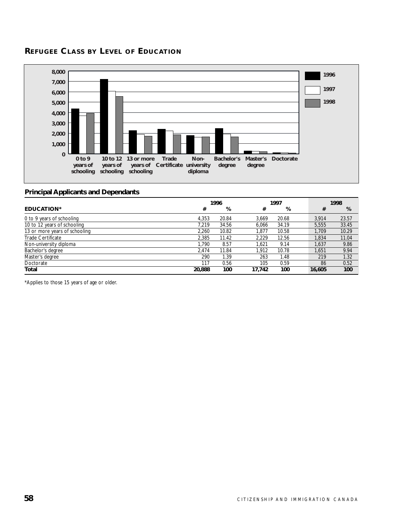#### **REFUGEE CLASS BY LEVEL OF EDUCATION**



#### **Principal Applicants and Dependants**

|                               |        | 1996  |        | 1997  |  |        | 1998  |
|-------------------------------|--------|-------|--------|-------|--|--------|-------|
| EDUCATION*                    | #      | %     | #      | %     |  | #      | %     |
| 0 to 9 years of schooling     | 4.353  | 20.84 | 3.669  | 20.68 |  | 3.914  | 23.57 |
| 10 to 12 years of schooling   | 7.219  | 34.56 | 6.066  | 34.19 |  | 5.555  | 33.45 |
| 13 or more years of schooling | 2.260  | 10.82 | 1.877  | 10.58 |  | 1.709  | 10.29 |
| Trade Certificate             | 2.385  | 11.42 | 2.229  | 12.56 |  | 1.834  | 11.04 |
| Non-university diploma        | 1.790  | 8.57  | 1.621  | 9.14  |  | 1.637  | 9.86  |
| Bachelor's degree             | 2.474  | 11.84 | 1.912  | 10.78 |  | 1.651  | 9.94  |
| Master's degree               | 290    | 1.39  | 263    | 1.48  |  | 219    | 1.32  |
| Doctorate                     | 117    | 0.56  | 105    | 0.59  |  | 86     | 0.52  |
| Total                         | 20,888 | 100   | 17.742 | 100   |  | 16,605 | 100   |

\*Applies to those 15 years of age or older.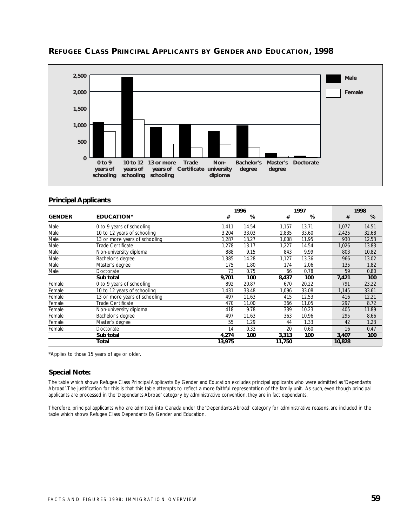

#### **REFUGEE CLASS PRINCIPAL APPLICANTS BY GENDER AND EDUCATION, 1998**

#### **Principal Applicants**

|               |                               |        | 1996  |        | 1997  |  |        | 1998  |
|---------------|-------------------------------|--------|-------|--------|-------|--|--------|-------|
| <b>GENDER</b> | <b>EDUCATION*</b>             | #      | %     | #      | %     |  | #      | %     |
| Male          | 0 to 9 years of schooling     | 1,411  | 14.54 | 1,157  | 13.71 |  | 1,077  | 14.51 |
| Male          | 10 to 12 years of schooling   | 3.204  | 33.03 | 2,835  | 33.60 |  | 2,425  | 32.68 |
| Male          | 13 or more years of schooling | 1.287  | 13.27 | 1.008  | 11.95 |  | 930    | 12.53 |
| Male          | Trade Certificate             | 1,278  | 13.17 | 1,227  | 14.54 |  | 1,026  | 13.83 |
| Male          | Non-university diploma        | 888    | 9.15  | 843    | 9.99  |  | 803    | 10.82 |
| Male          | Bachelor's degree             | 1,385  | 14.28 | 1,127  | 13.36 |  | 966    | 13.02 |
| Male          | Master's degree               | 175    | 1.80  | 174    | 2.06  |  | 135    | 1.82  |
| Male          | Doctorate                     | 73     | 0.75  | 66     | 0.78  |  | 59     | 0.80  |
|               | Sub total                     | 9,701  | 100   | 8,437  | 100   |  | 7,421  | 100   |
| Female        | 0 to 9 years of schooling     | 892    | 20.87 | 670    | 20.22 |  | 791    | 23.22 |
| Female        | 10 to 12 years of schooling   | 1,431  | 33.48 | 1,096  | 33.08 |  | 1,145  | 33.61 |
| Female        | 13 or more years of schooling | 497    | 11.63 | 415    | 12.53 |  | 416    | 12.21 |
| Female        | <b>Trade Certificate</b>      | 470    | 11.00 | 366    | 11.05 |  | 297    | 8.72  |
| Female        | Non-university diploma        | 418    | 9.78  | 339    | 10.23 |  | 405    | 11.89 |
| Female        | Bachelor's degree             | 497    | 11.63 | 363    | 10.96 |  | 295    | 8.66  |
| Female        | Master's degree               | 55     | 1.29  | 44     | 1.33  |  | 42     | 1.23  |
| Female        | Doctorate                     | 14     | 0.33  | 20     | 0.60  |  | 16     | 0.47  |
|               | Sub total                     | 4,274  | 100   | 3,313  | 100   |  | 3,407  | 100   |
|               | Total                         | 13,975 |       | 11,750 |       |  | 10,828 |       |

\*Applies to those 15 years of age or older.

#### **Special Note:**

The table which shows Refugee Class Principal Applicants By Gender and Education excludes principal applicants who were admitted as 'Dependants Abroad'.The justification for this is that this table attempts to reflect a more faithful representation of the family unit. As such, even though principal applicants are processed in the 'Dependants Abroad' category by administrative convention, they are in fact dependants.

Therefore, principal applicants who are admitted into Canada under the 'Dependants Abroad' category for administrative reasons, are included in the table which shows Refugee Class Dependants By Gender and Education.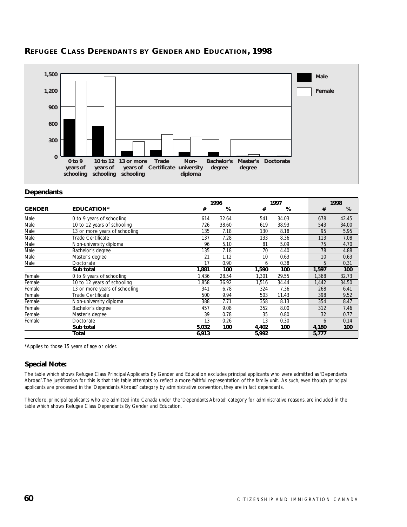



#### **Dependants**

|               |                               |       | 1996  |       | 1997  |  | 1998  |       |
|---------------|-------------------------------|-------|-------|-------|-------|--|-------|-------|
| <b>GENDER</b> | <b>EDUCATION*</b>             | #     | %     | #     | %     |  | #     | %     |
| Male          | 0 to 9 years of schooling     | 614   | 32.64 | 541   | 34.03 |  | 678   | 42.45 |
| Male          | 10 to 12 years of schooling   | 726   | 38.60 | 619   | 38.93 |  | 543   | 34.00 |
| Male          | 13 or more years of schooling | 135   | 7.18  | 130   | 8.18  |  | 95    | 5.95  |
| Male          | Trade Certificate             | 137   | 7.28  | 133   | 8.36  |  | 113   | 7.08  |
| Male          | Non-university diploma        | 96    | 5.10  | 81    | 5.09  |  | 75    | 4.70  |
| Male          | Bachelor's degree             | 135   | 7.18  | 70    | 4.40  |  | 78    | 4.88  |
| Male          | Master's degree               | 21    | 1.12  | 10    | 0.63  |  | 10    | 0.63  |
| Male          | Doctorate                     | 17    | 0.90  | 6     | 0.38  |  | 5     | 0.31  |
|               | Sub total                     | 1,881 | 100   | 1,590 | 100   |  | 1,597 | 100   |
| Female        | 0 to 9 years of schooling     | 1.436 | 28.54 | 1.301 | 29.55 |  | 1,368 | 32.73 |
| Female        | 10 to 12 years of schooling   | 1,858 | 36.92 | 1.516 | 34.44 |  | 1,442 | 34.50 |
| Female        | 13 or more years of schooling | 341   | 6.78  | 324   | 7.36  |  | 268   | 6.41  |
| Female        | Trade Certificate             | 500   | 9.94  | 503   | 11.43 |  | 398   | 9.52  |
| Female        | Non-university diploma        | 388   | 7.71  | 358   | 8.13  |  | 354   | 8.47  |
| Female        | Bachelor's degree             | 457   | 9.08  | 352   | 8.00  |  | 312   | 7.46  |
| Female        | Master's degree               | 39    | 0.78  | 35    | 0.80  |  | 32    | 0.77  |
| Female        | Doctorate                     | 13    | 0.26  | 13    | 0.30  |  | 6     | 0.14  |
|               | Sub total                     | 5,032 | 100   | 4,402 | 100   |  | 4,180 | 100   |
|               | Total                         | 6,913 |       | 5,992 |       |  | 5,777 |       |

\*Applies to those 15 years of age or older.

#### **Special Note:**

The table which shows Refugee Class Principal Applicants By Gender and Education excludes principal applicants who were admitted as 'Dependants Abroad'.The justification for this is that this table attempts to reflect a more faithful representation of the family unit. As such, even though principal applicants are processed in the 'Dependants Abroad' category by administrative convention, they are in fact dependants.

Therefore, principal applicants who are admitted into Canada under the 'Dependants Abroad' category for administrative reasons, are included in the table which shows Refugee Class Dependants By Gender and Education.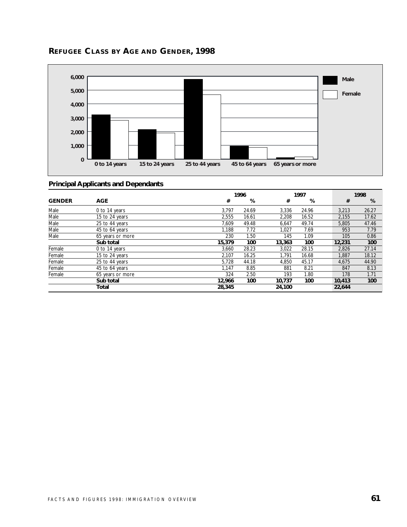

# **REFUGEE CLASS BY AGE AND GENDER, 1998**

|               |                  |        | 1996  |        | 1997  |        | 1998  |
|---------------|------------------|--------|-------|--------|-------|--------|-------|
| <b>GENDER</b> | <b>AGE</b>       | #      | %     | #      | %     | #      | %     |
| Male          | 0 to 14 years    | 3.797  | 24.69 | 3.336  | 24.96 | 3.213  | 26.27 |
| Male          | 15 to 24 years   | 2,555  | 16.61 | 2,208  | 16.52 | 2,155  | 17.62 |
| Male          | 25 to 44 years   | 7.609  | 49.48 | 6,647  | 49.74 | 5,805  | 47.46 |
| Male          | 45 to 64 years   | 1,188  | 7.72  | 1,027  | 7.69  | 953    | 7.79  |
| Male          | 65 years or more | 230    | 1.50  | 145    | 1.09  | 105    | 0.86  |
|               | Sub total        | 15,379 | 100   | 13,363 | 100   | 12,231 | 100   |
| Female        | 0 to 14 years    | 3,660  | 28.23 | 3,022  | 28.15 | 2,826  | 27.14 |
| Female        | 15 to 24 years   | 2.107  | 16.25 | 1.791  | 16.68 | 1.887  | 18.12 |
| Female        | 25 to 44 years   | 5,728  | 44.18 | 4.850  | 45.17 | 4,675  | 44.90 |
| Female        | 45 to 64 years   | 1.147  | 8.85  | 881    | 8.21  | 847    | 8.13  |
| Female        | 65 years or more | 324    | 2.50  | 193    | 1.80  | 178    | 1.71  |
|               | Sub total        | 12,966 | 100   | 10,737 | 100   | 10,413 | 100   |
|               | Total            | 28,345 |       | 24,100 |       | 22.644 |       |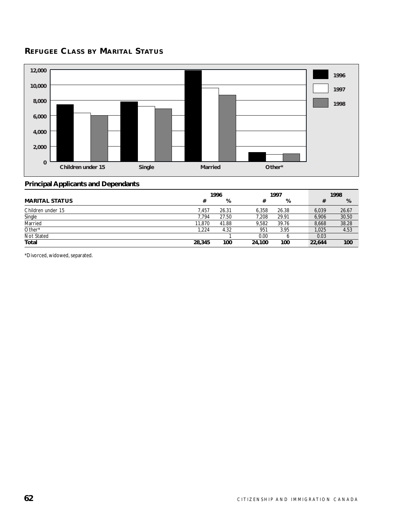# **REFUGEE CLASS BY MARITAL STATUS**



#### **Principal Applicants and Dependants**

|                       | 1996   |       | 1997   |       | 1998   |       |
|-----------------------|--------|-------|--------|-------|--------|-------|
| <b>MARITAL STATUS</b> | #      | %     | 77     | %     | #      | %     |
| Children under 15     | 7.457  | 26.31 | 6.358  | 26.38 | 6.039  | 26.67 |
| Single                | 7.794  | 27.50 | 7.208  | 29.91 | 6.906  | 30.50 |
| Married               | 11.870 | 41.88 | 9.582  | 39.76 | 8.668  | 38.28 |
| Other*                | 1.224  | 4.32  | 951    | 3.95  | 1,025  | 4.53  |
| Not Stated            |        |       | 0.00   |       | 0.03   |       |
| Total                 | 28,345 | 100   | 24,100 | 100   | 22,644 | 100   |

\*Divorced, widowed, separated.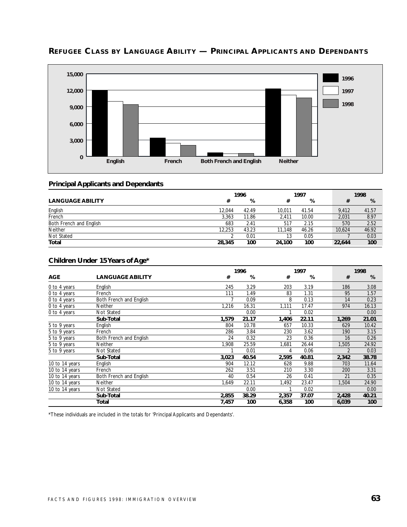

# **REFUGEE CLASS BY LANGUAGE ABILITY — PRINCIPAL APPLICANTS AND DEPENDANTS**

#### **Principal Applicants and Dependants**

|                         | 1996   |       |        | 1997  |        | 1998        |
|-------------------------|--------|-------|--------|-------|--------|-------------|
| <b>LANGUAGE ABILITY</b> | #      | %     |        | %     |        | %           |
| English                 | 12,044 | 42.49 | 10.011 | 41.54 | 9.412  | 41.57       |
| French                  | 3,363  | 11.86 | 2.411  | 10.00 | 2,031  | 8.97        |
| Both French and English | 683    | 2.41  | 517    | 2.15  |        | 2.52<br>570 |
| <b>Neither</b>          | 12,253 | 43.23 | 11.148 | 46.26 | 10.624 | 46.92       |
| Not Stated              |        | 0.01  | 13     | 0.05  |        | 0.03        |
| Total                   | 28,345 | 100   | 24,100 | 100   | 22,644 | 100         |

#### **Children Under 15 Years of Age\***

|                |                         |       | 1996  |       | 1997  |  | 1998           |       |
|----------------|-------------------------|-------|-------|-------|-------|--|----------------|-------|
| <b>AGE</b>     | <b>LANGUAGE ABILITY</b> | #     | %     | #     | %     |  | #              | %     |
| 0 to 4 years   | English                 | 245   | 3.29  | 203   | 3.19  |  | 186            | 3.08  |
| 0 to 4 years   | French                  | 111   | 1.49  | 83    | 1.31  |  | 95             | 1.57  |
| 0 to 4 years   | Both French and English |       | 0.09  | 8     | 0.13  |  | 14             | 0.23  |
| 0 to 4 years   | Neither                 | 1,216 | 16.31 | 1,111 | 17.47 |  | 974            | 16.13 |
| 0 to 4 years   | <b>Not Stated</b>       |       | 0.00  |       | 0.02  |  |                | 0.00  |
|                | Sub-Total               | 1,579 | 21.17 | 1,406 | 22.11 |  | 1,269          | 21.01 |
| 5 to 9 years   | English                 | 804   | 10.78 | 657   | 10.33 |  | 629            | 10.42 |
| 5 to 9 years   | French                  | 286   | 3.84  | 230   | 3.62  |  | 190            | 3.15  |
| 5 to 9 years   | Both French and English | 24    | 0.32  | 23    | 0.36  |  | 16             | 0.26  |
| 5 to 9 years   | Neither                 | 1,908 | 25.59 | 1,681 | 26.44 |  | 1,505          | 24.92 |
| 5 to 9 years   | Not Stated              |       | 0.01  | 4     | 0.06  |  | $\overline{2}$ | 0.03  |
|                | Sub-Total               | 3,023 | 40.54 | 2,595 | 40.81 |  | 2,342          | 38.78 |
| 10 to 14 years | English                 | 904   | 12.12 | 628   | 9.88  |  | 703            | 11.64 |
| 10 to 14 years | French                  | 262   | 3.51  | 210   | 3.30  |  | 200            | 3.31  |
| 10 to 14 years | Both French and English | 40    | 0.54  | 26    | 0.41  |  | 21             | 0.35  |
| 10 to 14 years | <b>Neither</b>          | 1,649 | 22.11 | 1,492 | 23.47 |  | 1,504          | 24.90 |
| 10 to 14 years | Not Stated              |       | 0.00  |       | 0.02  |  |                | 0.00  |
|                | Sub-Total               | 2,855 | 38.29 | 2,357 | 37.07 |  | 2,428          | 40.21 |
|                | Total                   | 7,457 | 100   | 6,358 | 100   |  | 6,039          | 100   |

\*These individuals are included in the totals for 'Principal Applicants and Dependants'.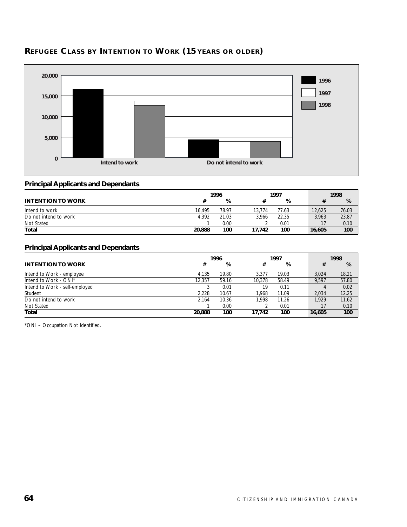

# **REFUGEE CLASS BY INTENTION TO WORK (15 YEARS OR OLDER)**

#### **Principal Applicants and Dependants**

|                          | 1996   |       |        | 1997  |        | 1998  |  |
|--------------------------|--------|-------|--------|-------|--------|-------|--|
| <b>INTENTION TO WORK</b> |        | %     |        | %     |        | %     |  |
| Intend to work           | 16,495 | 78.97 | 13.774 | 77.63 | 12,625 | 76.03 |  |
| Do not intend to work    | 4.392  | 21.03 | 3.966  | 22.35 | 3.963  | 23.87 |  |
| Not Stated               |        | 0.00  |        | 0.01  |        | 0.10  |  |
| Total                    | 20,888 | 100   | 17.742 | 100   | 16,605 | 100   |  |

#### **Principal Applicants and Dependants**

|                                | 1996   |       |        | 1997  |  |        | 1998  |  |  |
|--------------------------------|--------|-------|--------|-------|--|--------|-------|--|--|
| <b>INTENTION TO WORK</b>       | #      | %     | #      | %     |  | #      | %     |  |  |
| Intend to Work - employee      | 4.135  | 19.80 | 3.377  | 19.03 |  | 3.024  | 18.21 |  |  |
| Intend to Work - ONI*          | 12.357 | 59.16 | 10.378 | 58.49 |  | 9.597  | 57.80 |  |  |
| Intend to Work - self-employed |        | 0.01  | 19     | 0.11  |  |        | 0.02  |  |  |
| Student                        | 2.228  | 10.67 | 1.968  | 11.09 |  | 2,034  | 12.25 |  |  |
| Do not intend to work          | 2.164  | 10.36 | 1.998  | 11.26 |  | 1.929  | 11.62 |  |  |
| Not Stated                     |        | 0.00  |        | 0.01  |  |        | 0.10  |  |  |
| Total                          | 20,888 | 100   | 17.742 | 100   |  | 16,605 | 100   |  |  |

\*ONI – Occupation Not Identified.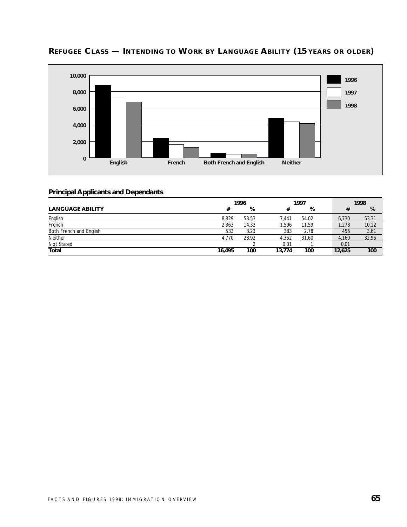

# **REFUGEE CLASS — INTENDING TO WORK BY LANGUAGE ABILITY (15 YEARS OR OLDER)**

|                         | 1996   |       |        | 1997  |  | 1998   |       |
|-------------------------|--------|-------|--------|-------|--|--------|-------|
| <b>LANGUAGE ABILITY</b> | #      | %     | #      | %     |  |        | %     |
| English                 | 8.829  | 53.53 | 7.441  | 54.02 |  | 6.730  | 53.31 |
| French                  | 2.363  | 14.33 | .596   | 11.59 |  | 1,278  | 10.12 |
| Both French and English | 533    | 3.23  | 383    | 2.78  |  | 456    | 3.61  |
| Neither                 | 4.770  | 28.92 | 4.352  | 31.60 |  | 4.160  | 32.95 |
| Not Stated              |        |       | 0.01   |       |  | 0.01   |       |
| <b>Total</b>            | 16.495 | 100   | 13.774 | 100   |  | 12,625 | 100   |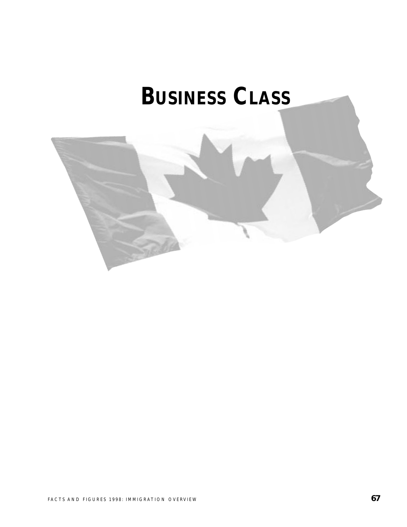# **BUSINESS CLASS**

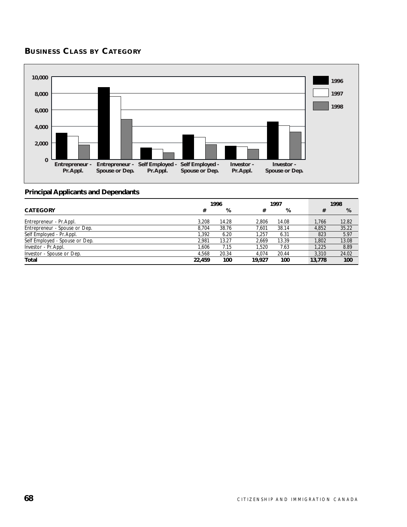# **BUSINESS CLASS BY CATEGORY**



|                                |        | 1996  |        | 1997  |  |        | 1998  |
|--------------------------------|--------|-------|--------|-------|--|--------|-------|
| <b>CATEGORY</b>                | #      | %     | #      | %     |  | #      | %     |
| Entrepreneur - Pr. Appl.       | 3.208  | 14.28 | 2.806  | 14.08 |  | 1.766  | 12.82 |
| Entrepreneur - Spouse or Dep.  | 8.704  | 38.76 | 7.601  | 38.14 |  | 4.852  | 35.22 |
| Self Employed - Pr. Appl.      | 1.392  | 6.20  | 1.257  | 6.31  |  | 823    | 5.97  |
| Self Employed - Spouse or Dep. | 2.981  | 13.27 | 2.669  | 13.39 |  | 1.802  | 13.08 |
| Investor - Pr. Appl.           | 1.606  | 7.15  | 1.520  | 7.63  |  | 1.225  | 8.89  |
| Investor - Spouse or Dep.      | 4.568  | 20.34 | 4.074  | 20.44 |  | 3.310  | 24.02 |
| Total                          | 22,459 | 100   | 19.927 | 100   |  | 13,778 | 100   |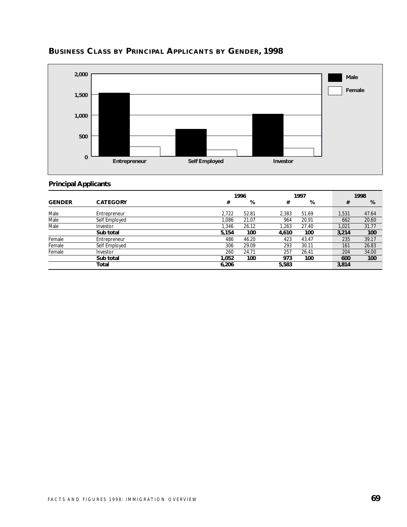

# **BUSINESS CLASS BY PRINCIPAL APPLICANTS BY GENDER, 1998**

#### **Principal Applicants**

|               |                 |       | 1996  |       | 1997  |  |       | 1998  |
|---------------|-----------------|-------|-------|-------|-------|--|-------|-------|
| <b>GENDER</b> | <b>CATEGORY</b> | #     | %     | #     | %     |  | #     | %     |
| Male          | Entrepreneur    | 2.722 | 52.81 | 2.383 | 51.69 |  | 1,531 | 47.64 |
| Male          | Self Employed   | 1.086 | 21.07 | 964   | 20.91 |  | 662   | 20.60 |
| Male          | Investor        | 1,346 | 26.12 | 1.263 | 27.40 |  | 1.021 | 31.77 |
|               | Sub total       | 5,154 | 100   | 4,610 | 100   |  | 3,214 | 100   |
| Female        | Entrepreneur    | 486   | 46.20 | 423   | 43.47 |  | 235   | 39.17 |
| Female        | Self Employed   | 306   | 29.09 | 293   | 30.11 |  | 161   | 26.83 |
| Female        | Investor        | 260   | 24.71 | 257   | 26.41 |  | 204   | 34.00 |
|               | Sub total       | 1.052 | 100   | 973   | 100   |  | 600   | 100   |
|               | Total           | 6,206 |       | 5,583 |       |  | 3,814 |       |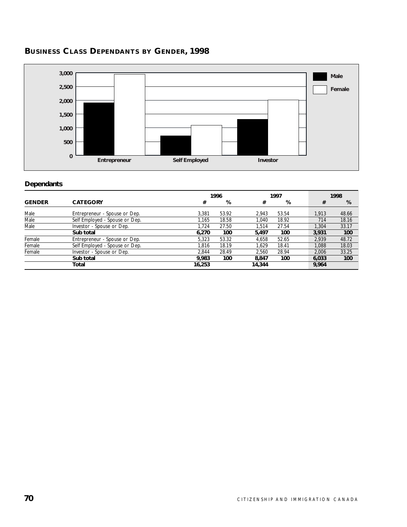# **BUSINESS CLASS DEPENDANTS BY GENDER, 1998**



#### **Dependants**

|               |                                |        | 1996  |        | 1997  |  |       | 1998  |
|---------------|--------------------------------|--------|-------|--------|-------|--|-------|-------|
| <b>GENDER</b> | <b>CATEGORY</b>                | #      | %     | #      | %     |  | #     | %     |
| Male          | Entrepreneur - Spouse or Dep.  | 3.381  | 53.92 | 2.943  | 53.54 |  | 1.913 | 48.66 |
| Male          | Self Employed - Spouse or Dep. | 1.165  | 18.58 | 1.040  | 18.92 |  | 714   | 18.16 |
| Male          | Investor - Spouse or Dep.      | 1.724  | 27.50 | 1.514  | 27.54 |  | 1,304 | 33.17 |
|               | Sub total                      | 6,270  | 100   | 5,497  | 100   |  | 3.931 | 100   |
| Female        | Entrepreneur - Spouse or Dep.  | 5.323  | 53.32 | 4.658  | 52.65 |  | 2.939 | 48.72 |
| Female        | Self Employed - Spouse or Dep. | 1.816  | 18.19 | 1.629  | 18.41 |  | 1.088 | 18.03 |
| Female        | Investor - Spouse or Dep.      | 2.844  | 28.49 | 2.560  | 28.94 |  | 2.006 | 33.25 |
|               | Sub total                      | 9.983  | 100   | 8.847  | 100   |  | 6.033 | 100   |
|               | Total                          | 16,253 |       | 14,344 |       |  | 9,964 |       |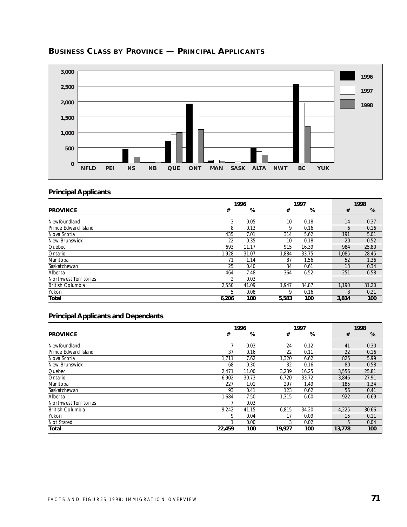

# **BUSINESS CLASS BY PROVINCE — PRINCIPAL APPLICANTS**

# **Principal Applicants**

|                         | 1996           |       |       | 1997  |  |              | 1998  |
|-------------------------|----------------|-------|-------|-------|--|--------------|-------|
| <b>PROVINCE</b>         | #              | %     | #     | %     |  | #            | %     |
| Newfoundland            | 3              | 0.05  | 10    | 0.18  |  | 14           | 0.37  |
| Prince Edward Island    | 8              | 0.13  | 9     | 0.16  |  | <sub>6</sub> | 0.16  |
| Nova Scotia             | 435            | 7.01  | 314   | 5.62  |  | 191          | 5.01  |
| New Brunswick           | 22             | 0.35  | 10    | 0.18  |  | 20           | 0.52  |
| Quebec                  | 693            | 11.17 | 915   | 16.39 |  | 984          | 25.80 |
| Ontario                 | 1,928          | 31.07 | 1.884 | 33.75 |  | 1,085        | 28.45 |
| Manitoba                | 71             | 1.14  | 87    | 1.56  |  | 52           | 1.36  |
| Saskatchewan            | 25             | 0.40  | 34    | 0.61  |  | 13           | 0.34  |
| Alberta                 | 464            | 7.48  | 364   | 6.52  |  | 251          | 6.58  |
| Northwest Territories   | $\mathfrak{D}$ | 0.03  |       |       |  |              |       |
| <b>British Columbia</b> | 2,550          | 41.09 | 1.947 | 34.87 |  | 1.190        | 31.20 |
| Yukon                   | 5              | 0.08  | 9     | 0.16  |  | 8            | 0.21  |
| Total                   | 6,206          | 100   | 5,583 | 100   |  | 3,814        | 100   |

|                              |        | 1996  |        | 1997  |  |        | 1998  |
|------------------------------|--------|-------|--------|-------|--|--------|-------|
| <b>PROVINCE</b>              | #      | %     | #      | %     |  | #      | %     |
| Newfoundland                 |        | 0.03  | 24     | 0.12  |  | 41     | 0.30  |
| Prince Edward Island         | 37     | 0.16  | 22     | 0.11  |  | 22     | 0.16  |
| Nova Scotia                  | 1.711  | 7.62  | 1.320  | 6.62  |  | 825    | 5.99  |
| New Brunswick                | 68     | 0.30  | 32     | 0.16  |  | 80     | 0.58  |
| Quebec                       | 2.471  | 11.00 | 3,239  | 16.25 |  | 3.556  | 25.81 |
| Ontario                      | 6.902  | 30.73 | 6,720  | 33.72 |  | 3.846  | 27.91 |
| Manitoba                     | 227    | 1.01  | 297    | 1.49  |  | 185    | 1.34  |
| Saskatchewan                 | 93     | 0.41  | 123    | 0.62  |  | 56     | 0.41  |
| Alberta                      | 1.684  | 7.50  | 1,315  | 6.60  |  | 922    | 6.69  |
| <b>Northwest Territories</b> |        | 0.03  |        |       |  |        |       |
| <b>British Columbia</b>      | 9.242  | 41.15 | 6,815  | 34.20 |  | 4,225  | 30.66 |
| Yukon                        | 9      | 0.04  | 17     | 0.09  |  | 15     | 0.11  |
| Not Stated                   |        | 0.00  | 3      | 0.02  |  | 5      | 0.04  |
| Total                        | 22.459 | 100   | 19.927 | 100   |  | 13.778 | 100   |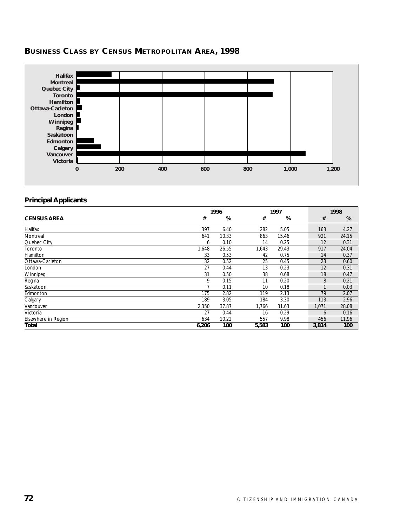

# **BUSINESS CLASS BY CENSUS METROPOLITAN AREA, 1998**

#### **Principal Applicants**

|                     |       | 1996  |       | 1997  |  |       | 1998  |
|---------------------|-------|-------|-------|-------|--|-------|-------|
| <b>CENSUS AREA</b>  | #     | %     | #     | %     |  | #     | %     |
| Halifax             | 397   | 6.40  | 282   | 5.05  |  | 163   | 4.27  |
| Montreal            | 641   | 10.33 | 863   | 15.46 |  | 921   | 24.15 |
| Quebec City         | 6     | 0.10  | 14    | 0.25  |  | 12    | 0.31  |
| Toronto             | 1,648 | 26.55 | 1,643 | 29.43 |  | 917   | 24.04 |
| Hamilton            | 33    | 0.53  | 42    | 0.75  |  | 14    | 0.37  |
| Ottawa-Carleton     | 32    | 0.52  | 25    | 0.45  |  | 23    | 0.60  |
| London              | 27    | 0.44  | 13    | 0.23  |  | 12    | 0.31  |
| Winnipeg            | 31    | 0.50  | 38    | 0.68  |  | 18    | 0.47  |
| Regina              | 9     | 0.15  | 11    | 0.20  |  | 8     | 0.21  |
| Saskatoon           |       | 0.11  | 10    | 0.18  |  |       | 0.03  |
| Edmonton            | 175   | 2.82  | 119   | 2.13  |  | 79    | 2.07  |
| Calgary             | 189   | 3.05  | 184   | 3.30  |  | 113   | 2.96  |
| Vancouver           | 2,350 | 37.87 | 1,766 | 31.63 |  | 1,071 | 28.08 |
| Victoria            | 27    | 0.44  | 16    | 0.29  |  | 6     | 0.16  |
| Elsewhere in Region | 634   | 10.22 | 557   | 9.98  |  | 456   | 11.96 |
| <b>Total</b>        | 6,206 | 100   | 5,583 | 100   |  | 3,814 | 100   |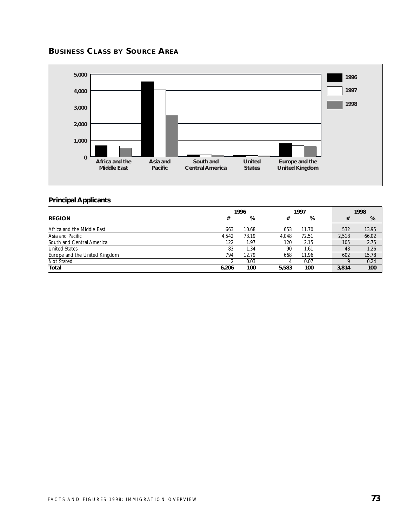# **BUSINESS CLASS BY SOURCE AREA**



#### **Principal Applicants**

|                               |       | 1996  |       | 1997  |  |       | 1998  |
|-------------------------------|-------|-------|-------|-------|--|-------|-------|
| <b>REGION</b>                 | #     | %     | #     | %     |  | #     | %     |
| Africa and the Middle East    | 663   | 10.68 | 653   | 11.70 |  | 532   | 13.95 |
| Asia and Pacific              | 4.542 | 73.19 | 4.048 | 72.51 |  | 2.518 | 66.02 |
| South and Central America     | 122   | 1.97  | 120   | 2.15  |  | 105   | 2.75  |
| <b>United States</b>          | 83    | 1.34  | 90    | 1.61  |  | 48    | 1.26  |
| Europe and the United Kingdom | 794   | 12.79 | 668   | 11.96 |  | 602   | 15.78 |
| Not Stated                    |       | 0.03  | 4     | 0.07  |  |       | 0.24  |
| Total                         | 6.206 | 100   | 5,583 | 100   |  | 3,814 | 100   |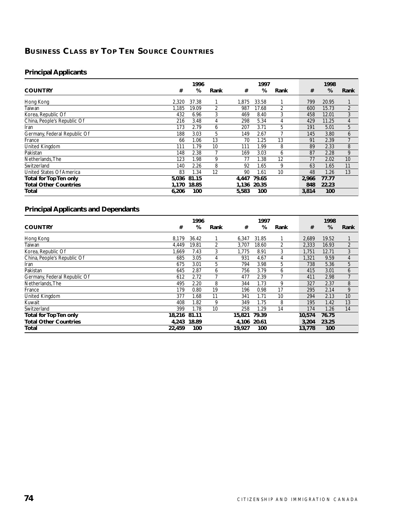# **BUSINESS CLASS BY TOP TEN SOURCE COUNTRIES**

#### **Principal Applicants**

|                              |       | 1996  |      |       | 1997  |                |       | 1998  |                |
|------------------------------|-------|-------|------|-------|-------|----------------|-------|-------|----------------|
| <b>COUNTRY</b>               | #     | %     | Rank | #     | %     | Rank           | #     | %     | Rank           |
| Hong Kong                    | 2,320 | 37.38 |      | 1,875 | 33.58 |                | 799   | 20.95 |                |
| Taiwan                       | 1,185 | 19.09 | 2    | 987   | 17.68 | $\overline{2}$ | 600   | 15.73 | $\overline{2}$ |
| Korea, Republic Of           | 432   | 6.96  | 3    | 469   | 8.40  | 3              | 458   | 12.01 | 3              |
| China, People's Republic Of  | 216   | 3.48  | 4    | 298   | 5.34  | 4              | 429   | 11.25 | $\overline{4}$ |
| Iran                         | 173   | 2.79  | 6    | 207   | 3.71  | 5              | 191   | 5.01  | 5              |
| Germany, Federal Republic Of | 188   | 3.03  | 5    | 149   | 2.67  |                | 145   | 3.80  | 6              |
| France                       | 66    | 1.06  | 13   | 70    | 1.25  | 13             | 91    | 2.39  | 7              |
| United Kingdom               | 111   | 1.79  | 10   | 111   | 1.99  | 8              | 89    | 2.33  | 8              |
| Pakistan                     | 148   | 2.38  |      | 169   | 3.03  | 6              | 87    | 2.28  | 9              |
| Netherlands. The             | 123   | 1.98  | 9    | 77    | l.38  | 12             | 77    | 2.02  | 10             |
| Switzerland                  | 140   | 2.26  | 8    | 92    | 1.65  | 9              | 63    | 1.65  | 11             |
| United States Of America     | 83    | 1.34  | 12   | 90    | 1.61  | 10             | 48    | 1.26  | 13             |
| Total for Top Ten only       | 5.036 | 81.15 |      | 4.447 | 79.65 |                | 2.966 | 77.77 |                |
| <b>Total Other Countries</b> | 1.170 | 18.85 |      | 1,136 | 20.35 |                | 848   | 22.23 |                |
| Total                        | 6,206 | 100   |      | 5,583 | 100   |                | 3,814 | 100   |                |

|                              |        | 1996  |      |             | 1997  |      |        | 1998  |                |
|------------------------------|--------|-------|------|-------------|-------|------|--------|-------|----------------|
| <b>COUNTRY</b>               | #      | %     | Rank | #           | %     | Rank | #      | %     | Rank           |
| Hong Kong                    | 8,179  | 36.42 |      | 6,347       | 31.85 |      | 2,689  | 19.52 |                |
| Taiwan                       | 4.449  | 19.81 | 2    | 3,707       | 18.60 | 2    | 2,333  | 16.93 | $\overline{2}$ |
| Korea, Republic Of           | 1,669  | 7.43  | 3    | 1,775       | 8.91  | 3    | 1,751  | 12.71 | 3              |
| China, People's Republic Of  | 685    | 3.05  | 4    | 931         | 4.67  | 4    | 1,321  | 9.59  | 4              |
| Iran                         | 675    | 3.01  | 5    | 794         | 3.98  | 5    | 738    | 5.36  | 5              |
| Pakistan                     | 645    | 2.87  | 6    | 756         | 3.79  | 6    | 415    | 3.01  | 6              |
| Germany, Federal Republic Of | 612    | 2.72  |      | 477         | 2.39  |      | 411    | 2.98  |                |
| Netherlands, The             | 495    | 2.20  | 8    | 344         | 1.73  | 9    | 327    | 2.37  | 8              |
| France                       | 179    | 0.80  | 19   | 196         | 0.98  | 17   | 295    | 2.14  | 9              |
| United Kingdom               | 377    | 1.68  | 11   | 341         | 1.71  | 10   | 294    | 2.13  | 10             |
| Kuwait                       | 408    | 1.82  | 9    | 349         | 1.75  | 8    | 195    | 1.42  | 13             |
| Switzerland                  | 399    | 1.78  | 10   | 258         | 1.29  | 14   | 174    | 1.26  | 14             |
| Total for Top Ten only       | 18,216 | 81.11 |      | 15,821      | 79.39 |      | 10,574 | 76.75 |                |
| <b>Total Other Countries</b> | 4.243  | 18.89 |      | 4,106 20.61 |       |      | 3,204  | 23.25 |                |
| Total                        | 22,459 | 100   |      | 19.927      | 100   |      | 13,778 | 100   |                |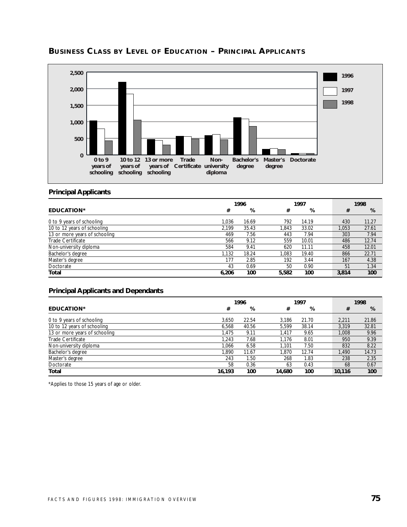

# **BUSINESS CLASS BY LEVEL OF EDUCATION – PRINCIPAL APPLICANTS**

#### **Principal Applicants**

|                               |       | 1996  |       | 1997  |  |       | 1998  |
|-------------------------------|-------|-------|-------|-------|--|-------|-------|
| <b>EDUCATION*</b>             | #     | %     | #     | %     |  | #     | %     |
| 0 to 9 years of schooling     | 1.036 | 16.69 | 792   | 14.19 |  | 430   | 11.27 |
| 10 to 12 years of schooling   | 2.199 | 35.43 | .843  | 33.02 |  | 1.053 | 27.61 |
| 13 or more years of schooling | 469   | 7.56  | 443   | 7.94  |  | 303   | 7.94  |
| Trade Certificate             | 566   | 9.12  | 559   | 10.01 |  | 486   | 12.74 |
| Non-university diploma        | 584   | 9.41  | 620   | 11.11 |  | 458   | 12.01 |
| Bachelor's degree             | 1.132 | 18.24 | 1.083 | 19.40 |  | 866   | 22.71 |
| Master's degree               | 177   | 2.85  | 192   | 3.44  |  | 167   | 4.38  |
| Doctorate                     | 43    | 0.69  | 50    | 0.90  |  | 51    | 1.34  |
| Total                         | 6.206 | 100   | 5,582 | 100   |  | 3,814 | 100   |

#### **Principal Applicants and Dependants**

|                               | 1996   |       |        | 1997  |  |        | 1998  |
|-------------------------------|--------|-------|--------|-------|--|--------|-------|
| <b>EDUCATION*</b>             | #      | %     | #      | %     |  | #      | %     |
| 0 to 9 years of schooling     | 3.650  | 22.54 | 3.186  | 21.70 |  | 2.211  | 21.86 |
| 10 to 12 years of schooling   | 6.568  | 40.56 | 5.599  | 38.14 |  | 3.319  | 32.81 |
| 13 or more years of schooling | 1.475  | 9.11  | 1.417  | 9.65  |  | 1.008  | 9.96  |
| Trade Certificate             | 1.243  | 7.68  | 1.176  | 8.01  |  | 950    | 9.39  |
| Non-university diploma        | 1.066  | 6.58  | 1.101  | 7.50  |  | 832    | 8.22  |
| Bachelor's degree             | 1.890  | 11.67 | 1.870  | 12.74 |  | 1.490  | 14.73 |
| Master's degree               | 243    | 1.50  | 268    | 1.83  |  | 238    | 2.35  |
| Doctorate                     | 58     | 0.36  | 63     | 0.43  |  | 68     | 0.67  |
| Total                         | 16,193 | 100   | 14,680 | 100   |  | 10,116 | 100   |

\*Applies to those 15 years of age or older.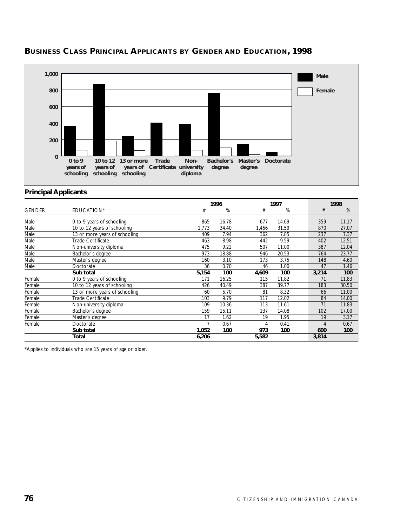

# **BUSINESS CLASS PRINCIPAL APPLICANTS BY GENDER AND EDUCATION, 1998**

#### **Principal Applicants**

|               |                               |       | 1996  |       | 1997  |       | 1998  |
|---------------|-------------------------------|-------|-------|-------|-------|-------|-------|
| <b>GENDER</b> | EDUCATION*                    | #     | %     | #     | %     | #     | %     |
| Male          | 0 to 9 years of schooling     | 865   | 16.78 | 677   | 14.69 | 359   | 11.17 |
| Male          | 10 to 12 years of schooling   | 1.773 | 34.40 | 1,456 | 31.59 | 870   | 27.07 |
| Male          | 13 or more years of schooling | 409   | 7.94  | 362   | 7.85  | 237   | 7.37  |
| Male          | Trade Certificate             | 463   | 8.98  | 442   | 9.59  | 402   | 12.51 |
| Male          | Non-university diploma        | 475   | 9.22  | 507   | 11.00 | 387   | 12.04 |
| Male          | Bachelor's degree             | 973   | 18.88 | 946   | 20.53 | 764   | 23.77 |
| Male          | Master's degree               | 160   | 3.10  | 173   | 3.75  | 148   | 4.60  |
| Male          | Doctorate                     | 36    | 0.70  | 46    | 1.00  | 47    | 1.46  |
|               | Sub total                     | 5,154 | 100   | 4,609 | 100   | 3,214 | 100   |
| Female        | 0 to 9 years of schooling     | 171   | 16.25 | 115   | 11.82 | 71    | 11.83 |
| Female        | 10 to 12 years of schooling   | 426   | 40.49 | 387   | 39.77 | 183   | 30.50 |
| Female        | 13 or more years of schooling | 60    | 5.70  | 81    | 8.32  | 66    | 11.00 |
| Female        | Trade Certificate             | 103   | 9.79  | 117   | 12.02 | 84    | 14.00 |
| Female        | Non-university diploma        | 109   | 10.36 | 113   | 11.61 | 71    | 11.83 |
| Female        | Bachelor's degree             | 159   | 15.11 | 137   | 14.08 | 102   | 17.00 |
| Female        | Master's degree               | 17    | 1.62  | 19    | 1.95  | 19    | 3.17  |
| Female        | Doctorate                     |       | 0.67  | 4     | 0.41  | 4     | 0.67  |
|               | Sub total                     | 1,052 | 100   | 973   | 100   | 600   | 100   |
|               | Total                         | 6,206 |       | 5,582 |       | 3,814 |       |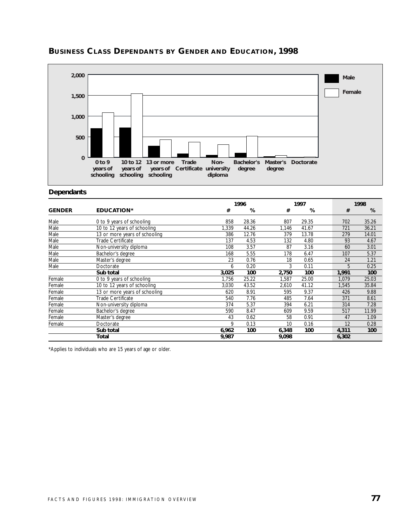

# **BUSINESS CLASS DEPENDANTS BY GENDER AND EDUCATION, 1998**

#### **Dependants**

|               |                               |       | 1996  |       | 1997  |       | 1998  |
|---------------|-------------------------------|-------|-------|-------|-------|-------|-------|
| <b>GENDER</b> | <b>EDUCATION*</b>             | #     | %     | #     | %     | #     | %     |
| Male          | 0 to 9 years of schooling     | 858   | 28.36 | 807   | 29.35 | 702   | 35.26 |
| Male          | 10 to 12 years of schooling   | 1,339 | 44.26 | 1,146 | 41.67 | 721   | 36.21 |
| Male          | 13 or more years of schooling | 386   | 12.76 | 379   | 13.78 | 279   | 14.01 |
| Male          | <b>Trade Certificate</b>      | 137   | 4.53  | 132   | 4.80  | 93    | 4.67  |
| Male          | Non-university diploma        | 108   | 3.57  | 87    | 3.16  | 60    | 3.01  |
| Male          | Bachelor's degree             | 168   | 5.55  | 178   | 6.47  | 107   | 5.37  |
| Male          | Master's degree               | 23    | 0.76  | 18    | 0.65  | 24    | 1.21  |
| Male          | Doctorate                     | 6     | 0.20  | 3     | 0.11  | 5     | 0.25  |
|               | Sub total                     | 3,025 | 100   | 2,750 | 100   | 1,991 | 100   |
| Female        | 0 to 9 years of schooling     | 1,756 | 25.22 | 1,587 | 25.00 | 1,079 | 25.03 |
| Female        | 10 to 12 years of schooling   | 3,030 | 43.52 | 2,610 | 41.12 | 1,545 | 35.84 |
| Female        | 13 or more years of schooling | 620   | 8.91  | 595   | 9.37  | 426   | 9.88  |
| Female        | Trade Certificate             | 540   | 7.76  | 485   | 7.64  | 371   | 8.61  |
| Female        | Non-university diploma        | 374   | 5.37  | 394   | 6.21  | 314   | 7.28  |
| Female        | Bachelor's degree             | 590   | 8.47  | 609   | 9.59  | 517   | 11.99 |
| Female        | Master's degree               | 43    | 0.62  | 58    | 0.91  | 47    | 1.09  |
| Female        | Doctorate                     | 9     | 0.13  | 10    | 0.16  | 12    | 0.28  |
|               | Sub total                     | 6,962 | 100   | 6,348 | 100   | 4,311 | 100   |
|               | Total                         | 9,987 |       | 9,098 |       | 6,302 |       |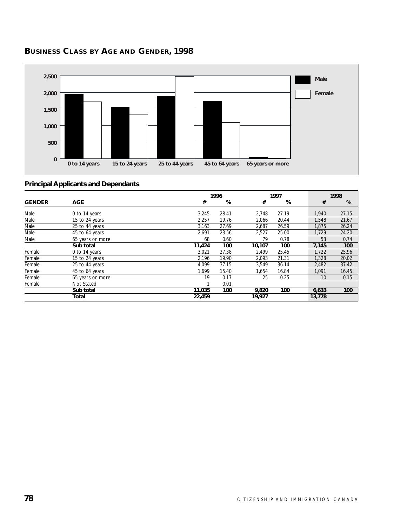

# **BUSINESS CLASS BY AGE AND GENDER, 1998**

|               |                  |        | 1996  |        | 1997  |        | 1998  |
|---------------|------------------|--------|-------|--------|-------|--------|-------|
| <b>GENDER</b> | <b>AGE</b>       | #      | %     | #      | %     | #      | %     |
| Male          | 0 to 14 years    | 3,245  | 28.41 | 2,748  | 27.19 | 1.940  | 27.15 |
| Male          | 15 to 24 years   | 2,257  | 19.76 | 2,066  | 20.44 | 1,548  | 21.67 |
| Male          | 25 to 44 years   | 3,163  | 27.69 | 2,687  | 26.59 | 1.875  | 26.24 |
| Male          | 45 to 64 years   | 2,691  | 23.56 | 2,527  | 25.00 | 1,729  | 24.20 |
| Male          | 65 years or more | 68     | 0.60  | 79     | 0.78  | 53     | 0.74  |
|               | Sub total        | 11,424 | 100   | 10,107 | 100   | 7,145  | 100   |
| Female        | 0 to 14 years    | 3,021  | 27.38 | 2,499  | 25.45 | 1,722  | 25.96 |
| Female        | 15 to 24 years   | 2.196  | 19.90 | 2,093  | 21.31 | 1,328  | 20.02 |
| Female        | 25 to 44 years   | 4.099  | 37.15 | 3,549  | 36.14 | 2,482  | 37.42 |
| Female        | 45 to 64 years   | 1.699  | 15.40 | 1,654  | 16.84 | 1,091  | 16.45 |
| Female        | 65 years or more | 19     | 0.17  | 25     | 0.25  | 10     | 0.15  |
| Female        | Not Stated       |        | 0.01  |        |       |        |       |
|               | Sub total        | 11,035 | 100   | 9,820  | 100   | 6,633  | 100   |
|               | Total            | 22,459 |       | 19,927 |       | 13,778 |       |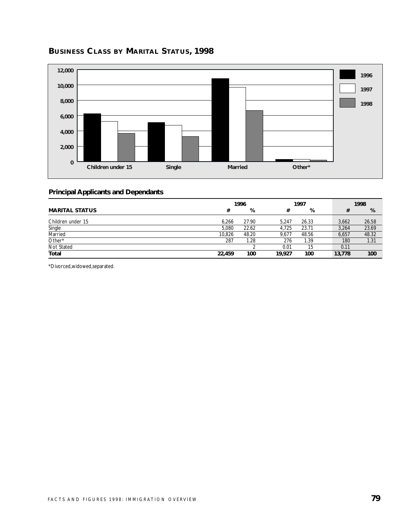

# **BUSINESS CLASS BY MARITAL STATUS, 1998**

#### **Principal Applicants and Dependants**

|                       | 1996   |       |        | 1997  |  |        | 1998  |  |
|-----------------------|--------|-------|--------|-------|--|--------|-------|--|
| <b>MARITAL STATUS</b> | #      | %     | #      | %     |  | #      | %     |  |
| Children under 15     | 6.266  | 27.90 | 5.247  | 26.33 |  | 3.662  | 26.58 |  |
| Single                | 5.080  | 22.62 | 4.725  | 23.71 |  | 3,264  | 23.69 |  |
| Married               | 10,826 | 48.20 | 9,677  | 48.56 |  | 6,657  | 48.32 |  |
| Other*                | 287    | 1.28  | 276    | 1.39  |  | 180    | 1.31  |  |
| Not Stated            |        |       | 0.01   | 15    |  | 0.11   |       |  |
| Total                 | 22,459 | 100   | 19,927 | 100   |  | 13,778 | 100   |  |

\*Divorced,widowed,separated.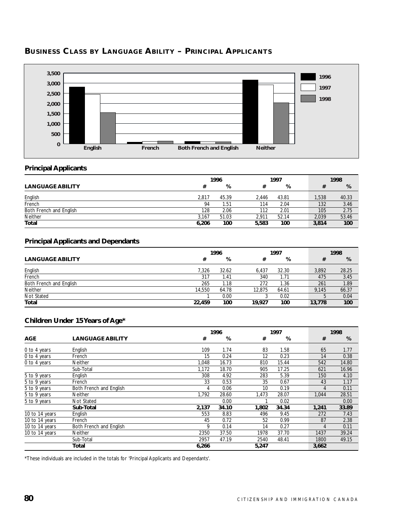

# **BUSINESS CLASS BY LANGUAGE ABILITY – PRINCIPAL APPLICANTS**

#### **Principal Applicants**

|                         | 1996  |       |       | 1997  |  | 1998  |       |
|-------------------------|-------|-------|-------|-------|--|-------|-------|
| <b>LANGUAGE ABILITY</b> |       | %     |       | %     |  |       | %     |
| English                 | 2.817 | 45.39 | 2.446 | 43.81 |  | 1,538 | 40.33 |
| French                  | 94    | 1.51  | 114   | 2.04  |  | 132   | 3.46  |
| Both French and English | 128   | 2.06  | 112   | 2.01  |  | 105   | 2.75  |
| Neither                 | 3.167 | 51.03 | 2.911 | 52.14 |  | 2.039 | 53.46 |
| <b>Total</b>            | 6,206 | 100   | 5,583 | 100   |  | 3,814 | 100   |

#### **Principal Applicants and Dependants**

|                         | 1996   |       |        | 1997  |        | 1998  |       |
|-------------------------|--------|-------|--------|-------|--------|-------|-------|
| <b>LANGUAGE ABILITY</b> | #      | %     |        | %     |        | #     | %     |
| English                 | 7.326  | 32.62 | 6.437  | 32.30 |        | 3,892 | 28.25 |
| French                  | 317    | l.41  | 340    | 1.71  |        | 475   | 3.45  |
| Both French and English | 265    | l.18  | 272    | 1.36  |        | 261   | 1.89  |
| Neither                 | 14.550 | 64.78 | 12.875 | 64.61 |        | 9.145 | 66.37 |
| Not Stated              |        | 0.00  |        | 0.02  |        |       | 0.04  |
| <b>Total</b>            | 22,459 | 100   | 19.927 | 100   | 13,778 |       | 100   |

#### **Children Under 15 Years of Age\***

|                |                         |       | 1996  |       | 1997  |       | 1998  |
|----------------|-------------------------|-------|-------|-------|-------|-------|-------|
| <b>AGE</b>     | <b>LANGUAGE ABILITY</b> | #     | %     | #     | %     | #     | %     |
| 0 to 4 years   | English                 | 109   | 1.74  | 83    | 1.58  | 65    | 1.77  |
| 0 to 4 years   | French                  | 15    | 0.24  | 12    | 0.23  | 14    | 0.38  |
| 0 to 4 years   | <b>Neither</b>          | 1,048 | 16.73 | 810   | 15.44 | 542   | 14.80 |
|                | Sub-Total               | 1,172 | 18.70 | 905   | 17.25 | 621   | 16.96 |
| 5 to 9 years   | English                 | 308   | 4.92  | 283   | 5.39  | 150   | 4.10  |
| 5 to 9 years   | French                  | 33    | 0.53  | 35    | 0.67  | 43    | 1.17  |
| 5 to 9 years   | Both French and English | 4     | 0.06  | 10    | 0.19  | 4     | 0.11  |
| 5 to 9 years   | <b>Neither</b>          | 1,792 | 28.60 | 1,473 | 28.07 | 1,044 | 28.51 |
| 5 to 9 years   | Not Stated              |       | 0.00  |       | 0.02  |       | 0.00  |
|                | Sub-Total               | 2,137 | 34.10 | 1,802 | 34.34 | 1,241 | 33.89 |
| 10 to 14 years | English                 | 553   | 8.83  | 496   | 9.45  | 272   | 7.43  |
| 10 to 14 years | French                  | 45    | 0.72  | 52    | 0.99  | 87    | 2.38  |
| 10 to 14 years | Both French and English | 9     | 0.14  | 14    | 0.27  | 4     | 0.11  |
| 10 to 14 years | <b>Neither</b>          | 2350  | 37.50 | 1978  | 37.70 | 1437  | 39.24 |
|                | Sub-Total               | 2957  | 47.19 | 2540  | 48.41 | 1800  | 49.15 |
|                | Total                   | 6,266 |       | 5,247 |       | 3,662 |       |

\*These individuals are included in the totals for 'Principal Applicants and Dependants'.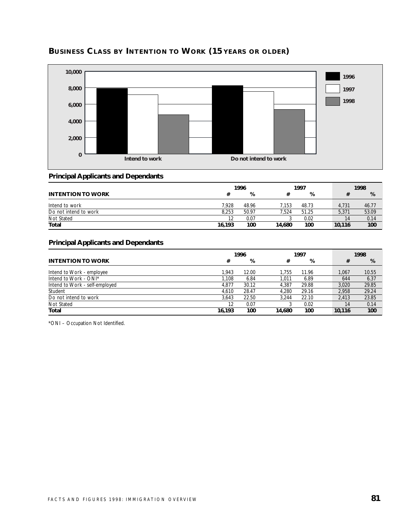

## **BUSINESS CLASS BY INTENTION TO WORK (15 YEARS OR OLDER)**

#### **Principal Applicants and Dependants**

|                          | 1996   |       |        | 1997  |        | 1998 |       |
|--------------------------|--------|-------|--------|-------|--------|------|-------|
| <b>INTENTION TO WORK</b> |        | %     |        | %     |        |      | %     |
| Intend to work           | 7.928  | 48.96 | 7.153  | 48.73 | 4.731  |      | 46.77 |
| Do not intend to work    | 8.253  | 50.97 | 7.524  | 51.25 | 5.371  |      | 53.09 |
| Not Stated               |        | 0.07  |        | 0.02  |        | 14   | 0.14  |
| Total                    | 16,193 | 100   | 14.680 | 100   | 10.116 |      | 100   |

#### **Principal Applicants and Dependants**

|                                | 1996   |       |        | 1997  |  | 1998   |       |
|--------------------------------|--------|-------|--------|-------|--|--------|-------|
| <b>INTENTION TO WORK</b>       | #      | %     | #      | %     |  | #      | %     |
| Intend to Work - employee      | 1.943  | 12.00 | 1.755  | 11.96 |  | 1.067  | 10.55 |
| Intend to Work - ONI*          | 1.108  | 6.84  | 1.011  | 6.89  |  | 644    | 6.37  |
| Intend to Work - self-employed | 4.877  | 30.12 | 4.387  | 29.88 |  | 3.020  | 29.85 |
| Student                        | 4.610  | 28.47 | 4.280  | 29.16 |  | 2.958  | 29.24 |
| Do not intend to work          | 3.643  | 22.50 | 3.244  | 22.10 |  | 2.413  | 23.85 |
| Not Stated                     | 12     | 0.07  |        | 0.02  |  | 14     | 0.14  |
| Total                          | 16.193 | 100   | 14.680 | 100   |  | 10.116 | 100   |

\*ONI – Occupation Not Identified.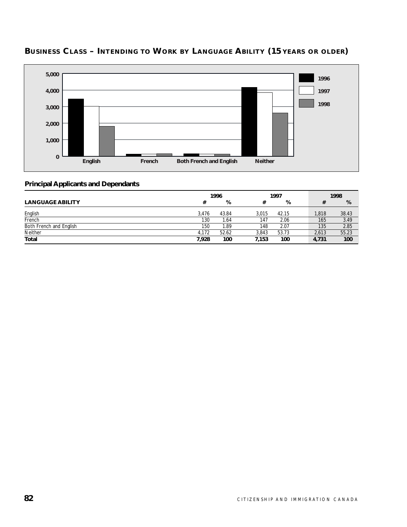

# **BUSINESS CLASS – INTENDING TO WORK BY LANGUAGE ABILITY (15 YEARS OR OLDER)**

|                         | 1996  |       |       | 1997  |  | 1998  |       |
|-------------------------|-------|-------|-------|-------|--|-------|-------|
| <b>LANGUAGE ABILITY</b> | #     | %     |       | %     |  |       | %     |
| English                 | 3.476 | 43.84 | 3.015 | 42.15 |  | 1.818 | 38.43 |
| French                  | 130   | .64   | 147   | 2.06  |  | 165   | 3.49  |
| Both French and English | 150   | .89   | 148   | 2.07  |  | 135   | 2.85  |
| Neither                 | 4.172 | 52.62 | 3.843 | 53.73 |  | 2,613 | 55.23 |
| <b>Total</b>            | 7,928 | 100   | 7,153 | 100   |  | 4,731 | 100   |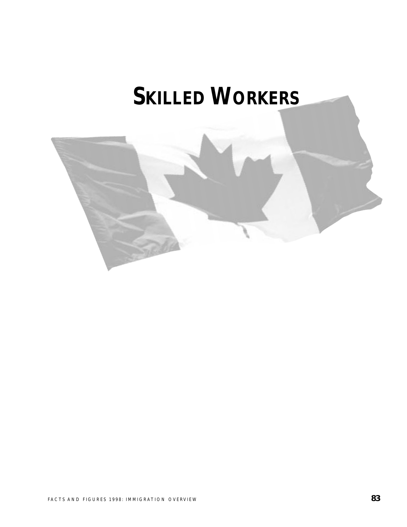# **SKILLED WORKERS**

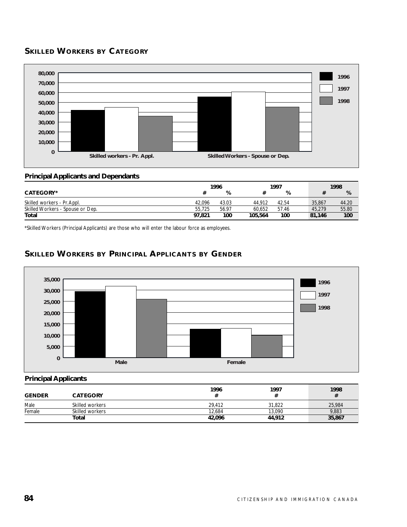# **SKILLED WORKERS BY CATEGORY**



#### **Principal Applicants and Dependants**

|                                  | 1996   |       | 1997    |       |        | 1998   |       |
|----------------------------------|--------|-------|---------|-------|--------|--------|-------|
| <b>CATEGORY*</b>                 |        | %     |         | %     |        |        | %     |
| Skilled workers - Pr. Appl.      | 42.096 | 43.03 | 44.912  | 42.54 |        | 35.867 | 44.20 |
| Skilled Workers - Spouse or Dep. | 55.725 | 56.97 | 60.652  | 57.46 |        | 45.279 | 55.80 |
| Total                            | 97.821 | 100   | 105,564 | 100   | 81.146 |        | 100   |

\*Skilled Workers (Principal Applicants) are those who will enter the labour force as employees.

## **SKILLED WORKERS BY PRINCIPAL APPLICANTS BY GENDER**



#### **Principal Applicants**

| <b>GENDER</b> | <b>CATEGORY</b> | 1996   | 1997   | 1998<br># |
|---------------|-----------------|--------|--------|-----------|
| Male          | Skilled workers | 29.412 | 31.822 | 25.984    |
| Female        | Skilled workers | 12.684 | 13,090 | 9,883     |
|               | Total           | 42,096 | 44,912 | 35,867    |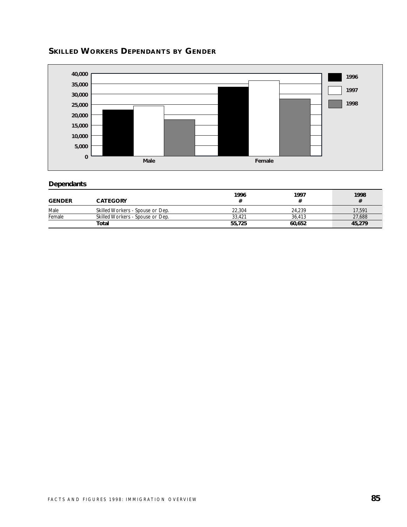



#### **Dependants**

| <b>GENDER</b> | <b>CATEGORY</b>                  | 1996   | 1997   | 1998   |
|---------------|----------------------------------|--------|--------|--------|
| Male          | Skilled Workers - Spouse or Dep. | 22.304 | 24.239 | 17,591 |
| Female        | Skilled Workers - Spouse or Dep. | 33.421 | 36.413 | 27,688 |
|               | Total                            | 55,725 | 60.652 | 45,279 |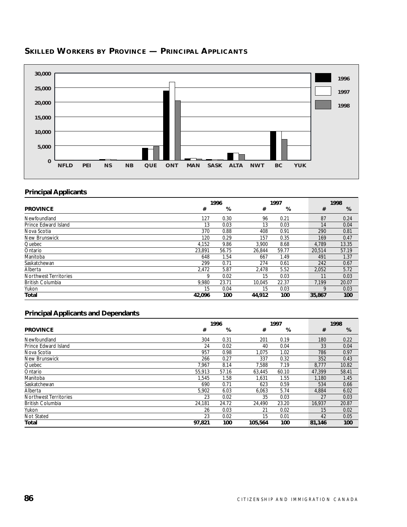

# **SKILLED WORKERS BY PROVINCE — PRINCIPAL APPLICANTS**

#### **Principal Applicants**

|                              |        | 1996  |        | 1997  |  |        | 1998  |
|------------------------------|--------|-------|--------|-------|--|--------|-------|
| <b>PROVINCE</b>              | #      | %     | #      | %     |  | #      | %     |
| Newfoundland                 | 127    | 0.30  | 96     | 0.21  |  | 87     | 0.24  |
| Prince Edward Island         | 13     | 0.03  | 13     | 0.03  |  | 14     | 0.04  |
| Nova Scotia                  | 370    | 0.88  | 408    | 0.91  |  | 290    | 0.81  |
| New Brunswick                | 120    | 0.29  | 157    | 0.35  |  | 169    | 0.47  |
| Quebec                       | 4,152  | 9.86  | 3,900  | 8.68  |  | 4,789  | 13.35 |
| Ontario                      | 23.891 | 56.75 | 26.844 | 59.77 |  | 20.514 | 57.19 |
| Manitoba                     | 648    | 1.54  | 667    | 1.49  |  | 491    | 1.37  |
| Saskatchewan                 | 299    | 0.71  | 274    | 0.61  |  | 242    | 0.67  |
| Alberta                      | 2,472  | 5.87  | 2,478  | 5.52  |  | 2,052  | 5.72  |
| <b>Northwest Territories</b> | 9      | 0.02  | 15     | 0.03  |  | 11     | 0.03  |
| <b>British Columbia</b>      | 9,980  | 23.71 | 10,045 | 22.37 |  | 7,199  | 20.07 |
| Yukon                        | 15     | 0.04  | 15     | 0.03  |  | 9      | 0.03  |
| Total                        | 42,096 | 100   | 44,912 | 100   |  | 35,867 | 100   |

|                              | 1996   |       | 1997    | 1998  |        |       |
|------------------------------|--------|-------|---------|-------|--------|-------|
| <b>PROVINCE</b>              | #      | %     | #       | %     | #      | %     |
| Newfoundland                 | 304    | 0.31  | 201     | 0.19  | 180    | 0.22  |
| Prince Edward Island         | 24     | 0.02  | 40      | 0.04  | 33     | 0.04  |
| Nova Scotia                  | 957    | 0.98  | 1.075   | 1.02  | 786    | 0.97  |
| New Brunswick                | 266    | 0.27  | 337     | 0.32  | 352    | 0.43  |
| Quebec                       | 7.967  | 8.14  | 7.588   | 7.19  | 8.777  | 10.82 |
| Ontario                      | 55,913 | 57.16 | 63.445  | 60.10 | 47.399 | 58.41 |
| Manitoba                     | 1.545  | 1.58  | 1,631   | 1.55  | 1,180  | 1.45  |
| Saskatchewan                 | 690    | 0.71  | 623     | 0.59  | 534    | 0.66  |
| Alberta                      | 5,902  | 6.03  | 6,063   | 5.74  | 4,884  | 6.02  |
| <b>Northwest Territories</b> | 23     | 0.02  | 35      | 0.03  | 27     | 0.03  |
| <b>British Columbia</b>      | 24,181 | 24.72 | 24,490  | 23.20 | 16,937 | 20.87 |
| Yukon                        | 26     | 0.03  | 21      | 0.02  | 15     | 0.02  |
| Not Stated                   | 23     | 0.02  | 15      | 0.01  | 42     | 0.05  |
| Total                        | 97,821 | 100   | 105,564 | 100   | 81,146 | 100   |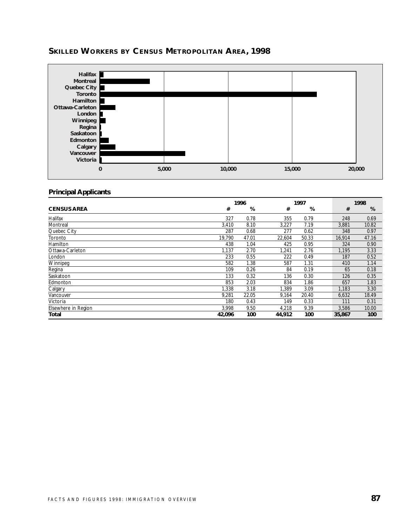# **SKILLED WORKERS BY CENSUS METROPOLITAN AREA, 1998**



#### **Principal Applicants**

|                     | 1996   |       |        | 1997  |  |        | 1998  |
|---------------------|--------|-------|--------|-------|--|--------|-------|
| <b>CENSUS AREA</b>  | #      | %     | #      | %     |  | #      | %     |
| Halifax             | 327    | 0.78  | 355    | 0.79  |  | 248    | 0.69  |
| Montreal            | 3,410  | 8.10  | 3,227  | 7.19  |  | 3,881  | 10.82 |
| Quebec City         | 287    | 0.68  | 277    | 0.62  |  | 348    | 0.97  |
| Toronto             | 19,790 | 47.01 | 22,604 | 50.33 |  | 16,914 | 47.16 |
| Hamilton            | 438    | 1.04  | 425    | 0.95  |  | 324    | 0.90  |
| Ottawa-Carleton     | 1,137  | 2.70  | ,241   | 2.76  |  | 1,195  | 3.33  |
| London              | 233    | 0.55  | 222    | 0.49  |  | 187    | 0.52  |
| Winnipeg            | 582    | 1.38  | 587    | 1.31  |  | 410    | 1.14  |
| Regina              | 109    | 0.26  | 84     | 0.19  |  | 65     | 0.18  |
| Saskatoon           | 133    | 0.32  | 136    | 0.30  |  | 126    | 0.35  |
| Edmonton            | 853    | 2.03  | 834    | 1.86  |  | 657    | 1.83  |
| Calgary             | 1,338  | 3.18  | 1,389  | 3.09  |  | 1,183  | 3.30  |
| Vancouver           | 9,281  | 22.05 | 9,164  | 20.40 |  | 6,632  | 18.49 |
| Victoria            | 180    | 0.43  | 149    | 0.33  |  | 111    | 0.31  |
| Elsewhere in Region | 3,998  | 9.50  | 4,218  | 9.39  |  | 3,586  | 10.00 |
| <b>Total</b>        | 42,096 | 100   | 44,912 | 100   |  | 35,867 | 100   |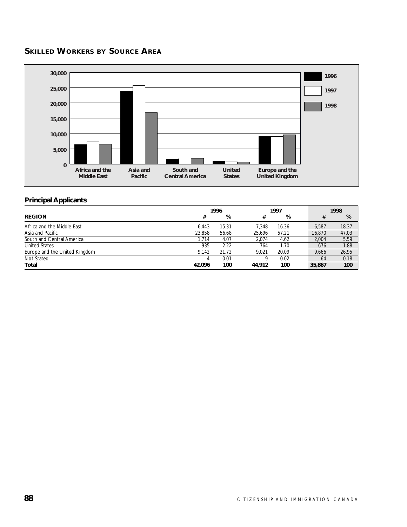# **SKILLED WORKERS BY SOURCE AREA**



#### **Principal Applicants**

|                               | 1996   |       |        | 1997  |        | 1998       |
|-------------------------------|--------|-------|--------|-------|--------|------------|
| <b>REGION</b>                 | #      | %     | #      | %     |        | %<br>#     |
| Africa and the Middle East    | 6.443  | 15.31 | 7.348  | 16.36 | 6.587  | 18.37      |
| Asia and Pacific              | 23,858 | 56.68 | 25.696 | 57.21 | 16,870 | 47.03      |
| South and Central America     | 1.714  | 4.07  | 2.074  | 4.62  | 2.004  | 5.59       |
| <b>United States</b>          | 935    | 2.22  | 764    | 1.70  | 676    | 1.88       |
| Europe and the United Kingdom | 9.142  | 21.72 | 9.021  | 20.09 | 9.666  | 26.95      |
| Not Stated                    |        | 0.01  |        | 0.02  |        | 0.18<br>64 |
| Total                         | 42,096 | 100   | 44.912 | 100   | 35,867 | 100        |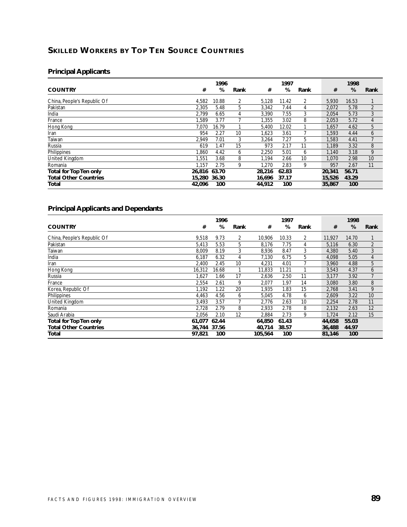# **SKILLED WORKERS BY TOP TEN SOURCE COUNTRIES**

#### **Principal Applicants**

|                              |              | 1996  |                |        | 1997  |      |        | 1998  |                |
|------------------------------|--------------|-------|----------------|--------|-------|------|--------|-------|----------------|
| <b>COUNTRY</b>               | #            | %     | Rank           | #      | %     | Rank | #      | %     | Rank           |
| China, People's Republic Of  | 4,582        | 10.88 | $\overline{2}$ | 5,128  | 11.42 | 2    | 5.930  | 16.53 |                |
| Pakistan                     | 2.305        | 5.48  | 5.             | 3,342  | 7.44  | 4    | 2,072  | 5.78  | $\overline{2}$ |
| India                        | 2.799        | 6.65  | 4              | 3,390  | 7.55  | 3    | 2,054  | 5.73  | 3              |
| France                       | .589         | 3.77  |                | 1.355  | 3.02  | 8    | 2.053  | 5.72  | 4              |
| Hong Kong                    | 7,070        | 16.79 |                | 5,400  | 12.02 |      | 1,657  | 4.62  | 5              |
| Iran                         | 954          | 2.27  | 10             | 1,623  | 3.61  |      | 1,593  | 4.44  | 6              |
| Taiwan                       | 2,949        | 7.01  | 3              | 3,264  | 7.27  | 5    | 1,583  | 4.41  |                |
| Russia                       | 619          | 1.47  | 15             | 973    | 2.17  | 11   | 1,189  | 3.32  | 8              |
| Philippines                  | .860         | 4.42  | 6              | 2.250  | 5.01  | 6    | 1.140  | 3.18  | 9              |
| United Kingdom               | .551         | 3.68  | 8              | 1,194  | 2.66  | 10   | 1,070  | 2.98  | 10             |
| Romania                      | 1.157        | 2.75  | 9              | 1.270  | 2.83  | 9    | 957    | 2.67  | 11             |
| Total for Top Ten only       | 26,816       | 63.70 |                | 28,216 | 62.83 |      | 20,341 | 56.71 |                |
| <b>Total Other Countries</b> | 15,280 36.30 |       |                | 16,696 | 37.17 |      | 15,526 | 43.29 |                |
| Total                        | 42,096       | 100   |                | 44,912 | 100   |      | 35,867 | 100   |                |

|                              |        | 1996  |      |         | 1997  |      |        | 1998  |                |
|------------------------------|--------|-------|------|---------|-------|------|--------|-------|----------------|
| <b>COUNTRY</b>               | #      | %     | Rank | #       | %     | Rank | #      | %     | Rank           |
| China, People's Republic Of  | 9,518  | 9.73  | 2    | 10.906  | 10.33 | 2    | 11,927 | 14.70 |                |
| Pakistan                     | 5.413  | 5.53  | 5    | 8,176   | 7.75  | 4    | 5,116  | 6.30  | $\overline{2}$ |
| Taiwan                       | 8.009  | 8.19  | 3    | 8,936   | 8.47  | 3    | 4.380  | 5.40  | 3              |
| India                        | 6.187  | 6.32  | 4    | 7,130   | 6.75  | 5    | 4,098  | 5.05  | 4              |
| Iran                         | 2,400  | 2.45  | 10   | 4,231   | 4.01  |      | 3,960  | 4.88  | 5              |
| Hong Kong                    | 16,312 | 16.68 |      | 11,833  | 11.21 |      | 3,543  | 4.37  | 6              |
| Russia                       | 1,627  | 1.66  | 17   | 2,636   | 2.50  | 11   | 3,177  | 3.92  | 7              |
| France                       | 2,554  | 2.61  | 9    | 2,077   | 1.97  | 14   | 3,080  | 3.80  | 8              |
| Korea, Republic Of           | 1,192  | 1.22  | 20   | 1,935   | 1.83  | 15   | 2.768  | 3.41  | 9              |
| Philippines                  | 4.463  | 4.56  | 6    | 5,045   | 4.78  | 6    | 2,609  | 3.22  | 10             |
| <b>United Kingdom</b>        | 3.493  | 3.57  |      | 2,776   | 2.63  | 10   | 2,254  | 2.78  | 11             |
| Romania                      | 2.728  | 2.79  | 8    | 2.933   | 2.78  | 8    | 2.132  | 2.63  | 12             |
| Saudi Arabia                 | 2.056  | 2.10  | 12   | 2.884   | 2.73  | 9    | 1.724  | 2.12  | 15             |
| Total for Top Ten only       | 61,077 | 62.44 |      | 64,850  | 61.43 |      | 44,658 | 55.03 |                |
| <b>Total Other Countries</b> | 36.744 | 37.56 |      | 40.714  | 38.57 |      | 36,488 | 44.97 |                |
| Total                        | 97,821 | 100   |      | 105,564 | 100   |      | 81,146 | 100   |                |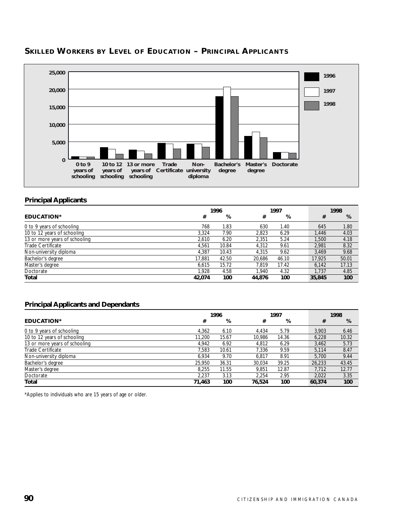

#### **SKILLED WORKERS BY LEVEL OF EDUCATION – PRINCIPAL APPLICANTS**

#### **Principal Applicants**

|                               | 1996   |       |        | 1997  |        |        | 1998  |
|-------------------------------|--------|-------|--------|-------|--------|--------|-------|
| <b>EDUCATION*</b>             | #      | %     | #      | %     |        | #      | %     |
| 0 to 9 years of schooling     | 768    | 1.83  | 630    | 1.40  |        | 645    | 1.80  |
| 10 to 12 years of schooling   | 3.324  | 7.90  | 2.823  | 6.29  |        | 1,446  | 4.03  |
| 13 or more years of schooling | 2.610  | 6.20  | 2.351  | 5.24  |        | 1,500  | 4.18  |
| Trade Certificate             | 4.561  | 10.84 | 4.312  | 9.61  |        | 2.981  | 8.32  |
| Non-university diploma        | 4.387  | 10.43 | 4.315  | 9.62  |        | 3.469  | 9.68  |
| Bachelor's degree             | 17.881 | 42.50 | 20,686 | 46.10 |        | 17,925 | 50.01 |
| Master's degree               | 6.615  | 15.72 | 7.819  | 17.42 |        | 6,142  | 17.13 |
| Doctorate                     | 1.928  | 4.58  | 1.940  | 4.32  |        | 1.737  | 4.85  |
| Total                         | 42.074 | 100   | 44.876 | 100   | 35,845 |        | 100   |

#### **Principal Applicants and Dependants**

|                               | 1996   |       |        | 1997  |  |        | 1998  |
|-------------------------------|--------|-------|--------|-------|--|--------|-------|
| <b>EDUCATION*</b>             | #      | %     | #      | %     |  | #      | %     |
| 0 to 9 years of schooling     | 4.362  | 6.10  | 4.434  | 5.79  |  | 3.903  | 6.46  |
| 10 to 12 years of schooling   | 11,200 | 15.67 | 10.986 | 14.36 |  | 6,228  | 10.32 |
| 13 or more years of schooling | 4.942  | 6.92  | 4.812  | 6.29  |  | 3.462  | 5.73  |
| Trade Certificate             | 7.583  | 10.61 | 7.336  | 9.59  |  | 5.114  | 8.47  |
| Non-university diploma        | 6.934  | 9.70  | 6.817  | 8.91  |  | 5.700  | 9.44  |
| Bachelor's degree             | 25.950 | 36.31 | 30.034 | 39.25 |  | 26.233 | 43.45 |
| Master's degree               | 8.255  | 11.55 | 9.851  | 12.87 |  | 7.712  | 12.77 |
| Doctorate                     | 2.237  | 3.13  | 2.254  | 2.95  |  | 2.022  | 3.35  |
| Total                         | 71.463 | 100   | 76.524 | 100   |  | 60,374 | 100   |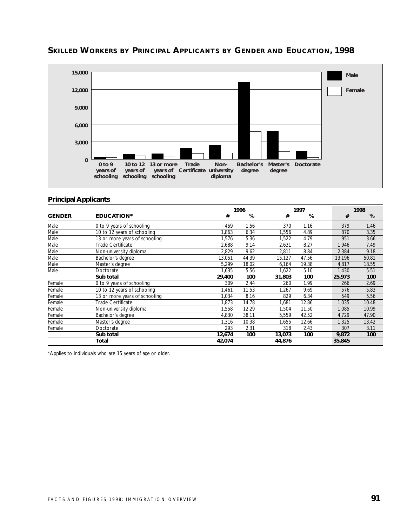

#### **SKILLED WORKERS BY PRINCIPAL APPLICANTS BY GENDER AND EDUCATION, 1998**

#### **Principal Applicants**

|               |                               |        | 1996  |        | 1997  |        | 1998  |  |  |
|---------------|-------------------------------|--------|-------|--------|-------|--------|-------|--|--|
| <b>GENDER</b> | <b>EDUCATION*</b>             | #      | %     | #      | %     | #      | %     |  |  |
| Male          | 0 to 9 years of schooling     | 459    | 1.56  | 370    | 1.16  | 379    | 1.46  |  |  |
| Male          | 10 to 12 years of schooling   | 1,863  | 6.34  | 1,556  | 4.89  | 870    | 3.35  |  |  |
| Male          | 13 or more years of schooling | 1,576  | 5.36  | 1,522  | 4.79  | 951    | 3.66  |  |  |
| Male          | Trade Certificate             | 2,688  | 9.14  | 2,631  | 8.27  | 1,946  | 7.49  |  |  |
| Male          | Non-university diploma        | 2,829  | 9.62  | 2,811  | 8.84  | 2,384  | 9.18  |  |  |
| Male          | Bachelor's degree             | 13,051 | 44.39 | 15,127 | 47.56 | 13,196 | 50.81 |  |  |
| Male          | Master's degree               | 5,299  | 18.02 | 6,164  | 19.38 | 4,817  | 18.55 |  |  |
| Male          | Doctorate                     | 1,635  | 5.56  | 1,622  | 5.10  | 1,430  | 5.51  |  |  |
|               | Sub total                     | 29,400 | 100   | 31,803 | 100   | 25,973 | 100   |  |  |
| Female        | 0 to 9 years of schooling     | 309    | 2.44  | 260    | 1.99  | 266    | 2.69  |  |  |
| Female        | 10 to 12 years of schooling   | 1,461  | 11.53 | 1,267  | 9.69  | 576    | 5.83  |  |  |
| Female        | 13 or more years of schooling | 1,034  | 8.16  | 829    | 6.34  | 549    | 5.56  |  |  |
| Female        | Trade Certificate             | 1.873  | 14.78 | 1,681  | 12.86 | 1,035  | 10.48 |  |  |
| Female        | Non-university diploma        | 1,558  | 12.29 | 1,504  | 11.50 | 1,085  | 10.99 |  |  |
| Female        | Bachelor's degree             | 4,830  | 38.11 | 5,559  | 42.52 | 4,729  | 47.90 |  |  |
| Female        | Master's degree               | 1.316  | 10.38 | 1,655  | 12.66 | 1,325  | 13.42 |  |  |
| Female        | Doctorate                     | 293    | 2.31  | 318    | 2.43  | 307    | 3.11  |  |  |
|               | Sub total                     | 12,674 | 100   | 13,073 | 100   | 9,872  | 100   |  |  |
|               | Total                         | 42,074 |       | 44,876 |       | 35,845 |       |  |  |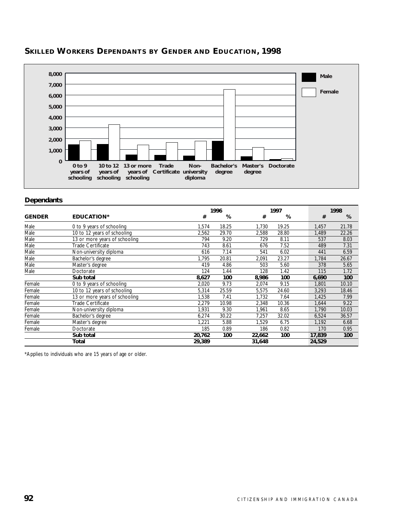

# **SKILLED WORKERS DEPENDANTS BY GENDER AND EDUCATION, 1998**

#### **Dependants**

|               |                               |        | 1996  |        | 1997  |        | 1998  |       |  |
|---------------|-------------------------------|--------|-------|--------|-------|--------|-------|-------|--|
| <b>GENDER</b> | <b>EDUCATION*</b>             | #      | %     | #      | %     |        | #     | %     |  |
| Male          | 0 to 9 years of schooling     | 1,574  | 18.25 | 1,730  | 19.25 |        | 1,457 | 21.78 |  |
| Male          | 10 to 12 years of schooling   | 2,562  | 29.70 | 2,588  | 28.80 |        | 1,489 | 22.26 |  |
| Male          | 13 or more years of schooling | 794    | 9.20  | 729    | 8.11  |        | 537   | 8.03  |  |
| Male          | Trade Certificate             | 743    | 8.61  | 676    | 7.52  |        | 489   | 7.31  |  |
| Male          | Non-university diploma        | 616    | 7.14  | 541    | 6.02  |        | 441   | 6.59  |  |
| Male          | Bachelor's degree             | 1.795  | 20.81 | 2,091  | 23.27 |        | 1,784 | 26.67 |  |
| Male          | Master's degree               | 419    | 4.86  | 503    | 5.60  |        | 378   | 5.65  |  |
| Male          | Doctorate                     | 124    | 1.44  | 128    | 1.42  |        | 115   | 1.72  |  |
|               | Sub total                     | 8,627  | 100   | 8,986  | 100   |        | 6,690 | 100   |  |
| Female        | 0 to 9 years of schooling     | 2.020  | 9.73  | 2,074  | 9.15  |        | 1.801 | 10.10 |  |
| Female        | 10 to 12 years of schooling   | 5,314  | 25.59 | 5,575  | 24.60 |        | 3,293 | 18.46 |  |
| Female        | 13 or more years of schooling | 1,538  | 7.41  | 1,732  | 7.64  |        | 1,425 | 7.99  |  |
| Female        | Trade Certificate             | 2.279  | 10.98 | 2,348  | 10.36 |        | 1,644 | 9.22  |  |
| Female        | Non-university diploma        | 1,931  | 9.30  | 1,961  | 8.65  |        | 1,790 | 10.03 |  |
| Female        | Bachelor's degree             | 6,274  | 30.22 | 7,257  | 32.02 |        | 6,524 | 36.57 |  |
| Female        | Master's degree               | 1,221  | 5.88  | 1,529  | 6.75  |        | 1,192 | 6.68  |  |
| Female        | Doctorate                     | 185    | 0.89  | 186    | 0.82  |        | 170   | 0.95  |  |
|               | Sub total                     | 20,762 | 100   | 22,662 | 100   | 17,839 |       | 100   |  |
|               | Total                         | 29,389 |       | 31,648 |       | 24,529 |       |       |  |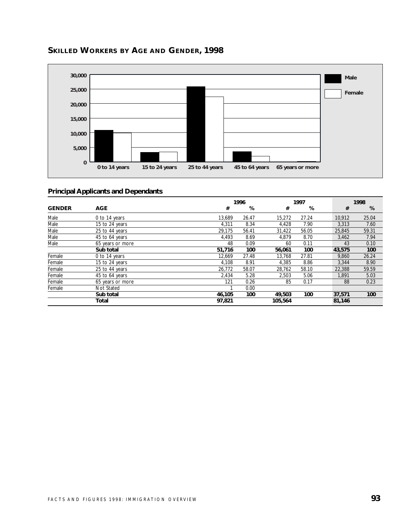

# **SKILLED WORKERS BY AGE AND GENDER, 1998**

|               |                  |        | 1996  |         |       |        | 1998  |
|---------------|------------------|--------|-------|---------|-------|--------|-------|
| <b>GENDER</b> | <b>AGE</b>       | #      | %     | #       | %     | #      | %     |
| Male          | 0 to 14 years    | 13,689 | 26.47 | 15,272  | 27.24 | 10,912 | 25.04 |
| Male          | 15 to 24 years   | 4,311  | 8.34  | 4,428   | 7.90  | 3,313  | 7.60  |
| Male          | 25 to 44 years   | 29,175 | 56.41 | 31,422  | 56.05 | 25,845 | 59.31 |
| Male          | 45 to 64 years   | 4,493  | 8.69  | 4,879   | 8.70  | 3,462  | 7.94  |
| Male          | 65 years or more | 48     | 0.09  | 60      | 0.11  | 43     | 0.10  |
|               | Sub total        | 51,716 | 100   | 56,061  | 100   | 43,575 | 100   |
| Female        | 0 to 14 years    | 12,669 | 27.48 | 13,768  | 27.81 | 9,860  | 26.24 |
| Female        | 15 to 24 years   | 4,108  | 8.91  | 4,385   | 8.86  | 3,344  | 8.90  |
| Female        | 25 to 44 years   | 26,772 | 58.07 | 28,762  | 58.10 | 22,388 | 59.59 |
| Female        | 45 to 64 years   | 2,434  | 5.28  | 2,503   | 5.06  | 1.891  | 5.03  |
| Female        | 65 years or more | 121    | 0.26  | 85      | 0.17  | 88     | 0.23  |
| Female        | Not Stated       |        | 0.00  |         |       |        |       |
|               | Sub total        | 46,105 | 100   | 49,503  | 100   | 37,571 | 100   |
|               | <b>Total</b>     | 97,821 |       | 105,564 |       | 81,146 |       |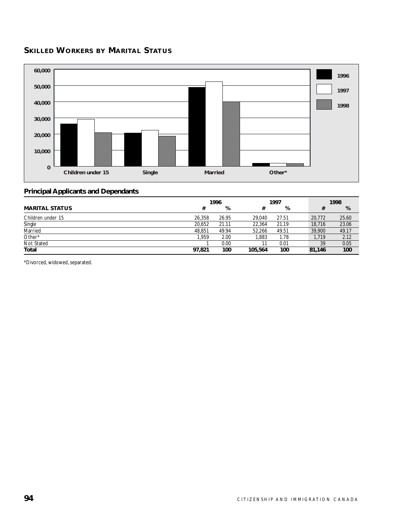# **SKILLED WORKERS BY MARITAL STATUS**



#### **Principal Applicants and Dependants**

|                       | 1996   |       |         | 1997  |  |        | 1998  |
|-----------------------|--------|-------|---------|-------|--|--------|-------|
| <b>MARITAL STATUS</b> | #      | %     |         | %     |  | #      | %     |
| Children under 15     | 26,358 | 26.95 | 29.040  | 27.51 |  | 20,772 | 25.60 |
| Single                | 20,652 | 21.11 | 22.364  | 21.19 |  | 18,716 | 23.06 |
| Married               | 48.851 | 49.94 | 52.266  | 49.51 |  | 39,900 | 49.17 |
| Other*                | 1.959  | 2.00  | '.883   | 1.78  |  | 1.719  | 2.12  |
| Not Stated            |        | 0.00  |         | 0.01  |  | 39     | 0.05  |
| Total                 | 97.821 | 100   | 105,564 | 100   |  | 81.146 | 100   |

\*Divorced, widowed, separated.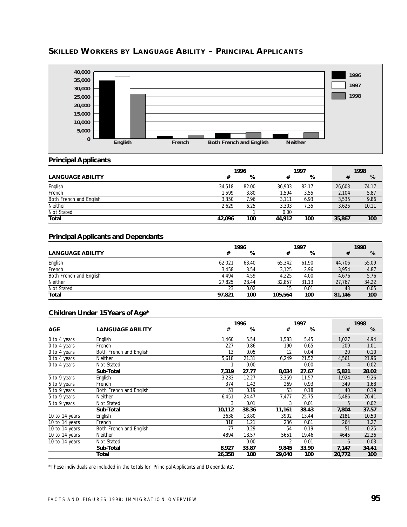

# **SKILLED WORKERS BY LANGUAGE ABILITY – PRINCIPAL APPLICANTS**

#### **Principal Applicants**

|                         | 1996   |       |        | 1997  |  |        | 1998  |
|-------------------------|--------|-------|--------|-------|--|--------|-------|
| <b>LANGUAGE ABILITY</b> | #      | %     | #      | %     |  | #      | %     |
| English                 | 34,518 | 82.00 | 36.903 | 82.17 |  | 26,603 | 74.17 |
| French                  | 1.599  | 3.80  | 1.594  | 3.55  |  | 2.104  | 5.87  |
| Both French and English | 3.350  | 7.96  | 3.111  | 6.93  |  | 3.535  | 9.86  |
| <b>Neither</b>          | 2.629  | 6.25  | 3.303  | 7.35  |  | 3.625  | 10.11 |
| Not Stated              |        |       | 0.00   |       |  |        |       |
| <b>Total</b>            | 42,096 | 100   | 44.912 | 100   |  | 35,867 | 100   |

#### **Principal Applicants and Dependants**

|                         | 1996   |       |         | 1997  |  |        | 1998  |
|-------------------------|--------|-------|---------|-------|--|--------|-------|
| <b>LANGUAGE ABILITY</b> | #      | %     |         | %     |  |        | %     |
| English                 | 62.021 | 63.40 | 65.342  | 61.90 |  | 44.706 | 55.09 |
| French                  | 3,458  | 3.54  | 3.125   | 2.96  |  | 3,954  | 4.87  |
| Both French and English | 4.494  | 4.59  | 4.225   | 4.00  |  | 4.676  | 5.76  |
| <b>Neither</b>          | 27.825 | 28.44 | 32.857  | 31.13 |  | 27.767 | 34.22 |
| Not Stated              | 23     | 0.02  | 15      | 0.01  |  | 43     | 0.05  |
| Total                   | 97,821 | 100   | 105,564 | 100   |  | 81,146 | 100   |

#### **Children Under 15 Years of Age\***

|                |                         |        | 1996  |        | 1997  |  |        | 1998  |
|----------------|-------------------------|--------|-------|--------|-------|--|--------|-------|
| <b>AGE</b>     | <b>LANGUAGE ABILITY</b> | #      | %     | #      | %     |  | #      | %     |
| 0 to 4 years   | English                 | 1,460  | 5.54  | 1,583  | 5.45  |  | 1,027  | 4.94  |
| 0 to 4 years   | French                  | 227    | 0.86  | 190    | 0.65  |  | 209    | 1.01  |
| 0 to 4 years   | Both French and English | 13     | 0.05  | 12     | 0.04  |  | 20     | 0.10  |
| 0 to 4 years   | <b>Neither</b>          | 5,618  | 21.31 | 6,249  | 21.52 |  | 4,561  | 21.96 |
| 0 to 4 years   | Not Stated              |        | 0.00  |        | 0.00  |  | 4      | 0.02  |
|                | Sub-Total               | 7,319  | 27.77 | 8,034  | 27.67 |  | 5,821  | 28.02 |
| 5 to 9 years   | English                 | 3,233  | 12.27 | 3,359  | 11.57 |  | 1,924  | 9.26  |
| 5 to 9 years   | French                  | 374    | 1.42  | 269    | 0.93  |  | 349    | 1.68  |
| 5 to 9 years   | Both French and English | 51     | 0.19  | 53     | 0.18  |  | 40     | 0.19  |
| 5 to 9 years   | <b>Neither</b>          | 6,451  | 24.47 | 7,477  | 25.75 |  | 5,486  | 26.41 |
| 5 to 9 years   | Not Stated              | 3      | 0.01  | 3      | 0.01  |  | 5      | 0.02  |
|                | Sub-Total               | 10,112 | 38.36 | 11,161 | 38.43 |  | 7,804  | 37.57 |
| 10 to 14 years | English                 | 3638   | 13.80 | 3902   | 13.44 |  | 2181   | 10.50 |
| 10 to 14 years | French                  | 318    | 1.21  | 236    | 0.81  |  | 264    | 1.27  |
| 10 to 14 years | Both French and English | 77     | 0.29  | 54     | 0.19  |  | 51     | 0.25  |
| 10 to 14 years | <b>Neither</b>          | 4894   | 18.57 | 5651   | 19.46 |  | 4645   | 22.36 |
| 10 to 14 years | Not Stated              |        | 0.00  | 2      | 0.01  |  | 6      | 0.03  |
|                | Sub-Total               | 8,927  | 33.87 | 9,845  | 33.90 |  | 7,147  | 34.41 |
|                | Total                   | 26,358 | 100   | 29,040 | 100   |  | 20,772 | 100   |

\*These individuals are included in the totals for 'Principal Applicants and Dependants'.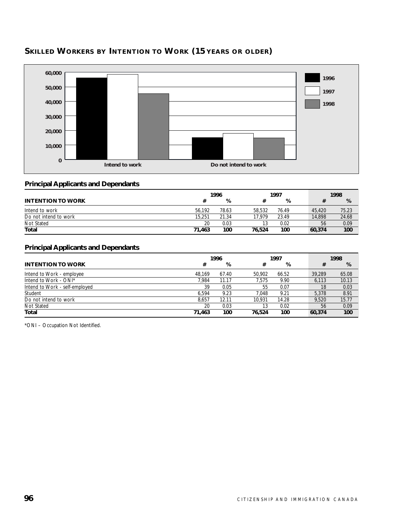



#### **Principal Applicants and Dependants**

|                          | 1996   |       |        | 1997  |        | 1998       |  |
|--------------------------|--------|-------|--------|-------|--------|------------|--|
| <b>INTENTION TO WORK</b> |        | %     |        | %     |        | %          |  |
| Intend to work           | 56.192 | 78.63 | 58.532 | 76.49 | 45.420 | 75.23      |  |
| Do not intend to work    | 15,251 | 21.34 | 17.979 | 23.49 | 14,898 | 24.68      |  |
| Not Stated               | 20     | 0.03  | 13     | 0.02  |        | 0.09<br>56 |  |
| Total                    | 71.463 | 100   | 76.524 | 100   | 60.374 | 100        |  |

#### **Principal Applicants and Dependants**

|                                | 1997<br>1996 |       |        | 1998  |        |       |
|--------------------------------|--------------|-------|--------|-------|--------|-------|
| <b>INTENTION TO WORK</b>       | #            | %     | #      | %     | #      | %     |
| Intend to Work - employee      | 48.169       | 67.40 | 50.902 | 66.52 | 39,289 | 65.08 |
| Intend to Work - ONI*          | 7.984        | 11.17 | 7.575  | 9.90  | 6.113  | 10.13 |
| Intend to Work - self-employed | 39           | 0.05  | 55     | 0.07  | 18     | 0.03  |
| Student                        | 6.594        | 9.23  | 7.048  | 9.21  | 5.378  | 8.91  |
| Do not intend to work          | 8.657        | 12.11 | 10.931 | 14.28 | 9.520  | 15.77 |
| Not Stated                     | 20           | 0.03  | 13     | 0.02  | 56     | 0.09  |
| Total                          | 71,463       | 100   | 76.524 | 100   | 60.374 | 100   |

\*ONI – Occupation Not Identified.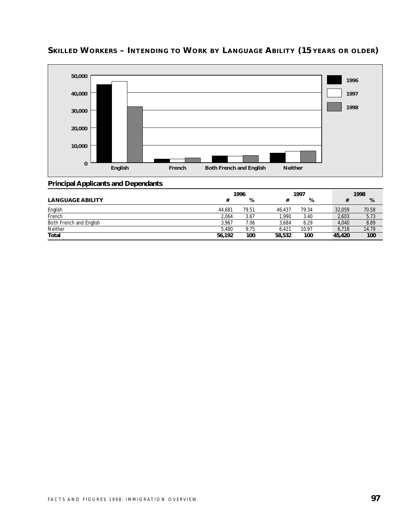

# **SKILLED WORKERS – INTENDING TO WORK BY LANGUAGE ABILITY (15 YEARS OR OLDER)**

|                         | 1996   |       |        | 1997  |        | 1998  |  |
|-------------------------|--------|-------|--------|-------|--------|-------|--|
| <b>LANGUAGE ABILITY</b> | #      | %     |        | %     |        | %     |  |
| English                 | 44.681 | 79.51 | 46.437 | 79.34 | 32,059 | 70.58 |  |
| French                  | 2,064  | 3.67  | 1.990  | 3.40  | 2,603  | 5.73  |  |
| Both French and English | 3.967  | 7.06  | 3.684  | 6.29  | 4.040  | 8.89  |  |
| Neither                 | 5.480  | 9.75  | 6.421  | 10.97 | 6.718  | 14.79 |  |
| <b>Total</b>            | 56,192 | 100   | 58,532 | 100   | 45,420 | 100   |  |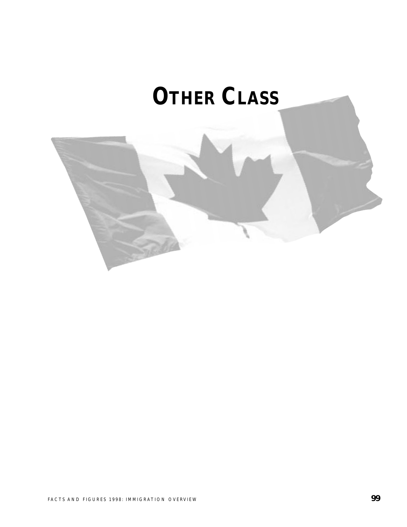# **OTHER CLASS**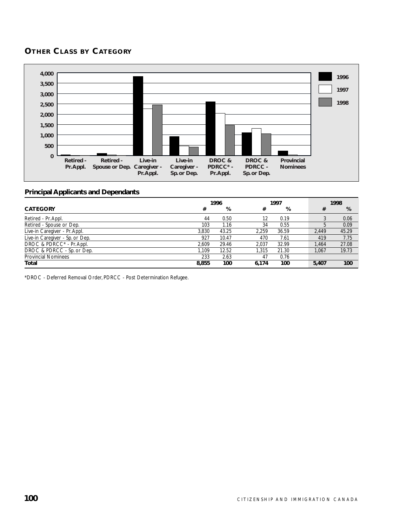# **OTHER CLASS BY CATEGORY**



#### **Principal Applicants and Dependants**

|                                 | 1997<br>1996 |       | 1998              |       |  |       |       |
|---------------------------------|--------------|-------|-------------------|-------|--|-------|-------|
| <b>CATEGORY</b>                 | #            | %     | #                 | %     |  | #     | %     |
| Retired - Pr. Appl.             | 44           | 0.50  | $12 \overline{ }$ | 0.19  |  |       | 0.06  |
| Retired - Spouse or Dep.        | 103          | 1.16  | 34                | 0.55  |  |       | 0.09  |
| Live-in Caregiver - Pr. Appl.   | 3.830        | 43.25 | 2.259             | 36.59 |  | 2.449 | 45.29 |
| Live-in Caregiver - Sp. or Dep. | 927          | 10.47 | 470               | 7.61  |  | 419   | 7.75  |
| DROC & PDRCC* - Pr. Appl.       | 2.609        | 29.46 | 2.037             | 32.99 |  | 1.464 | 27.08 |
| DROC & PDRCC - Sp. or Dep.      | 1.109        | 12.52 | 1.315             | 21.30 |  | 1.067 | 19.73 |
| <b>Provincial Nominees</b>      | 233          | 2.63  | 47                | 0.76  |  |       |       |
| Total                           | 8,855        | 100   | 6.174             | 100   |  | 5,407 | 100   |

\*DROC - Deferred Removal Order, PDRCC - Post Determination Refugee.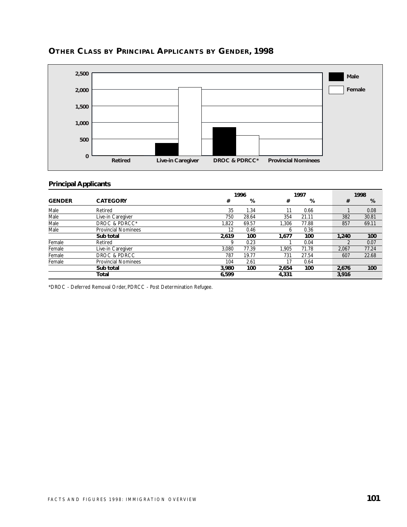

# **OTHER CLASS BY PRINCIPAL APPLICANTS BY GENDER, 1998**

#### **Principal Applicants**

|               |                            |       | 1996  |       | 1997  |  |       | 1998  |  |  |
|---------------|----------------------------|-------|-------|-------|-------|--|-------|-------|--|--|
| <b>GENDER</b> | <b>CATEGORY</b>            | #     | %     | #     | %     |  | #     | %     |  |  |
| Male          | Retired                    | 35    | 1.34  | 11    | 0.66  |  |       | 0.08  |  |  |
| Male          | Live-in Caregiver          | 750   | 28.64 | 354   | 21.11 |  | 382   | 30.81 |  |  |
| Male          | DROC & PDRCC*              | 1,822 | 69.57 | 1.306 | 77.88 |  | 857   | 69.11 |  |  |
| Male          | <b>Provincial Nominees</b> | 12    | 0.46  | 6     | 0.36  |  |       |       |  |  |
|               | Sub total                  | 2,619 | 100   | 1.677 | 100   |  | 1,240 | 100   |  |  |
| Female        | Retired                    | q     | 0.23  |       | 0.04  |  |       | 0.07  |  |  |
| Female        | Live-in Caregiver          | 3.080 | 77.39 | 1.905 | 71.78 |  | 2,067 | 77.24 |  |  |
| Female        | DROC & PDRCC               | 787   | 19.77 | 731   | 27.54 |  | 607   | 22.68 |  |  |
| Female        | <b>Provincial Nominees</b> | 104   | 2.61  | 17    | 0.64  |  |       |       |  |  |
|               | Sub total                  | 3.980 | 100   | 2.654 | 100   |  | 2,676 | 100   |  |  |
|               | Total                      | 6,599 |       | 4,331 |       |  | 3,916 |       |  |  |

\*DROC - Deferred Removal Order, PDRCC - Post Determination Refugee.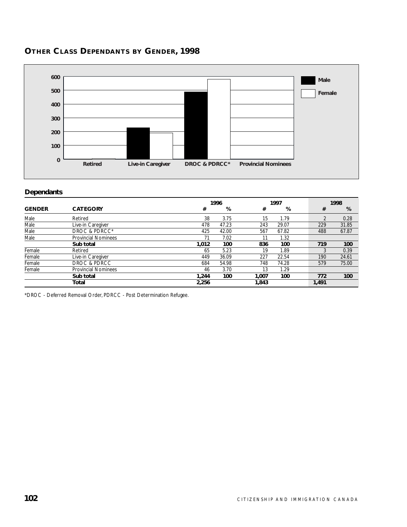

# **OTHER CLASS DEPENDANTS BY GENDER, 1998**

#### **Dependants**

|               |                            |       | 1996  |       | 1997  |       | 1998  |
|---------------|----------------------------|-------|-------|-------|-------|-------|-------|
| <b>GENDER</b> | <b>CATEGORY</b>            | #     | %     | #     | %     | #     | %     |
| Male          | Retired                    | 38    | 3.75  | 15    | 1.79  | ำ     | 0.28  |
| Male          | Live-in Caregiver          | 478   | 47.23 | 243   | 29.07 | 229   | 31.85 |
| Male          | DROC & PDRCC*              | 425   | 42.00 | 567   | 67.82 | 488   | 67.87 |
| Male          | <b>Provincial Nominees</b> | 71    | 7.02  | 11    | 1.32  |       |       |
|               | Sub total                  | 1.012 | 100   | 836   | 100   | 719   | 100   |
| Female        | Retired                    | 65    | 5.23  | 19    | 1.89  |       | 0.39  |
| Female        | Live-in Caregiver          | 449   | 36.09 | 227   | 22.54 | 190   | 24.61 |
| Female        | DROC & PDRCC               | 684   | 54.98 | 748   | 74.28 | 579   | 75.00 |
| Female        | <b>Provincial Nominees</b> | 46    | 3.70  | 13    | 1.29  |       |       |
|               | Sub total                  | 1.244 | 100   | 1.007 | 100   | 772   | 100   |
|               | Total                      | 2,256 |       | 1,843 |       | 1.491 |       |

\*DROC - Deferred Removal Order, PDRCC - Post Determination Refugee.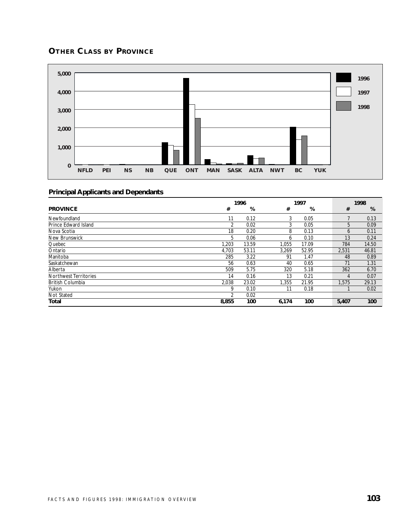## **OTHER CLASS BY PROVINCE**



|                         | 1996  |       |       | 1997  |  |       | 1998  |
|-------------------------|-------|-------|-------|-------|--|-------|-------|
| <b>PROVINCE</b>         | #     | %     | #     | %     |  | #     | %     |
| Newfoundland            | 11    | 0.12  | 3     | 0.05  |  |       | 0.13  |
| Prince Edward Island    | 2     | 0.02  | 3     | 0.05  |  | 5     | 0.09  |
| Nova Scotia             | 18    | 0.20  | 8     | 0.13  |  | 6     | 0.11  |
| New Brunswick           | 5     | 0.06  | 6     | 0.10  |  | 13    | 0.24  |
| Quebec                  | 1.203 | 13.59 | 1.055 | 17.09 |  | 784   | 14.50 |
| Ontario                 | 4,703 | 53.11 | 3.269 | 52.95 |  | 2,531 | 46.81 |
| Manitoba                | 285   | 3.22  | 91    | 1.47  |  | 48    | 0.89  |
| Saskatchewan            | 56    | 0.63  | 40    | 0.65  |  | 71    | 1.31  |
| Alberta                 | 509   | 5.75  | 320   | 5.18  |  | 362   | 6.70  |
| Northwest Territories   | 14    | 0.16  | 13    | 0.21  |  | 4     | 0.07  |
| <b>British Columbia</b> | 2,038 | 23.02 | 1,355 | 21.95 |  | 1,575 | 29.13 |
| Yukon                   | 9     | 0.10  | 11    | 0.18  |  |       | 0.02  |
| Not Stated              |       | 0.02  |       |       |  |       |       |
| Total                   | 8,855 | 100   | 6,174 | 100   |  | 5,407 | 100   |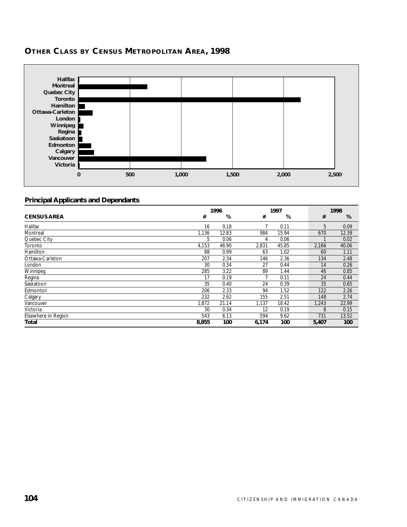

## **OTHER CLASS BY CENSUS METROPOLITAN AREA, 1998**

|                     | 1996  |       |       | 1997  | 1998  |       |
|---------------------|-------|-------|-------|-------|-------|-------|
| <b>CENSUS AREA</b>  | #     | %     | #     | %     | #     | %     |
| Halifax             | 16    | 0.18  |       | 0.11  | 5     | 0.09  |
| Montreal            | 1,136 | 12.83 | 984   | 15.94 | 670   | 12.39 |
| Quebec City         | 5     | 0.06  | 4     | 0.06  |       | 0.02  |
| Toronto             | 4,153 | 46.90 | 2,831 | 45.85 | 2,166 | 40.06 |
| Hamilton            | 88    | 0.99  | 63    | 1.02  | 60    | 1.11  |
| Ottawa-Carleton     | 207   | 2.34  | 146   | 2.36  | 134   | 2.48  |
| London              | 30    | 0.34  | 27    | 0.44  | 14    | 0.26  |
| Winnipeg            | 285   | 3.22  | 89    | 1.44  | 46    | 0.85  |
| Regina              | 17    | 0.19  | 7     | 0.11  | 24    | 0.44  |
| Saskatoon           | 35    | 0.40  | 24    | 0.39  | 35    | 0.65  |
| Edmonton            | 206   | 2.33  | 94    | 1.52  | 122   | 2.26  |
| Calgary             | 232   | 2.62  | 155   | 2.51  | 148   | 2.74  |
| Vancouver           | 1,872 | 21.14 | 1,137 | 18.42 | 1,243 | 22.99 |
| Victoria            | 30    | 0.34  | 12    | 0.19  | 8     | 0.15  |
| Elsewhere in Region | 543   | 6.13  | 594   | 9.62  | 731   | 13.52 |
| Total               | 8,855 | 100   | 6,174 | 100   | 5,407 | 100   |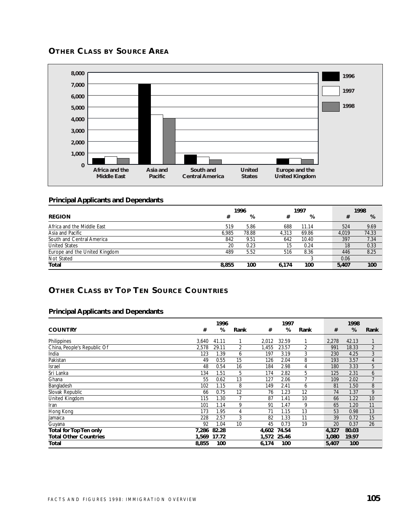## **OTHER CLASS BY SOURCE AREA**



#### **Principal Applicants and Dependants**

|                               | 1996  |       | 1997  |       |  | 1998  |       |
|-------------------------------|-------|-------|-------|-------|--|-------|-------|
| <b>REGION</b>                 | #     | %     | #     | %     |  | #     | %     |
| Africa and the Middle East    | 519   | 5.86  | 688   | 11.14 |  | 524   | 9.69  |
| Asia and Pacific              | 6.985 | 78.88 | 4.313 | 69.86 |  | 4.019 | 74.33 |
| South and Central America     | 842   | 9.51  | 642   | 10.40 |  | 397   | 7.34  |
| <b>United States</b>          | 20    | 0.23  | 15    | 0.24  |  | 18    | 0.33  |
| Europe and the United Kingdom | 489   | 5.52  | 516   | 8.36  |  | 446   | 8.25  |
| Not Stated                    |       |       |       |       |  | 0.06  |       |
| Total                         | 8,855 | 100   | 6.174 | 100   |  | 5.407 | 100   |

## **OTHER CLASS BY TOP TEN SOURCE COUNTRIES**

|                              |       | 1996  |      |       | 1997        |      |       | 1998  |      |
|------------------------------|-------|-------|------|-------|-------------|------|-------|-------|------|
| <b>COUNTRY</b>               | #     | %     | Rank | #     | %           | Rank | #     | %     | Rank |
| Philippines                  | 3,640 | 41.11 |      | 2,012 | 32.59       |      | 2,278 | 42.13 |      |
| China, People's Republic Of  | 2,578 | 29.11 | 2    | ,455  | 23.57       | 2    | 991   | 18.33 | 2    |
| India                        | 123   | 1.39  | 6    | 197   | 3.19        | 3    | 230   | 4.25  | 3    |
| Pakistan                     | 49    | 0.55  | 15   | 126   | 2.04        | 8    | 193   | 3.57  | 4    |
| Israel                       | 48    | 0.54  | 16   | 184   | 2.98        | 4    | 180   | 3.33  | 5    |
| Sri Lanka                    | 134   | 1.51  | 5    | 174   | 2.82        | 5    | 125   | 2.31  | 6    |
| Ghana                        | 55    | 0.62  | 13   | 127   | 2.06        | 7    | 109   | 2.02  | 7    |
| Bangladesh                   | 102   | 1.15  | 8    | 149   | 2.41        | 6    | 81    | 1.50  | 8    |
| Slovak Republic              | 66    | 0.75  | 12   | 76    | 1.23        | 12   | 74    | 1.37  | 9    |
| <b>United Kingdom</b>        | 115   | 1.30  |      | 87    | 1.41        | 10   | 66    | 1.22  | 10   |
| Iran                         | 101   | 1.14  | 9    | 91    | 1.47        | 9    | 65    | 1.20  | 11   |
| Hong Kong                    | 173   | 1.95  | 4    | 71    | 1.15        | 13   | 53    | 0.98  | 13   |
| Jamaica                      | 228   | 2.57  | 3    | 82    | 1.33        | 11   | 39    | 0.72  | 15   |
| Guyana                       | 92    | 1.04  | 10   | 45    | 0.73        | 19   | 20    | 0.37  | 26   |
| Total for Top Ten only       | 7,286 | 82.28 |      | 4,602 | 74.54       |      | 4,327 | 80.03 |      |
| <b>Total Other Countries</b> | 1,569 | 17.72 |      |       | 1,572 25.46 |      | 1,080 | 19.97 |      |
| Total                        | 8,855 | 100   |      | 6,174 | 100         |      | 5,407 | 100   |      |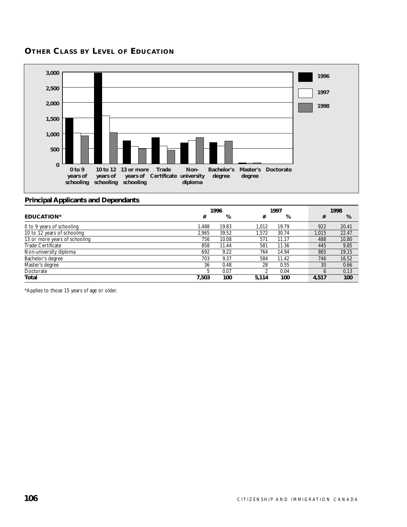## **OTHER CLASS BY LEVEL OF EDUCATION**



### **Principal Applicants and Dependants**

|                               | 1996  |       |       | 1997  |  |       | 1998  |
|-------------------------------|-------|-------|-------|-------|--|-------|-------|
| <b>EDUCATION*</b>             | #     | %     | #     | %     |  | #     | %     |
| 0 to 9 years of schooling     | 1.488 | 19.83 | 1.012 | 19.79 |  | 922   | 20.41 |
| 10 to 12 years of schooling   | 2.965 | 39.52 | 1.572 | 30.74 |  | 1.015 | 22.47 |
| 13 or more years of schooling | 756   | 10.08 | 571   | 11.17 |  | 488   | 10.80 |
| Trade Certificate             | 858   | 11.44 | 581   | 11.36 |  | 445   | 9.85  |
| Non-university diploma        | 692   | 9.22  | 764   | 14.94 |  | 865   | 19.15 |
| Bachelor's degree             | 703   | 9.37  | 584   | 11.42 |  | 746   | 16.52 |
| Master's degree               | 36    | 0.48  | 28    | 0.55  |  | 30    | 0.66  |
| Doctorate                     |       | 0.07  | າ     | 0.04  |  | b     | 0.13  |
| <b>Total</b>                  | 7.503 | 100   | 5.114 | 100   |  | 4.517 | 100   |

\*Applies to those 15 years of age or older.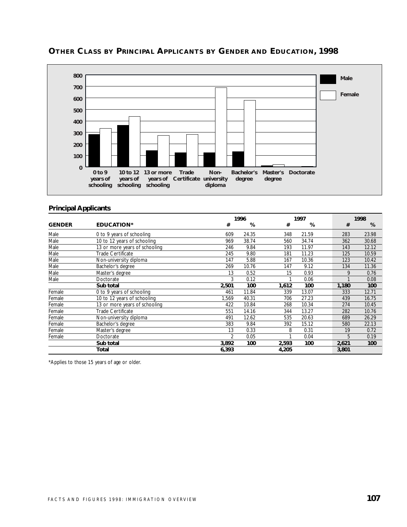

## **OTHER CLASS BY PRINCIPAL APPLICANTS BY GENDER AND EDUCATION, 1998**

#### **Principal Applicants**

|               |                               |               | 1996  |       | 1997  |       | 1998  |
|---------------|-------------------------------|---------------|-------|-------|-------|-------|-------|
| <b>GENDER</b> | <b>EDUCATION*</b>             | #             | %     | #     | %     | #     | %     |
| Male          | 0 to 9 years of schooling     | 609           | 24.35 | 348   | 21.59 | 283   | 23.98 |
| Male          | 10 to 12 years of schooling   | 969           | 38.74 | 560   | 34.74 | 362   | 30.68 |
| Male          | 13 or more years of schooling | 246           | 9.84  | 193   | 11.97 | 143   | 12.12 |
| Male          | Trade Certificate             | 245           | 9.80  | 181   | 11.23 | 125   | 10.59 |
| Male          | Non-university diploma        | 147           | 5.88  | 167   | 10.36 | 123   | 10.42 |
| Male          | Bachelor's degree             | 269           | 10.76 | 147   | 9.12  | 134   | 11.36 |
| Male          | Master's degree               | 13            | 0.52  | 15    | 0.93  | 9     | 0.76  |
| Male          | Doctorate                     | 3             | 0.12  |       | 0.06  |       | 0.08  |
|               | Sub total                     | 2,501         | 100   | 1,612 | 100   | 1,180 | 100   |
| Female        | 0 to 9 years of schooling     | 461           | 11.84 | 339   | 13.07 | 333   | 12.71 |
| Female        | 10 to 12 years of schooling   | 1,569         | 40.31 | 706   | 27.23 | 439   | 16.75 |
| Female        | 13 or more years of schooling | 422           | 10.84 | 268   | 10.34 | 274   | 10.45 |
| Female        | Trade Certificate             | 551           | 14.16 | 344   | 13.27 | 282   | 10.76 |
| Female        | Non-university diploma        | 491           | 12.62 | 535   | 20.63 | 689   | 26.29 |
| Female        | Bachelor's degree             | 383           | 9.84  | 392   | 15.12 | 580   | 22.13 |
| Female        | Master's degree               | 13            | 0.33  | 8     | 0.31  | 19    | 0.72  |
| Female        | Doctorate                     | $\mathfrak z$ | 0.05  |       | 0.04  | 5     | 0.19  |
|               | Sub total                     | 3,892         | 100   | 2,593 | 100   | 2,621 | 100   |
|               | Total                         | 6,393         |       | 4,205 |       | 3,801 |       |

\*Applies to those 15 years of age or older.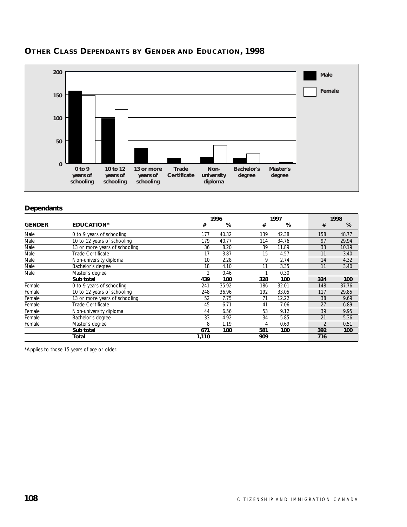

## **OTHER CLASS DEPENDANTS BY GENDER AND EDUCATION, 1998**

#### **Dependants**

|               |                               |                | 1996  |     | 1997  |  |                | 1998  |  |  |
|---------------|-------------------------------|----------------|-------|-----|-------|--|----------------|-------|--|--|
| <b>GENDER</b> | <b>EDUCATION*</b>             | #              | %     | #   | %     |  | #              | %     |  |  |
| Male          | 0 to 9 years of schooling     | 177            | 40.32 | 139 | 42.38 |  | 158            | 48.77 |  |  |
| Male          | 10 to 12 years of schooling   | 179            | 40.77 | 114 | 34.76 |  | 97             | 29.94 |  |  |
| Male          | 13 or more years of schooling | 36             | 8.20  | 39  | 11.89 |  | 33             | 10.19 |  |  |
| Male          | Trade Certificate             | 17             | 3.87  | 15  | 4.57  |  | 11             | 3.40  |  |  |
| Male          | Non-university diploma        | 10             | 2.28  | 9   | 2.74  |  | 14             | 4.32  |  |  |
| Male          | Bachelor's degree             | 18             | 4.10  | 11  | 3.35  |  | 11             | 3.40  |  |  |
| Male          | Master's degree               | $\mathfrak{p}$ | 0.46  |     | 0.30  |  |                |       |  |  |
|               | Sub total                     | 439            | 100   | 328 | 100   |  | 324            | 100   |  |  |
| Female        | 0 to 9 years of schooling     | 241            | 35.92 | 186 | 32.01 |  | 148            | 37.76 |  |  |
| Female        | 10 to 12 years of schooling   | 248            | 36.96 | 192 | 33.05 |  | 117            | 29.85 |  |  |
| Female        | 13 or more years of schooling | 52             | 7.75  | 71  | 12.22 |  | 38             | 9.69  |  |  |
| Female        | Trade Certificate             | 45             | 6.71  | 41  | 7.06  |  | 27             | 6.89  |  |  |
| Female        | Non-university diploma        | 44             | 6.56  | 53  | 9.12  |  | 39             | 9.95  |  |  |
| Female        | Bachelor's degree             | 33             | 4.92  | 34  | 5.85  |  | 21             | 5.36  |  |  |
| Female        | Master's degree               | 8              | 1.19  | 4   | 0.69  |  | $\mathfrak{D}$ | 0.51  |  |  |
|               | Sub total                     | 671            | 100   | 581 | 100   |  | 392            | 100   |  |  |
|               | Total                         | 1,110          |       | 909 |       |  | 716            |       |  |  |

\*Applies to those 15 years of age or older.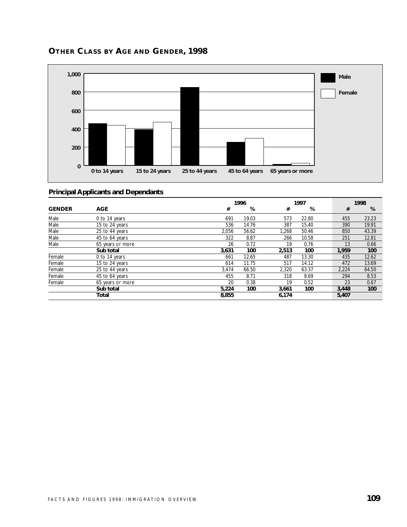

## **OTHER CLASS BY AGE AND GENDER, 1998**

|               |                  |       | 1996  |       | 1997  |  |       | 1998  |
|---------------|------------------|-------|-------|-------|-------|--|-------|-------|
| <b>GENDER</b> | <b>AGE</b>       | #     | %     | #     | %     |  | #     | %     |
| Male          | 0 to 14 years    | 691   | 19.03 | 573   | 22.80 |  | 455   | 23.23 |
| Male          | 15 to 24 years   | 536   | 14.76 | 387   | 15.40 |  | 390   | 19.91 |
| Male          | 25 to 44 years   | 2.056 | 56.62 | 1.268 | 50.46 |  | 850   | 43.39 |
| Male          | 45 to 64 years   | 322   | 8.87  | 266   | 10.58 |  | 251   | 12.81 |
| Male          | 65 years or more | 26    | 0.72  | 19    | 0.76  |  | 13    | 0.66  |
|               | Sub total        | 3,631 | 100   | 2,513 | 100   |  | 1,959 | 100   |
| Female        | 0 to 14 years    | 661   | 12.65 | 487   | 13.30 |  | 435   | 12.62 |
| Female        | 15 to 24 years   | 614   | 11.75 | 517   | 14.12 |  | 472   | 13.69 |
| Female        | 25 to 44 years   | 3,474 | 66.50 | 2,320 | 63.37 |  | 2,224 | 64.50 |
| Female        | 45 to 64 years   | 455   | 8.71  | 318   | 8.69  |  | 294   | 8.53  |
| Female        | 65 years or more | 20    | 0.38  | 19    | 0.52  |  | 23    | 0.67  |
|               | Sub total        | 5,224 | 100   | 3,661 | 100   |  | 3,448 | 100   |
|               | Total            | 8,855 |       | 6,174 |       |  | 5,407 |       |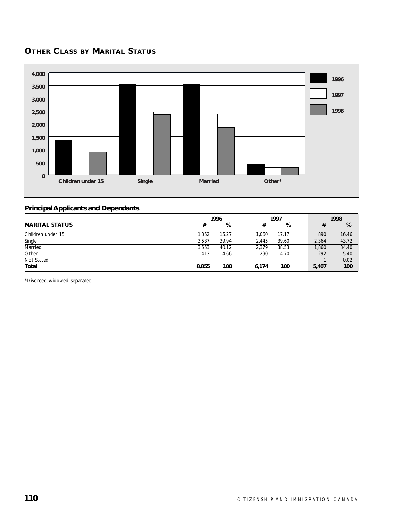# **OTHER CLASS BY MARITAL STATUS**



#### **Principal Applicants and Dependants**

|                       | 1996  |       |       | 1997  |       | 1998         |
|-----------------------|-------|-------|-------|-------|-------|--------------|
| <b>MARITAL STATUS</b> | #     | %     | #     | %     |       | %<br>#       |
| Children under 15     | 1.352 | 15.27 | 1.060 | 17.17 |       | 890<br>16.46 |
| Single                | 3.537 | 39.94 | 2.445 | 39.60 | 2,364 | 43.72        |
| Married               | 3.553 | 40.12 | 2.379 | 38.53 | 1,860 | 34.40        |
| Other                 | 413   | 4.66  | 290   | 4.70  |       | 5.40<br>292  |
| Not Stated            |       |       |       |       |       | 0.02         |
| Total                 | 8,855 | 100   | 6,174 | 100   | 5,407 | 100          |

\*Divorced, widowed, separated.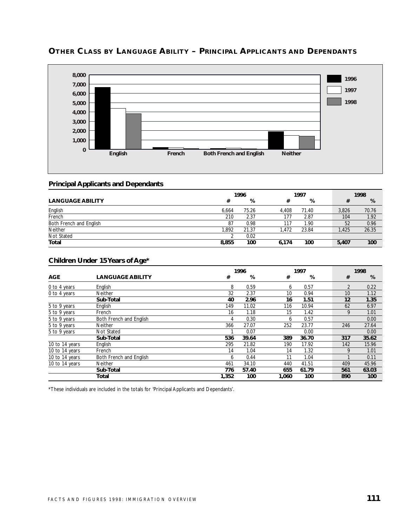

# **OTHER CLASS BY LANGUAGE ABILITY – PRINCIPAL APPLICANTS AND DEPENDANTS**

#### **Principal Applicants and Dependants**

|                         | 1996  |       |       | 1997  |  |       | 1998  |
|-------------------------|-------|-------|-------|-------|--|-------|-------|
| <b>LANGUAGE ABILITY</b> | #     | %     | #     | %     |  |       | %     |
| English                 | 6.664 | 75.26 | 4.408 | 71.40 |  | 3.826 | 70.76 |
| French                  | 210   | 2.37  | 177   | 2.87  |  | 104   | 1.92  |
| Both French and English | 87    | 0.98  | 117   | 1.90  |  | 52    | 0.96  |
| <b>Neither</b>          | .892  | 21.37 | .472  | 23.84 |  | 1.425 | 26.35 |
| Not Stated              |       | 0.02  |       |       |  |       |       |
| <b>Total</b>            | 8,855 | 100   | 6.174 | 100   |  | 5,407 | 100   |

### **Children Under 15 Years of Age\***

|                |                         |       | 1996  |       | 1997  |  |                | 1998  |
|----------------|-------------------------|-------|-------|-------|-------|--|----------------|-------|
| <b>AGE</b>     | <b>LANGUAGE ABILITY</b> | #     | %     | #     | %     |  | #              | %     |
| 0 to 4 years   | English                 | 8     | 0.59  | 6     | 0.57  |  | $\overline{2}$ | 0.22  |
| 0 to 4 years   | Neither                 | 32    | 2.37  | 10    | 0.94  |  | 10             | 1.12  |
|                | Sub-Total               | 40    | 2.96  | 16    | 1.51  |  | 12             | 1.35  |
| 5 to 9 years   | English                 | 149   | 11.02 | 116   | 10.94 |  | 62             | 6.97  |
| 5 to 9 years   | French                  | 16    | 1.18  | 15    | 1.42  |  | 9              | 1.01  |
| 5 to 9 years   | Both French and English | 4     | 0.30  | 6     | 0.57  |  |                | 0.00  |
| 5 to 9 years   | <b>Neither</b>          | 366   | 27.07 | 252   | 23.77 |  | 246            | 27.64 |
| 5 to 9 years   | Not Stated              |       | 0.07  |       | 0.00  |  |                | 0.00  |
|                | Sub-Total               | 536   | 39.64 | 389   | 36.70 |  | 317            | 35.62 |
| 10 to 14 years | English                 | 295   | 21.82 | 190   | 17.92 |  | 142            | 15.96 |
| 10 to 14 years | French                  | 14    | 1.04  | 14    | 1.32  |  | 9              | 1.01  |
| 10 to 14 years | Both French and English | 6     | 0.44  | 11    | 1.04  |  |                | 0.11  |
| 10 to 14 years | <b>Neither</b>          | 461   | 34.10 | 440   | 41.51 |  | 409            | 45.96 |
|                | Sub-Total               | 776   | 57.40 | 655   | 61.79 |  | 561            | 63.03 |
|                | Total                   | 1,352 | 100   | 1,060 | 100   |  | 890            | 100   |

\*These individuals are included in the totals for 'Principal Applicants and Dependants'.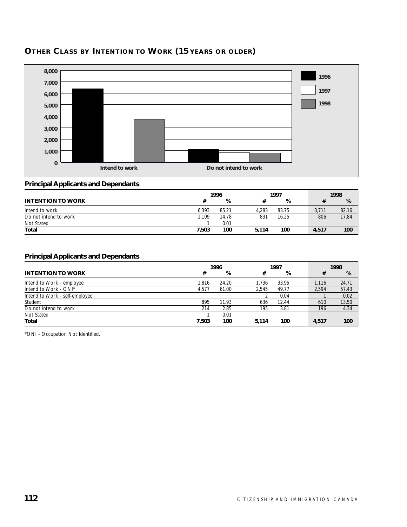

# **OTHER CLASS BY INTENTION TO WORK (15 YEARS OR OLDER)**

## **Principal Applicants and Dependants**

|                          | 1996  |       |       | 1997  |  |       | 1998  |
|--------------------------|-------|-------|-------|-------|--|-------|-------|
| <b>INTENTION TO WORK</b> |       | %     |       | %     |  |       | %     |
| Intend to work           | 6.393 | 85.21 | 4.283 | 83.75 |  | 3.711 | 82.16 |
| Do not intend to work    | .109  | 14.78 | 831   | 16.25 |  | 806   | 17.84 |
| Not Stated               |       | 0.01  |       |       |  |       |       |
| <b>Total</b>             | 7.503 | 100   | 5.114 | 100   |  | 4,517 | 100   |

#### **Principal Applicants and Dependants**

|                                | 1996  |       |       | 1997  |  |       | 1998  |  |  |
|--------------------------------|-------|-------|-------|-------|--|-------|-------|--|--|
| <b>INTENTION TO WORK</b>       | #     | %     | #     | %     |  | #     | %     |  |  |
| Intend to Work - employee      | 1.816 | 24.20 | 1.736 | 33.95 |  | 1.116 | 24.71 |  |  |
| Intend to Work - ONI*          | 4,577 | 61.00 | 2.545 | 49.77 |  | 2.594 | 57.43 |  |  |
| Intend to Work - self-employed |       |       |       | 0.04  |  |       | 0.02  |  |  |
| Student                        | 895   | 11.93 | 636   | 12.44 |  | 610   | 13.50 |  |  |
| Do not intend to work          | 214   | 2.85  | 195   | 3.81  |  | 196   | 4.34  |  |  |
| Not Stated                     |       | 0.01  |       |       |  |       |       |  |  |
| Total                          | 7.503 | 100   | 5.114 | 100   |  | 4,517 | 100   |  |  |

\*ONI - Occupation Not Identified.